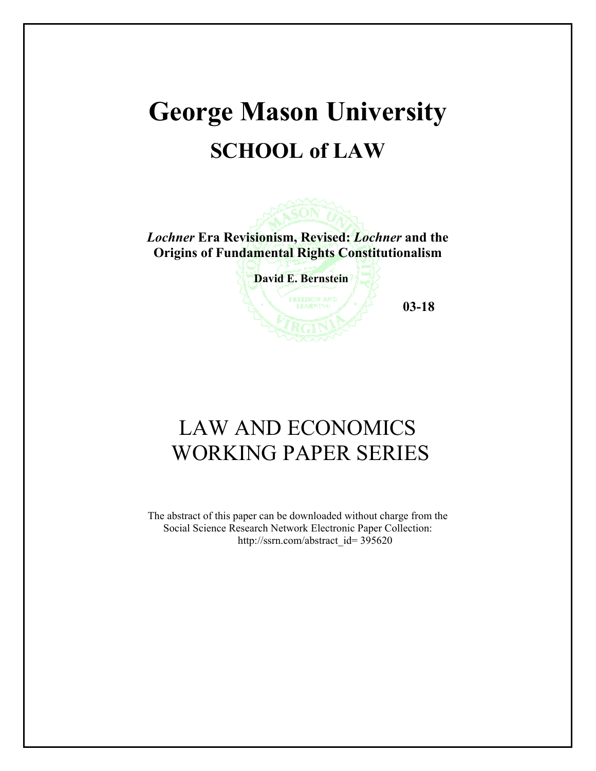# **George Mason University SCHOOL of LAW**

*Lochner* **Era Revisionism, Revised:** *Lochner* **and the Origins of Fundamental Rights Constitutionalism**

**David E. Bernstein**

**03-18** 

## LAW AND ECONOMICS WORKING PAPER SERIES

The abstract of this paper can be downloaded without charge from the Social Science Research Network Electronic Paper Collection: http://ssrn.com/abstract\_id= 395620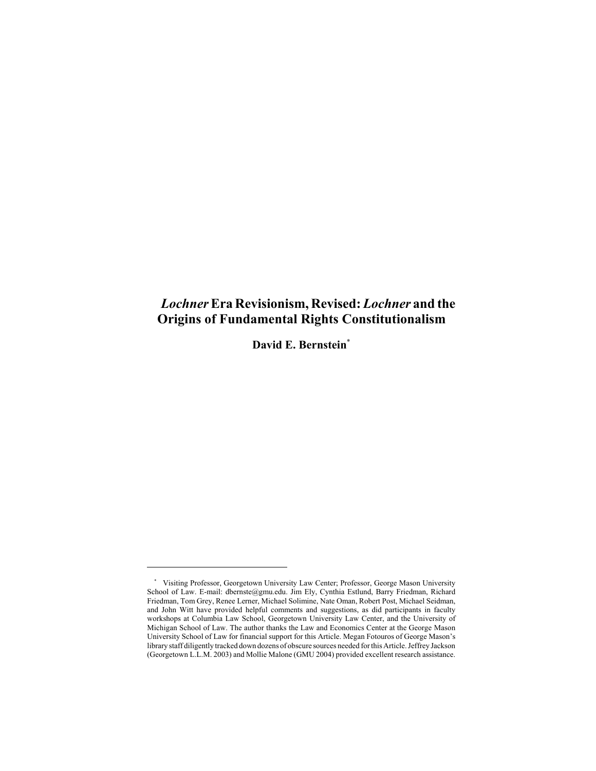## *Lochner* **Era Revisionism, Revised:** *Lochner* **and the Origins of Fundamental Rights Constitutionalism**

**David E. Bernstein**\*

<sup>\*</sup> Visiting Professor, Georgetown University Law Center; Professor, George Mason University School of Law. E-mail: dbernste@gmu.edu. Jim Ely, Cynthia Estlund, Barry Friedman, Richard Friedman, Tom Grey, Renee Lerner, Michael Solimine, Nate Oman, Robert Post, Michael Seidman, and John Witt have provided helpful comments and suggestions, as did participants in faculty workshops at Columbia Law School, Georgetown University Law Center, and the University of Michigan School of Law. The author thanks the Law and Economics Center at the George Mason University School of Law for financial support for this Article. Megan Fotouros of George Mason's library staff diligently tracked down dozens of obscure sources needed for this Article. Jeffrey Jackson (Georgetown L.L.M. 2003) and Mollie Malone (GMU 2004) provided excellent research assistance.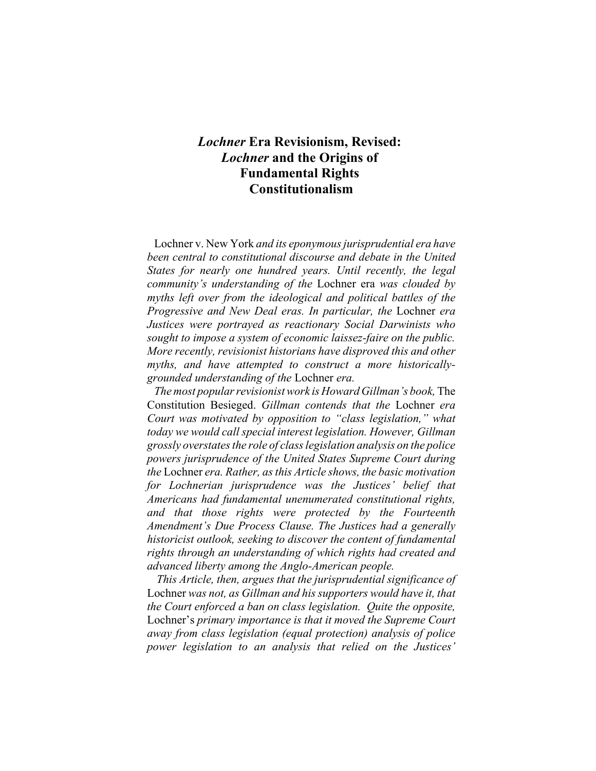## *Lochner* **Era Revisionism, Revised:**  *Lochner* **and the Origins of Fundamental Rights Constitutionalism**

Lochner v. New York *and its eponymous jurisprudential era have been central to constitutional discourse and debate in the United States for nearly one hundred years. Until recently, the legal community's understanding of the* Lochner era *was clouded by myths left over from the ideological and political battles of the Progressive and New Deal eras. In particular, the* Lochner *era Justices were portrayed as reactionary Social Darwinists who sought to impose a system of economic laissez-faire on the public. More recently, revisionist historians have disproved this and other myths, and have attempted to construct a more historicallygrounded understanding of the* Lochner *era.*

*The most popular revisionist work is Howard Gillman's book,* The Constitution Besieged. *Gillman contends that the* Lochner *era Court was motivated by opposition to "class legislation," what today we would call special interest legislation. However, Gillman grossly overstates the role of class legislation analysis on the police powers jurisprudence of the United States Supreme Court during the* Lochner *era. Rather, as this Article shows, the basic motivation for Lochnerian jurisprudence was the Justices' belief that Americans had fundamental unenumerated constitutional rights, and that those rights were protected by the Fourteenth Amendment's Due Process Clause. The Justices had a generally historicist outlook, seeking to discover the content of fundamental rights through an understanding of which rights had created and advanced liberty among the Anglo-American people.*

*This Article, then, argues that the jurisprudential significance of* Lochner *was not, as Gillman and his supporters would have it, that the Court enforced a ban on class legislation. Quite the opposite,* Lochner's *primary importance is that it moved the Supreme Court away from class legislation (equal protection) analysis of police power legislation to an analysis that relied on the Justices'*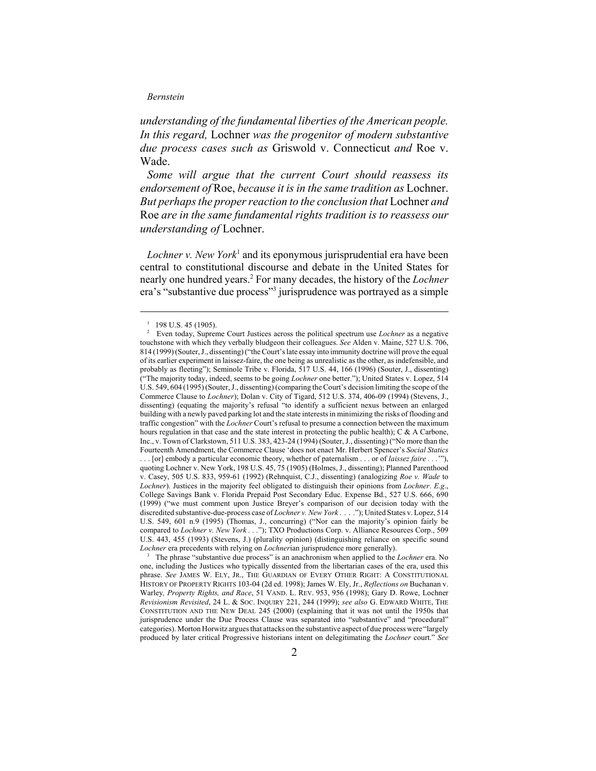*understanding of the fundamental liberties of the American people. In this regard,* Lochner *was the progenitor of modern substantive due process cases such as* Griswold v. Connecticut *and* Roe v. Wade.

*Some will argue that the current Court should reassess its endorsement of* Roe, *because it is in the same tradition as* Lochner. *But perhaps the proper reaction to the conclusion that* Lochner *and* Roe *are in the same fundamental rights tradition is to reassess our understanding of* Lochner.

Lochner v. New York<sup>1</sup> and its eponymous jurisprudential era have been central to constitutional discourse and debate in the United States for nearly one hundred years.2 For many decades, the history of the *Lochner* era's "substantive due process"<sup>3</sup> jurisprudence was portrayed as a simple

 $1$  198 U.S. 45 (1905).

<sup>2</sup> Even today, Supreme Court Justices across the political spectrum use *Lochner* as a negative touchstone with which they verbally bludgeon their colleagues. *See* Alden v. Maine, 527 U.S. 706, 814 (1999) (Souter, J., dissenting) ("the Court's late essay into immunity doctrine will prove the equal of its earlier experiment in laissez-faire, the one being as unrealistic as the other, as indefensible, and probably as fleeting"); Seminole Tribe v. Florida, 517 U.S. 44, 166 (1996) (Souter, J., dissenting) ("The majority today, indeed, seems to be going *Lochner* one better."); United States v. Lopez, 514 U.S. 549, 604 (1995) (Souter, J., dissenting) (comparing the Court's decision limiting the scope of the Commerce Clause to *Lochner*); Dolan v. City of Tigard, 512 U.S. 374, 406-09 (1994) (Stevens, J., dissenting) (equating the majority's refusal "to identify a sufficient nexus between an enlarged building with a newly paved parking lot and the state interests in minimizing the risks of flooding and traffic congestion" with the *Lochner* Court's refusal to presume a connection between the maximum hours regulation in that case and the state interest in protecting the public health);  $C \& A$  Carbone, Inc., v. Town of Clarkstown, 511 U.S. 383, 423-24 (1994) (Souter, J., dissenting) ("No more than the Fourteenth Amendment, the Commerce Clause 'does not enact Mr. Herbert Spencer's *Social Statics* . . . [or] embody a particular economic theory, whether of paternalism . . . or of *laissez faire .* . . <sup>7</sup> quoting Lochner v. New York, 198 U.S. 45, 75 (1905) (Holmes, J., dissenting); Planned Parenthood v. Casey, 505 U.S. 833, 959-61 (1992) (Rehnquist, C.J., dissenting) (analogizing *Roe v. Wade* to *Lochner*). Justices in the majority feel obligated to distinguish their opinions from *Lochner*. *E.g*., College Savings Bank v. Florida Prepaid Post Secondary Educ. Expense Bd., 527 U.S. 666, 690 (1999) ("we must comment upon Justice Breyer's comparison of our decision today with the discredited substantive-due-process case of *Lochner v. New York* . . . ."); United States v. Lopez, 514 U.S. 549, 601 n.9 (1995) (Thomas, J., concurring) ("Nor can the majority's opinion fairly be compared to *Lochner v. New York . . .*"); TXO Productions Corp. v. Alliance Resources Corp., 509 U.S. 443, 455 (1993) (Stevens, J.) (plurality opinion) (distinguishing reliance on specific sound *Lochner* era precedents with relying on *Lochner*ian jurisprudence more generally).

<sup>3</sup> The phrase "substantive due process" is an anachronism when applied to the *Lochner* era. No one, including the Justices who typically dissented from the libertarian cases of the era, used this phrase. *See* JAMES W. ELY, JR., THE GUARDIAN OF EVERY OTHER RIGHT: A CONSTITUTIONAL HISTORY OF PROPERTY RIGHTS 103-04 (2d ed. 1998); James W. Ely, Jr., *Reflections on* Buchanan v. Warley*, Property Rights, and Race*, 51 VAND. L. REV. 953, 956 (1998); Gary D. Rowe, Lochner *Revisionism Revisited*, 24 L. & SOC. INQUIRY 221, 244 (1999); *see also* G. EDWARD WHITE, THE CONSTITUTION AND THE NEW DEAL 245 (2000) (explaining that it was not until the 1950s that jurisprudence under the Due Process Clause was separated into "substantive" and "procedural" categories). Morton Horwitz argues that attacks on the substantive aspect of due process were "largely produced by later critical Progressive historians intent on delegitimating the *Lochner* court." *See*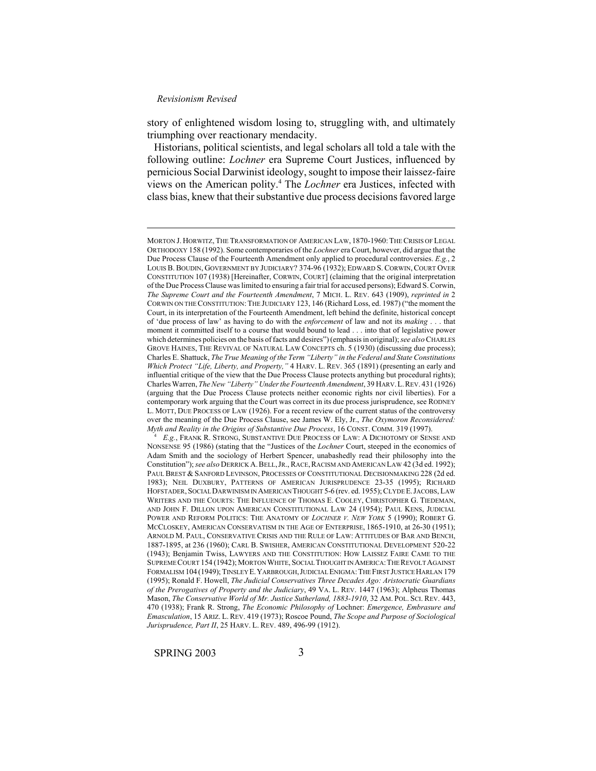story of enlightened wisdom losing to, struggling with, and ultimately triumphing over reactionary mendacity.

Historians, political scientists, and legal scholars all told a tale with the following outline: *Lochner* era Supreme Court Justices, influenced by pernicious Social Darwinist ideology, sought to impose their laissez-faire views on the American polity.4 The *Lochner* era Justices, infected with class bias, knew that their substantive due process decisions favored large

4 *E.g.*, FRANK R. STRONG, SUBSTANTIVE DUE PROCESS OF LAW: A DICHOTOMY OF SENSE AND NONSENSE 95 (1986) (stating that the "Justices of the *Lochner* Court, steeped in the economics of Adam Smith and the sociology of Herbert Spencer, unabashedly read their philosophy into the Constitution"); *see also* DERRICK A.BELL,JR., RACE,RACISM AND AMERICAN LAW 42 (3d ed. 1992); PAUL BREST & SANFORD LEVINSON, PROCESSES OF CONSTITUTIONAL DECISIONMAKING 228 (2d ed. 1983); NEIL DUXBURY, PATTERNS OF AMERICAN JURISPRUDENCE 23-35 (1995); RICHARD HOFSTADER, SOCIAL DARWINISM IN AMERICAN THOUGHT 5-6 (rev. ed. 1955); CLYDE E.JACOBS, LAW WRITERS AND THE COURTS: THE INFLUENCE OF THOMAS E. COOLEY, CHRISTOPHER G. TIEDEMAN, AND JOHN F. DILLON UPON AMERICAN CONSTITUTIONAL LAW 24 (1954); PAUL KENS, JUDICIAL POWER AND REFORM POLITICS: THE ANATOMY OF *LOCHNER V. NEW YORK* 5 (1990); ROBERT G. MCCLOSKEY, AMERICAN CONSERVATISM IN THE AGE OF ENTERPRISE, 1865-1910, at 26-30 (1951); ARNOLD M. PAUL, CONSERVATIVE CRISIS AND THE RULE OF LAW: ATTITUDES OF BAR AND BENCH, 1887-1895, at 236 (1960); CARL B. SWISHER, AMERICAN CONSTITUTIONAL DEVELOPMENT 520-22 (1943); Benjamin Twiss, LAWYERS AND THE CONSTITUTION: HOW LAISSEZ FAIRE CAME TO THE SUPREME COURT 154 (1942); MORTON WHITE, SOCIAL THOUGHT IN AMERICA:THE REVOLT AGAINST FORMALISM 104 (1949); TINSLEY E. YARBROUGH, JUDICIAL ENIGMA: THE FIRST JUSTICE HARLAN 179 (1995); Ronald F. Howell, *The Judicial Conservatives Three Decades Ago: Aristocratic Guardians of the Prerogatives of Property and the Judiciary*, 49 VA. L. REV. 1447 (1963); Alpheus Thomas Mason, *The Conservative World of Mr. Justice Sutherland, 1883-1910*, 32 AM. POL. SCI. REV. 443, 470 (1938); Frank R. Strong, *The Economic Philosophy of* Lochner: *Emergence, Embrasure and Emasculation*, 15 ARIZ. L. REV. 419 (1973); Roscoe Pound, *The Scope and Purpose of Sociological Jurisprudence, Part II*, 25 HARV. L. REV. 489, 496-99 (1912).

MORTON J. HORWITZ, THE TRANSFORMATION OF AMERICAN LAW, 1870-1960:THE CRISIS OF LEGAL ORTHODOXY 158 (1992). Some contemporaries of the *Lochner* era Court, however, did argue that the Due Process Clause of the Fourteenth Amendment only applied to procedural controversies. *E.g.*, 2 LOUIS B. BOUDIN, GOVERNMENT BY JUDICIARY? 374-96 (1932); EDWARD S. CORWIN,COURT OVER CONSTITUTION 107 (1938) [Hereinafter, CORWIN, COURT] (claiming that the original interpretation of the Due Process Clause was limited to ensuring a fair trial for accused persons); Edward S. Corwin, *The Supreme Court and the Fourteenth Amendment*, 7 MICH. L. REV. 643 (1909), *reprinted in* 2 CORWIN ON THE CONSTITUTION:THE JUDICIARY 123, 146 (Richard Loss, ed. 1987) ("the moment the Court, in its interpretation of the Fourteenth Amendment, left behind the definite, historical concept of 'due process of law' as having to do with the *enforcement* of law and not its *making* . . . that moment it committed itself to a course that would bound to lead . . . into that of legislative power which determines policies on the basis of facts and desires") (emphasis in original); *see also* CHARLES GROVE HAINES, THE REVIVAL OF NATURAL LAW CONCEPTS ch. 5 (1930) (discussing due process); Charles E. Shattuck, *The True Meaning of the Term "Liberty" in the Federal and State Constitutions Which Protect "Life, Liberty, and Property,"* 4 HARV. L. REV. 365 (1891) (presenting an early and influential critique of the view that the Due Process Clause protects anything but procedural rights); Charles Warren, *The New "Liberty" Under the Fourteenth Amendment*, 39 HARV.L.REV. 431 (1926) (arguing that the Due Process Clause protects neither economic rights nor civil liberties). For a contemporary work arguing that the Court was correct in its due process jurisprudence, see RODNEY L. MOTT, DUE PROCESS OF LAW (1926). For a recent review of the current status of the controversy over the meaning of the Due Process Clause, see James W. Ely, Jr., *The Oxymoron Reconsidered: Myth and Reality in the Origins of Substantive Due Process*, 16 CONST. COMM. 319 (1997).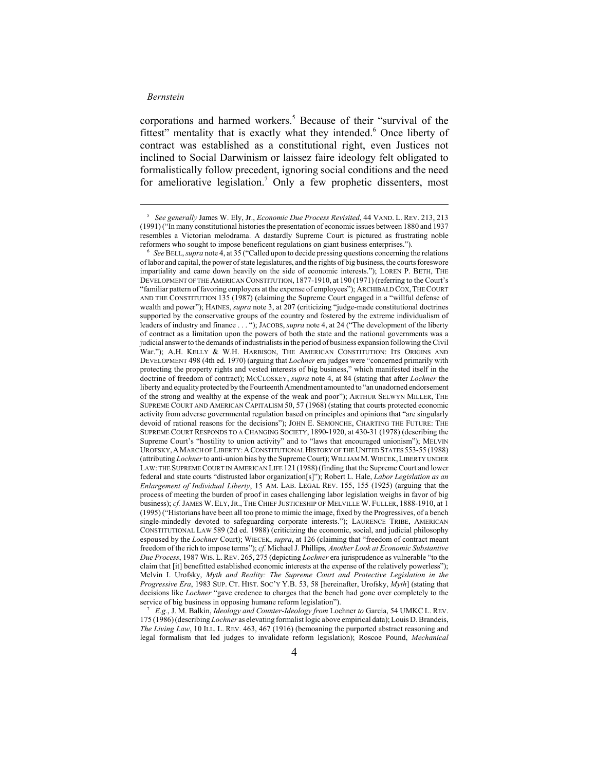corporations and harmed workers.<sup>5</sup> Because of their "survival of the fittest" mentality that is exactly what they intended.<sup>6</sup> Once liberty of contract was established as a constitutional right, even Justices not inclined to Social Darwinism or laissez faire ideology felt obligated to formalistically follow precedent, ignoring social conditions and the need for ameliorative legislation.<sup>7</sup> Only a few prophetic dissenters, most

6 *See* BELL, *supra* note 4, at 35 ("Called upon to decide pressing questions concerning the relations of labor and capital, the power of state legislatures, and the rights of big business, the courts foreswore impartiality and came down heavily on the side of economic interests."); LOREN P. BETH, THE DEVELOPMENT OF THE AMERICAN CONSTITUTION, 1877-1910, at 190 (1971) (referring to the Court's "familiar pattern of favoring employers at the expense of employees"); ARCHIBALD COX,THE COURT AND THE CONSTITUTION 135 (1987) (claiming the Supreme Court engaged in a "willful defense of wealth and power"); HAINES, *supra* note 3, at 207 (criticizing "judge-made constitutional doctrines supported by the conservative groups of the country and fostered by the extreme individualism of leaders of industry and finance . . . "); JACOBS, *supra* note 4, at 24 ("The development of the liberty of contract as a limitation upon the powers of both the state and the national governments was a judicial answer to the demands of industrialists in the period of business expansion following the Civil War."); A.H. KELLY & W.H. HARBISON, THE AMERICAN CONSTITUTION: ITS ORIGINS AND DEVELOPMENT 498 (4th ed. 1970) (arguing that *Lochner* era judges were "concerned primarily with protecting the property rights and vested interests of big business," which manifested itself in the doctrine of freedom of contract); MCCLOSKEY, *supra* note 4, at 84 (stating that after *Lochner* the liberty and equality protected by the Fourteenth Amendment amounted to "an unadorned endorsement of the strong and wealthy at the expense of the weak and poor"); ARTHUR SELWYN MILLER, THE SUPREME COURT AND AMERICAN CAPITALISM 50, 57 (1968) (stating that courts protected economic activity from adverse governmental regulation based on principles and opinions that "are singularly devoid of rational reasons for the decisions"); JOHN E. SEMONCHE, CHARTING THE FUTURE: THE SUPREME COURT RESPONDS TO A CHANGING SOCIETY, 1890-1920, at 430-31 (1978) (describing the Supreme Court's "hostility to union activity" and to "laws that encouraged unionism"); MELVIN UROFSKY,AMARCH OF LIBERTY:ACONSTITUTIONAL HISTORY OF THE UNITED STATES 553-55 (1988) (attributing *Lochner* to anti-union bias by the Supreme Court); WILLIAM M.WIECEK,LIBERTY UNDER LAW: THE SUPREME COURT IN AMERICAN LIFE 121 (1988)(finding that the Supreme Court and lower federal and state courts "distrusted labor organization[s]"); Robert L. Hale, *Labor Legislation as an Enlargement of Individual Liberty*, 15 AM. LAB. LEGAL REV. 155, 155 (1925) (arguing that the process of meeting the burden of proof in cases challenging labor legislation weighs in favor of big business); *cf.* JAMES W. ELY,JR., THE CHIEF JUSTICESHIP OF MELVILLE W. FULLER, 1888-1910, at 1 (1995) ("Historians have been all too prone to mimic the image, fixed by the Progressives, of a bench single-mindedly devoted to safeguarding corporate interests."); LAURENCE TRIBE, AMERICAN CONSTITUTIONAL LAW 589 (2d ed. 1988) (criticizing the economic, social, and judicial philosophy espoused by the *Lochner* Court); WIECEK, *supra*, at 126 (claiming that "freedom of contract meant freedom of the rich to impose terms"); *cf*. Michael J. Phillips*, Another Look at Economic Substantive Due Process*, 1987 WIS. L.REV. 265, 275 (depicting *Lochner* era jurisprudence as vulnerable "to the claim that [it] benefitted established economic interests at the expense of the relatively powerless"); Melvin I. Urofsky, *Myth and Reality: The Supreme Court and Protective Legislation in the Progressive Era*, 1983 SUP. CT. HIST. SOC'Y Y.B. 53, 58 [hereinafter, Urofsky, *Myth*] (stating that decisions like *Lochner* "gave credence to charges that the bench had gone over completely to the service of big business in opposing humane reform legislation").

7 *E.g.*, J. M. Balkin, *Ideology and Counter-Ideology from* Lochner *to* Garcia, 54 UMKC L. REV. 175 (1986) (describing *Lochner* as elevating formalist logic above empirical data); Louis D. Brandeis, *The Living Law*, 10 ILL. L. REV. 463, 467 (1916) (bemoaning the purported abstract reasoning and legal formalism that led judges to invalidate reform legislation); Roscoe Pound, *Mechanical*

<sup>5</sup> *See generally* James W. Ely, Jr., *Economic Due Process Revisited*, 44 VAND. L. REV. 213, 213 (1991) ("In many constitutional histories the presentation of economic issues between 1880 and 1937 resembles a Victorian melodrama. A dastardly Supreme Court is pictured as frustrating noble reformers who sought to impose beneficent regulations on giant business enterprises.").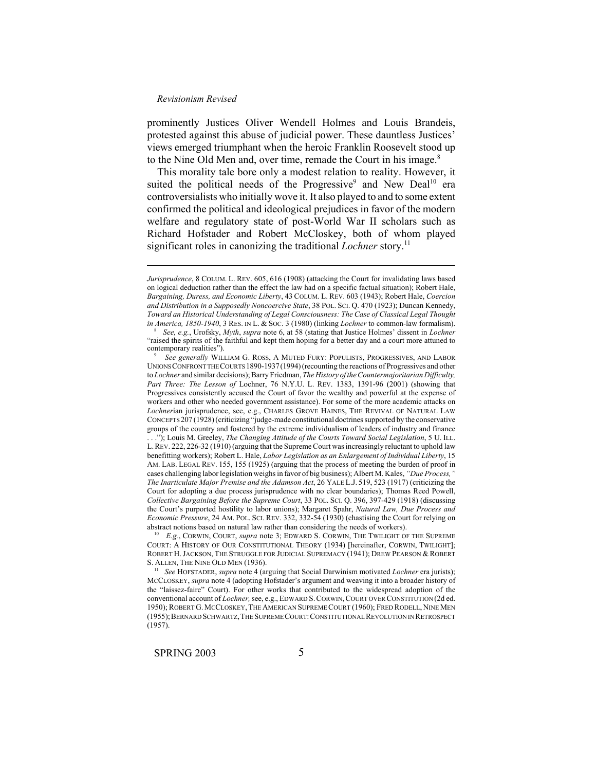prominently Justices Oliver Wendell Holmes and Louis Brandeis, protested against this abuse of judicial power. These dauntless Justices' views emerged triumphant when the heroic Franklin Roosevelt stood up to the Nine Old Men and, over time, remade the Court in his image.<sup>8</sup>

 This morality tale bore only a modest relation to reality. However, it suited the political needs of the Progressive<sup>9</sup> and New Deal<sup>10</sup> era controversialists who initially wove it. It also played to and to some extent confirmed the political and ideological prejudices in favor of the modern welfare and regulatory state of post-World War II scholars such as Richard Hofstader and Robert McCloskey, both of whom played significant roles in canonizing the traditional *Lochner* story.<sup>11</sup>

*Jurisprudence*, 8 COLUM. L. REV. 605, 616 (1908) (attacking the Court for invalidating laws based on logical deduction rather than the effect the law had on a specific factual situation); Robert Hale, *Bargaining, Duress, and Economic Liberty*, 43 COLUM. L. REV. 603 (1943); Robert Hale, *Coercion and Distribution in a Supposedly Noncoercive State*, 38 POL. SCI. Q. 470 (1923); Duncan Kennedy, *Toward an Historical Understanding of Legal Consciousness: The Case of Classical Legal Thought in America, 1850-1940*, 3 RES. IN L. & SOC. 3 (1980) (linking *Lochner* to common-law formalism).

<sup>8</sup> *See, e.g.*, Urofsky, *Myth*, *supra* note 6, at 58 (stating that Justice Holmes' dissent in *Lochner* "raised the spirits of the faithful and kept them hoping for a better day and a court more attuned to contemporary realities").

<sup>9</sup> *See generally* WILLIAM G. ROSS, A MUTED FURY: POPULISTS, PROGRESSIVES, AND LABOR UNIONS CONFRONT THE COURTS 1890-1937(1994) (recounting the reactions of Progressives and other to *Lochner* and similar decisions); Barry Friedman, *The History of the Countermajoritarian Difficulty, Part Three: The Lesson of* Lochner, 76 N.Y.U. L. REV. 1383, 1391-96 (2001) (showing that Progressives consistently accused the Court of favor the wealthy and powerful at the expense of workers and other who needed government assistance). For some of the more academic attacks on *Lochner*ian jurisprudence, see, e.g., CHARLES GROVE HAINES, THE REVIVAL OF NATURAL LAW CONCEPTS 207 (1928) (criticizing "judge-made constitutional doctrines supported by the conservative groups of the country and fostered by the extreme individualism of leaders of industry and finance . . ."); Louis M. Greeley, *The Changing Attitude of the Courts Toward Social Legislation*, 5 U. ILL. L.REV. 222, 226-32 (1910) (arguing that the Supreme Court was increasingly reluctant to uphold law benefitting workers); Robert L. Hale, *Labor Legislation as an Enlargement of Individual Liberty*, 15 AM. LAB. LEGAL REV. 155, 155 (1925) (arguing that the process of meeting the burden of proof in cases challenging labor legislation weighs in favor of big business); Albert M. Kales, *"Due Process," The Inarticulate Major Premise and the Adamson Act*, 26 YALE L.J. 519, 523 (1917) (criticizing the Court for adopting a due process jurisprudence with no clear boundaries); Thomas Reed Powell, *Collective Bargaining Before the Supreme Court*, 33 POL. SCI. Q. 396, 397-429 (1918) (discussing the Court's purported hostility to labor unions); Margaret Spahr, *Natural Law, Due Process and Economic Pressure*, 24 AM. POL. SCI. REV. 332, 332-54 (1930) (chastising the Court for relying on abstract notions based on natural law rather than considering the needs of workers).

<sup>10</sup> *E.g.*, CORWIN, COURT, *supra* note 3; EDWARD S. CORWIN, THE TWILIGHT OF THE SUPREME COURT: A HISTORY OF OUR CONSTITUTIONAL THEORY (1934) [hereinafter, CORWIN, TWILIGHT]; ROBERT H.JACKSON, THE STRUGGLE FOR JUDICIAL SUPREMACY (1941); DREW PEARSON & ROBERT S. ALLEN, THE NINE OLD MEN (1936).

<sup>11</sup> *See* HOFSTADER, *supra* note 4 (arguing that Social Darwinism motivated *Lochner* era jurists); MCCLOSKEY, *supra* note 4 (adopting Hofstader's argument and weaving it into a broader history of the "laissez-faire" Court). For other works that contributed to the widespread adoption of the conventional account of *Lochner,* see, e.g., EDWARD S.CORWIN,COURT OVER CONSTITUTION (2d ed. 1950); ROBERT G. MCCLOSKEY,THE AMERICAN SUPREME COURT (1960); FRED RODELL, NINE MEN (1955);BERNARD SCHWARTZ,THE SUPREME COURT:CONSTITUTIONAL REVOLUTION IN RETROSPECT (1957).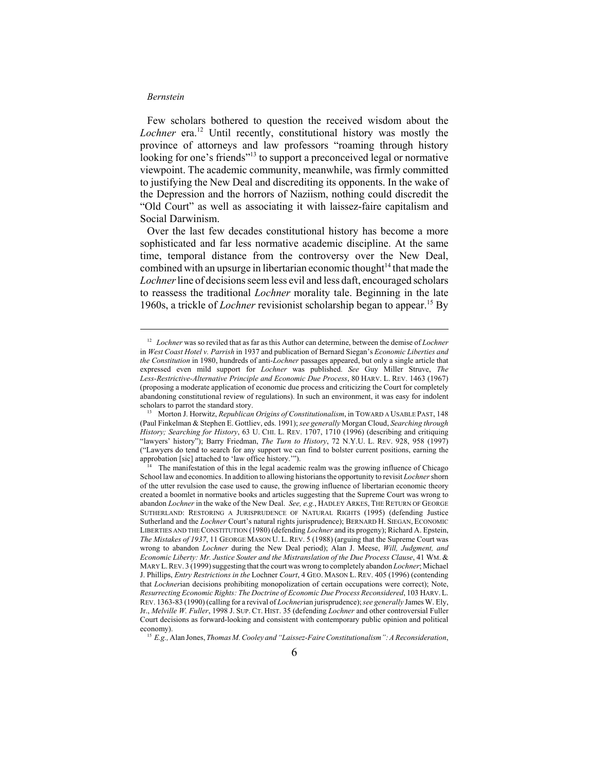Few scholars bothered to question the received wisdom about the *Lochner* era.<sup>12</sup> Until recently, constitutional history was mostly the province of attorneys and law professors "roaming through history looking for one's friends"<sup>13</sup> to support a preconceived legal or normative viewpoint. The academic community, meanwhile, was firmly committed to justifying the New Deal and discrediting its opponents. In the wake of the Depression and the horrors of Naziism, nothing could discredit the "Old Court" as well as associating it with laissez-faire capitalism and Social Darwinism.

Over the last few decades constitutional history has become a more sophisticated and far less normative academic discipline. At the same time, temporal distance from the controversy over the New Deal, combined with an upsurge in libertarian economic thought $14$  that made the *Lochner* line of decisions seem less evil and less daft, encouraged scholars to reassess the traditional *Lochner* morality tale. Beginning in the late 1960s, a trickle of *Lochner* revisionist scholarship began to appear.15 By

<sup>12</sup> *Lochner* was so reviled that as far as this Author can determine, between the demise of *Lochner* in *West Coast Hotel v. Parrish* in 1937 and publication of Bernard Siegan's *Economic Liberties and the Constitution* in 1980, hundreds of anti-*Lochner* passages appeared, but only a single article that expressed even mild support for *Lochner* was published. *See* Guy Miller Struve, *The Less-Restrictive-Alternative Principle and Economic Due Process*, 80 HARV. L. REV. 1463 (1967) (proposing a moderate application of economic due process and criticizing the Court for completely abandoning constitutional review of regulations). In such an environment, it was easy for indolent scholars to parrot the standard story.

<sup>&</sup>lt;sup>13</sup> Morton J. Horwitz, *Republican Origins of Constitutionalism*, in TOWARD A USABLE PAST, 148 (Paul Finkelman & Stephen E. Gottliev, eds. 1991); *see generally* Morgan Cloud, *Searching through History; Searching for History*, 63 U. CHI. L. REV. 1707, 1710 (1996) (describing and critiquing "lawyers' history"); Barry Friedman, *The Turn to History*, 72 N.Y.U. L. REV. 928, 958 (1997) ("Lawyers do tend to search for any support we can find to bolster current positions, earning the approbation [sic] attached to 'law office history.'").

<sup>14</sup> The manifestation of this in the legal academic realm was the growing influence of Chicago School law and economics. In addition to allowing historians the opportunity to revisit *Lochner* shorn of the utter revulsion the case used to cause, the growing influence of libertarian economic theory created a boomlet in normative books and articles suggesting that the Supreme Court was wrong to abandon *Lochner* in the wake of the New Deal. *See, e.g.*, HADLEY ARKES, THE RETURN OF GEORGE SUTHERLAND: RESTORING A JURISPRUDENCE OF NATURAL RIGHTS (1995) (defending Justice Sutherland and the *Lochner* Court's natural rights jurisprudence); BERNARD H. SIEGAN, ECONOMIC LIBERTIES AND THE CONSTITUTION (1980) (defending *Lochner* and its progeny); Richard A. Epstein, *The Mistakes of 1937*, 11 GEORGE MASON U. L. REV. 5 (1988) (arguing that the Supreme Court was wrong to abandon *Lochner* during the New Deal period); Alan J. Meese, *Will, Judgment, and Economic Liberty: Mr. Justice Souter and the Mistranslation of the Due Process Clause*, 41 WM. & MARY L.REV. 3 (1999) suggesting that the court was wrong to completely abandon *Lochner*; Michael J. Phillips, *Entry Restrictions in the* Lochner *Court*, 4 GEO. MASON L. REV. 405 (1996) (contending that *Lochner*ian decisions prohibiting monopolization of certain occupations were correct); Note, *Resurrecting Economic Rights: The Doctrine of Economic Due Process Reconsidered*, 103 HARV.L. REV. 1363-83 (1990) (calling for a revival of *Lochner*ian jurisprudence); *see generally* James W. Ely, Jr., *Melville W. Fuller*, 1998 J. SUP. CT. HIST. 35 (defending *Lochner* and other controversial Fuller Court decisions as forward-looking and consistent with contemporary public opinion and political economy).

<sup>15</sup> *E.g.,* Alan Jones, *Thomas M. Cooley and "Laissez-Faire Constitutionalism": A Reconsideration*,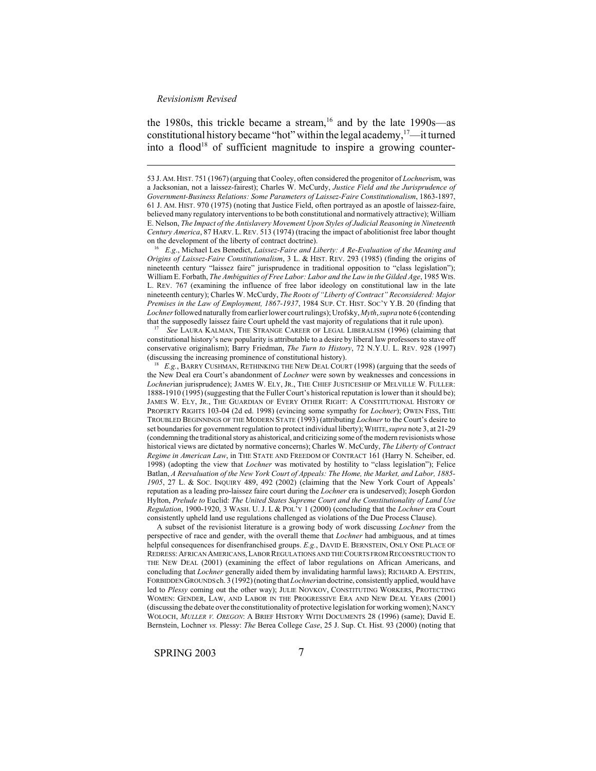the 1980s, this trickle became a stream, $16$  and by the late 1990s—as constitutional history became "hot" within the legal academy,  $17$ —it turned into a flood<sup>18</sup> of sufficient magnitude to inspire a growing counter-

17 *See* LAURA KALMAN, THE STRANGE CAREER OF LEGAL LIBERALISM (1996) (claiming that constitutional history's new popularity is attributable to a desire by liberal law professors to stave off conservative originalism); Barry Friedman, *The Turn to History*, 72 N.Y.U. L. REV. 928 (1997) (discussing the increasing prominence of constitutional history).

 A subset of the revisionist literature is a growing body of work discussing *Lochner* from the perspective of race and gender, with the overall theme that *Lochner* had ambiguous, and at times helpful consequences for disenfranchised groups. *E.g.*, DAVID E. BERNSTEIN, ONLY ONE PLACE OF REDRESS:AFRICAN AMERICANS,LABOR REGULATIONS AND THE COURTS FROM RECONSTRUCTION TO THE NEW DEAL (2001) (examining the effect of labor regulations on African Americans, and concluding that *Lochner* generally aided them by invalidating harmful laws); RICHARD A. EPSTEIN, FORBIDDEN GROUNDS ch. 3 (1992) (noting that *Lochner*ian doctrine, consistently applied, would have led to *Plessy* coming out the other way); JULIE NOVKOV, CONSTITUTING WORKERS, PROTECTING WOMEN: GENDER, LAW, AND LABOR IN THE PROGRESSIVE ERA AND NEW DEAL YEARS (2001) (discussing the debate over the constitutionality of protective legislation for working women); NANCY WOLOCH, *MULLER V. OREGON*: A BRIEF HISTORY WITH DOCUMENTS 28 (1996) (same); David E. Bernstein, Lochner *vs.* Plessy: *The* Berea College *Case*, 25 J. Sup. Ct. Hist. 93 (2000) (noting that

<sup>53</sup> J.AM.HIST. 751 (1967) (arguing that Cooley, often considered the progenitor of *Lochner*ism, was a Jacksonian, not a laissez-fairest); Charles W. McCurdy, *Justice Field and the Jurisprudence of Government-Business Relations: Some Parameters of Laissez-Faire Constitutionalism*, 1863-1897, 61 J. AM. HIST. 970 (1975) (noting that Justice Field, often portrayed as an apostle of laissez-faire, believed many regulatory interventions to be both constitutional and normatively attractive); William E. Nelson, *The Impact of the Antislavery Movement Upon Styles of Judicial Reasoning in Nineteenth Century America*, 87 HARV. L.REV. 513 (1974) (tracing the impact of abolitionist free labor thought on the development of the liberty of contract doctrine).

<sup>16</sup> *E.g*., Michael Les Benedict, *Laissez-Faire and Liberty: A Re-Evaluation of the Meaning and Origins of Laissez-Faire Constitutionalism*, 3 L. & HIST. REV. 293 (1985) (finding the origins of nineteenth century "laissez faire" jurisprudence in traditional opposition to "class legislation"); William E. Forbath, *The Ambiguities of Free Labor: Labor and the Law in the Gilded Age*, 1985 WIS. L. REV. 767 (examining the influence of free labor ideology on constitutional law in the late nineteenth century); Charles W. McCurdy, *The Roots of "Liberty of Contract" Reconsidered: Major Premises in the Law of Employment, 1867-1937*, 1984 SUP. CT. HIST. SOC'Y Y.B. 20 (finding that *Lochner* followed naturally from earlier lower court rulings); Urofsky, *Myth*, *supra* note 6 (contending that the supposedly laissez faire Court upheld the vast majority of regulations that it rule upon).

<sup>&</sup>lt;sup>18</sup>  $E.g.,$  BARRY CUSHMAN, RETHINKING THE NEW DEAL COURT (1998) (arguing that the seeds of the New Deal era Court's abandonment of *Lochner* were sown by weaknesses and concessions in *Lochner*ian jurisprudence); JAMES W. ELY, JR., THE CHIEF JUSTICESHIP OF MELVILLE W. FULLER: 1888-1910 (1995) (suggesting that the Fuller Court's historical reputation is lower than it should be); JAMES W. ELY, JR., THE GUARDIAN OF EVERY OTHER RIGHT: A CONSTITUTIONAL HISTORY OF PROPERTY RIGHTS 103-04 (2d ed. 1998) (evincing some sympathy for *Lochner*); OWEN FISS, THE TROUBLED BEGINNINGS OF THE MODERN STATE (1993) (attributing *Lochner* to the Court's desire to set boundaries for government regulation to protect individual liberty); WHITE, supra note 3, at 21-29 (condemning the traditional story as ahistorical, and criticizing some of the modern revisionists whose historical views are dictated by normative concerns); Charles W. McCurdy, *The Liberty of Contract Regime in American Law*, in THE STATE AND FREEDOM OF CONTRACT 161 (Harry N. Scheiber, ed. 1998) (adopting the view that *Lochner* was motivated by hostility to "class legislation"); Felice Batlan, *A Reevaluation of the New York Court of Appeals: The Home, the Market, and Labor, 1885- 1905*, 27 L. & SOC. INQUIRY 489, 492 (2002) (claiming that the New York Court of Appeals' reputation as a leading pro-laissez faire court during the *Lochner* era is undeserved); Joseph Gordon Hylton, *Prelude to* Euclid: *The United States Supreme Court and the Constitutionality of Land Use Regulation*, 1900-1920, 3 WASH. U. J. L & POL'Y 1 (2000) (concluding that the *Lochner* era Court consistently upheld land use regulations challenged as violations of the Due Process Clause).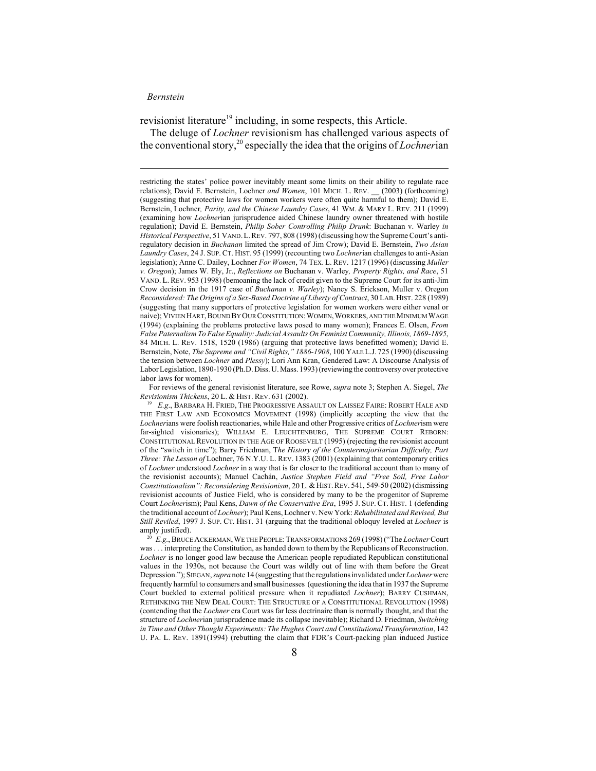revisionist literature<sup>19</sup> including, in some respects, this Article.

 The deluge of *Lochner* revisionism has challenged various aspects of the conventional story,<sup>20</sup> especially the idea that the origins of *Lochnerian* 

For reviews of the general revisionist literature, see Rowe, *supra* note 3; Stephen A. Siegel, *The*

amply justified). 20 *E.g.*, BRUCE ACKERMAN,WE THE PEOPLE:TRANSFORMATIONS 269 (1998) ("The *Lochner* Court was . . . interpreting the Constitution, as handed down to them by the Republicans of Reconstruction. *Lochner* is no longer good law because the American people repudiated Republican constitutional values in the 1930s, not because the Court was wildly out of line with them before the Great Depression."); SIEGAN, *supra* note 14 (suggesting that the regulations invalidated under *Lochner* were frequently harmful to consumers and small businesses (questioning the idea that in 1937 the Supreme Court buckled to external political pressure when it repudiated *Lochner*); BARRY CUSHMAN, RETHINKING THE NEW DEAL COURT: THE STRUCTURE OF A CONSTITUTIONAL REVOLUTION (1998) (contending that the *Lochner* era Court was far less doctrinaire than is normally thought, and that the structure of *Lochner*ian jurisprudence made its collapse inevitable); Richard D. Friedman, *Switching in Time and Other Thought Experiments: The Hughes Court and Constitutional Transformation*, 142 U. PA. L. REV. 1891(1994) (rebutting the claim that FDR's Court-packing plan induced Justice

restricting the states' police power inevitably meant some limits on their ability to regulate race relations); David E. Bernstein, Lochner and Women, 101 MICH. L. REV. \_\_ (2003) (forthcoming) (suggesting that protective laws for women workers were often quite harmful to them); David E. Bernstein, Lochner*, Parity, and the Chinese Laundry Cases*, 41 WM. & MARY L. REV. 211 (1999) (examining how *Lochner*ian jurisprudence aided Chinese laundry owner threatened with hostile regulation); David E. Bernstein, *Philip Sober Controlling Philip Drunk*: Buchanan v. Warley *in Historical Perspective*, 51 VAND.L.REV. 797, 808 (1998) (discussing how the Supreme Court's antiregulatory decision in *Buchanan* limited the spread of Jim Crow); David E. Bernstein, *Two Asian Laundry Cases*, 24 J. SUP. CT. HIST. 95 (1999) (recounting two *Lochner*ian challenges to anti-Asian legislation); Anne C. Dailey, Lochner *For Women*, 74 TEX. L. REV. 1217 (1996) (discussing *Muller v. Oregon*); James W. Ely, Jr., *Reflections on* Buchanan v. Warley*, Property Rights, and Race*, 51 VAND. L. REV. 953 (1998) (bemoaning the lack of credit given to the Supreme Court for its anti-Jim Crow decision in the 1917 case of *Buchanan v. Warley*); Nancy S. Erickson, Muller v. Oregon *Reconsidered: The Origins of a Sex-Based Doctrine of Liberty of Contract*, 30 LAB.HIST. 228 (1989) (suggesting that many supporters of protective legislation for women workers were either venal or naive); VIVIEN HART, BOUND BY OUR CONSTITUTION: WOMEN, WORKERS, AND THE MINIMUM WAGE (1994) (explaining the problems protective laws posed to many women); Frances E. Olsen, *From False Paternalism To False Equality: Judicial Assaults On Feminist Community, Illinois, 1869-1895*, 84 MICH. L. REV. 1518, 1520 (1986) (arguing that protective laws benefitted women); David E. Bernstein, Note, *The Supreme and "Civil Rights," 1886-1908*, 100 YALE L.J. 725 (1990) (discussing the tension between *Lochner* and *Plessy*); Lori Ann Kran, Gendered Law: A Discourse Analysis of Labor Legislation, 1890-1930 (Ph.D. Diss. U. Mass. 1993) (reviewing the controversy over protective labor laws for women).

*E.g.*, BARBARA H. FRIED, THE PROGRESSIVE ASSAULT ON LAISSEZ FAIRE: ROBERT HALE AND THE FIRST LAW AND ECONOMICS MOVEMENT (1998) (implicitly accepting the view that the *Lochner*ians were foolish reactionaries, while Hale and other Progressive critics of *Lochner*ism were far-sighted visionaries); WILLIAM E. LEUCHTENBURG, THE SUPREME COURT REBORN: CONSTITUTIONAL REVOLUTION IN THE AGE OF ROOSEVELT (1995) (rejecting the revisionist account of the "switch in time"); Barry Friedman, T*he History of the Countermajoritarian Difficulty, Part Three: The Lesson of* Lochner, 76 N.Y.U. L. REV. 1383 (2001) (explaining that contemporary critics of *Lochner* understood *Lochner* in a way that is far closer to the traditional account than to many of the revisionist accounts); Manuel Cachán, *Justice Stephen Field and "Free Soil, Free Labor Constitutionalism": Reconsidering Revisionism, 20 L. & HIST. REV. 541, 549-50 (2002) (dismissing* revisionist accounts of Justice Field, who is considered by many to be the progenitor of Supreme Court *Lochner*ism); Paul Kens, *Dawn of the Conservative Era*, 1995 J. SUP. CT. HIST. 1 (defending the traditional account of *Lochner*); Paul Kens, Lochner v. New York: *Rehabilitated and Revised, But Still Reviled*, 1997 J. SUP. CT. HIST. 31 (arguing that the traditional obloquy leveled at *Lochner* is amply justified).<br><sup>20</sup> E.G. BRUCE ACKERMAN WETHE RONER: TRANSFORMATIONS 260.(1999) (STLa Lechner Grand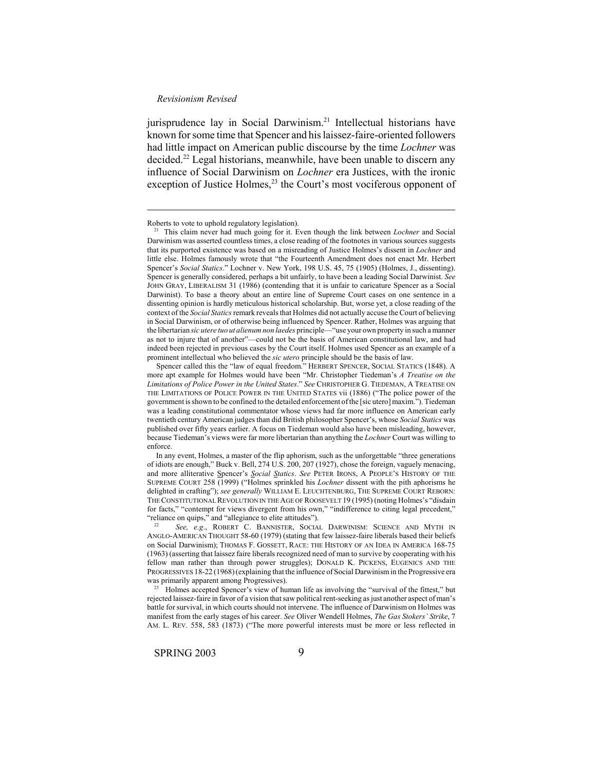jurisprudence lay in Social Darwinism.<sup>21</sup> Intellectual historians have known for some time that Spencer and his laissez-faire-oriented followers had little impact on American public discourse by the time *Lochner* was decided.22 Legal historians, meanwhile, have been unable to discern any influence of Social Darwinism on *Lochner* era Justices, with the ironic exception of Justice Holmes, $^{23}$  the Court's most vociferous opponent of

Roberts to vote to uphold regulatory legislation).

<sup>21</sup> This claim never had much going for it. Even though the link between *Lochner* and Social Darwinism was asserted countless times, a close reading of the footnotes in various sources suggests that its purported existence was based on a misreading of Justice Holmes's dissent in *Lochner* and little else. Holmes famously wrote that "the Fourteenth Amendment does not enact Mr. Herbert Spencer's *Social Statics*." Lochner v. New York, 198 U.S. 45, 75 (1905) (Holmes, J., dissenting). Spencer is generally considered, perhaps a bit unfairly, to have been a leading Social Darwinist. *See* JOHN GRAY, LIBERALISM 31 (1986) (contending that it is unfair to caricature Spencer as a Social Darwinist). To base a theory about an entire line of Supreme Court cases on one sentence in a dissenting opinion is hardly meticulous historical scholarship. But, worse yet, a close reading of the context of the *Social Statics* remark reveals that Holmes did not actually accuse the Court of believing in Social Darwinism, or of otherwise being influenced by Spencer. Rather, Holmes was arguing that the libertarian *sic utere tuo ut alienum non laedes* principle—"use your own property in such a manner as not to injure that of another"—could not be the basis of American constitutional law, and had indeed been rejected in previous cases by the Court itself. Holmes used Spencer as an example of a prominent intellectual who believed the *sic utero* principle should be the basis of law.

Spencer called this the "law of equal freedom." HERBERT SPENCER, SOCIAL STATICS (1848). A more apt example for Holmes would have been "Mr. Christopher Tiedeman's *A Treatise on the Limitations of Police Power in the United States*." *See* CHRISTOPHER G. TIEDEMAN, A TREATISE ON THE LIMITATIONS OF POLICE POWER IN THE UNITED STATES vii (1886) ("The police power of the government is shown to be confined to the detailed enforcement of the [sic utero] maxim."). Tiedeman was a leading constitutional commentator whose views had far more influence on American early twentieth century American judges than did British philosopher Spencer's, whose *Social Statics* was published over fifty years earlier. A focus on Tiedeman would also have been misleading, however, because Tiedeman's views were far more libertarian than anything the *Lochner* Court was willing to enforce.

In any event, Holmes, a master of the flip aphorism, such as the unforgettable "three generations of idiots are enough," Buck v. Bell, 274 U.S. 200, 207 (1927), chose the foreign, vaguely menacing, and more alliterative Spencer's *Social Statics*. *See* PETER IRONS, A PEOPLE'S HISTORY OF THE SUPREME COURT 258 (1999) ("Holmes sprinkled his *Lochner* dissent with the pith aphorisms he delighted in crafting"); *see generally* WILLIAM E. LEUCHTENBURG, THE SUPREME COURT REBORN: THE CONSTITUTIONAL REVOLUTION IN THE AGE OF ROOSEVELT 19 (1995) (noting Holmes's "disdain for facts," "contempt for views divergent from his own," "indifference to citing legal precedent," "reliance on quips," and "allegiance to elite attitudes"). 22 *See, e.g*., ROBERT C. BANNISTER, SOCIAL DARWINISM: SCIENCE AND MYTH IN

ANGLO-AMERICAN THOUGHT 58-60 (1979) (stating that few laissez-faire liberals based their beliefs on Social Darwinism); THOMAS F. GOSSETT, RACE: THE HISTORY OF AN IDEA IN AMERICA 168-75 (1963) (asserting that laissez faire liberals recognized need of man to survive by cooperating with his fellow man rather than through power struggles); DONALD K. PICKENS, EUGENICS AND THE PROGRESSIVES 18-22 (1968) (explaining that the influence of Social Darwinism in the Progressive era was primarily apparent among Progressives).

<sup>&</sup>lt;sup>23</sup> Holmes accepted Spencer's view of human life as involving the "survival of the fittest," but rejected laissez-faire in favor of a vision that saw political rent-seeking as just another aspect of man's battle for survival, in which courts should not intervene. The influence of Darwinism on Holmes was manifest from the early stages of his career. *See* Oliver Wendell Holmes, *The Gas Stokers' Strike*, 7 AM. L. REV. 558, 583 (1873) ("The more powerful interests must be more or less reflected in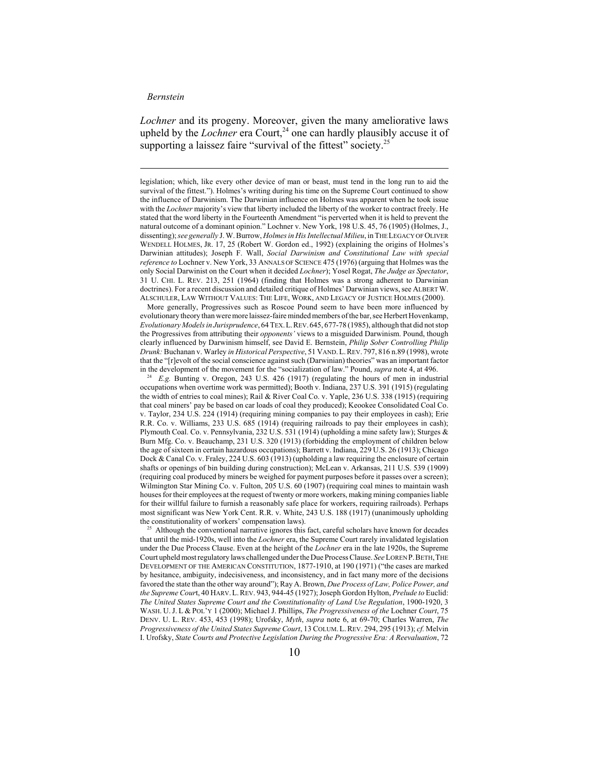*Lochner* and its progeny. Moreover, given the many ameliorative laws upheld by the *Lochner* era Court,<sup>24</sup> one can hardly plausibly accuse it of supporting a laissez faire "survival of the fittest" society.<sup>25</sup>

More generally, Progressives such as Roscoe Pound seem to have been more influenced by evolutionary theory than were more laissez-faire minded members of the bar, see Herbert Hovenkamp, *Evolutionary Models in Jurisprudence*, 64 TEX.L.REV.645, 677-78 (1985), although that did not stop the Progressives from attributing their *opponents'* views to a misguided Darwinism. Pound, though clearly influenced by Darwinism himself, see David E. Bernstein, *Philip Sober Controlling Philip Drunk:* Buchanan v. Warley *in Historical Perspective*, 51 VAND.L.REV. 797, 816 n.89 (1998), wrote that the "[r]evolt of the social conscience against such (Darwinian) theories" was an important factor in the development of the movement for the "socialization of law." Pound, *supra* note 4, at 496.

24 *E.g.* Bunting v. Oregon, 243 U.S. 426 (1917) (regulating the hours of men in industrial occupations when overtime work was permitted); Booth v. Indiana, 237 U.S. 391 (1915) (regulating the width of entries to coal mines); Rail & River Coal Co. v. Yaple, 236 U.S. 338 (1915) (requiring that coal miners' pay be based on car loads of coal they produced); Keookee Consolidated Coal Co. v. Taylor, 234 U.S. 224 (1914) (requiring mining companies to pay their employees in cash); Erie R.R. Co. v. Williams, 233 U.S. 685 (1914) (requiring railroads to pay their employees in cash); Plymouth Coal. Co. v. Pennsylvania, 232 U.S. 531 (1914) (upholding a mine safety law); Sturges & Burn Mfg. Co. v. Beauchamp, 231 U.S. 320 (1913) (forbidding the employment of children below the age of sixteen in certain hazardous occupations); Barrett v. Indiana, 229 U.S. 26 (1913); Chicago Dock & Canal Co. v. Fraley, 224 U.S. 603 (1913) (upholding a law requiring the enclosure of certain shafts or openings of bin building during construction); McLean v. Arkansas, 211 U.S. 539 (1909) (requiring coal produced by miners be weighed for payment purposes before it passes over a screen); Wilmington Star Mining Co. v. Fulton, 205 U.S. 60 (1907) (requiring coal mines to maintain wash houses for their employees at the request of twenty or more workers, making mining companies liable for their willful failure to furnish a reasonably safe place for workers, requiring railroads). Perhaps most significant was New York Cent. R.R. v. White, 243 U.S. 188 (1917) (unanimously upholding the constitutionality of workers' compensation laws).

Although the conventional narrative ignores this fact, careful scholars have known for decades that until the mid-1920s, well into the *Lochner* era, the Supreme Court rarely invalidated legislation under the Due Process Clause. Even at the height of the *Lochner* era in the late 1920s, the Supreme Court upheld most regulatory laws challenged under the Due Process Clause. *See* LOREN P.BETH,THE DEVELOPMENT OF THE AMERICAN CONSTITUTION, 1877-1910, at 190 (1971) ("the cases are marked by hesitance, ambiguity, indecisiveness, and inconsistency, and in fact many more of the decisions favored the state than the other way around"); Ray A. Brown, *Due Process of Law, Police Power, and the Supreme Cour*t, 40 HARV.L.REV. 943, 944-45 (1927); Joseph Gordon Hylton, *Prelude to* Euclid: *The United States Supreme Court and the Constitutionality of Land Use Regulation*, 1900-1920, 3 WASH. U.J. L & POL'Y 1 (2000); Michael J. Phillips, *The Progressiveness of the* Lochner *Court*, 75 DENV. U. L. REV. 453, 453 (1998); Urofsky, *Myth*, *supra* note 6, at 69-70; Charles Warren, *The Progressiveness of the United States Supreme Court*, 13 COLUM.L.REV. 294, 295 (1913); *cf.* Melvin I. Urofsky, *State Courts and Protective Legislation During the Progressive Era: A Reevaluation*, 72

legislation; which, like every other device of man or beast, must tend in the long run to aid the survival of the fittest."). Holmes's writing during his time on the Supreme Court continued to show the influence of Darwinism. The Darwinian influence on Holmes was apparent when he took issue with the *Lochner* majority's view that liberty included the liberty of the worker to contract freely. He stated that the word liberty in the Fourteenth Amendment "is perverted when it is held to prevent the natural outcome of a dominant opinion." Lochner v. New York, 198 U.S. 45, 76 (1905) (Holmes, J., dissenting); *see generally* J. W. Burrow, *Holmes in His Intellectual Milieu*, in THE LEGACY OF OLIVER WENDELL HOLMES, JR. 17, 25 (Robert W. Gordon ed., 1992) (explaining the origins of Holmes's Darwinian attitudes); Joseph F. Wall, *Social Darwinism and Constitutional Law with special reference to* Lochner v. New York, 33 ANNALS OF SCIENCE 475 (1976) (arguing that Holmes was the only Social Darwinist on the Court when it decided *Lochner*); Yosel Rogat, *The Judge as Spectator*, 31 U. CHI. L. REV. 213, 251 (1964) (finding that Holmes was a strong adherent to Darwinian doctrines). For a recent discussion and detailed critique of Holmes' Darwinian views, see ALBERT W. ALSCHULER, LAW WITHOUT VALUES: THE LIFE, WORK, AND LEGACY OF JUSTICE HOLMES (2000).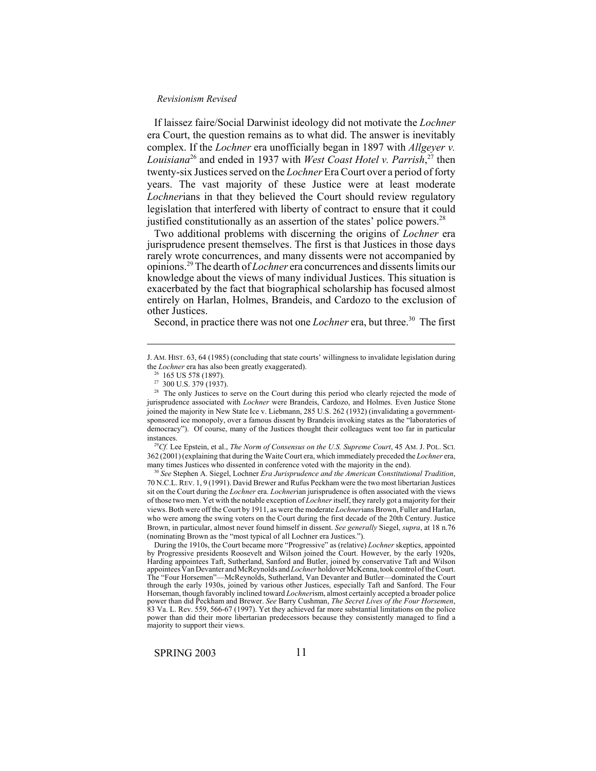If laissez faire/Social Darwinist ideology did not motivate the *Lochner* era Court, the question remains as to what did. The answer is inevitably complex. If the *Lochner* era unofficially began in 1897 with *Allgeyer v. Louisiana*26 and ended in 1937 with *West Coast Hotel v. Parrish*, 27 then twenty-six Justices served on the *Lochner* Era Court over a period of forty years. The vast majority of these Justice were at least moderate *Lochner*ians in that they believed the Court should review regulatory legislation that interfered with liberty of contract to ensure that it could justified constitutionally as an assertion of the states' police powers.<sup>28</sup>

Two additional problems with discerning the origins of *Lochner* era jurisprudence present themselves. The first is that Justices in those days rarely wrote concurrences, and many dissents were not accompanied by opinions.29 The dearth of *Lochner* era concurrences and dissents limits our knowledge about the views of many individual Justices. This situation is exacerbated by the fact that biographical scholarship has focused almost entirely on Harlan, Holmes, Brandeis, and Cardozo to the exclusion of other Justices.

Second, in practice there was not one *Lochner* era, but three.<sup>30</sup> The first

<sup>29</sup>*Cf.* Lee Epstein, et al., *The Norm of Consensus on the U.S. Supreme Court*, 45 AM. J. POL. SCI. 362 (2001) (explaining that during the Waite Court era, which immediately preceded the *Lochner* era, many times Justices who dissented in conference voted with the majority in the end).

<sup>30</sup> *See* Stephen A. Siegel, Lochner *Era Jurisprudence and the American Constitutional Tradition*, 70 N.C.L. REV. 1, 9 (1991). David Brewer and Rufus Peckham were the two most libertarian Justices sit on the Court during the *Lochner* era. *Lochner*ian jurisprudence is often associated with the views of those two men. Yet with the notable exception of *Lochner* itself, they rarely got a majority for their views. Both were off the Court by 1911, as were the moderate *Lochner*ians Brown, Fuller and Harlan, who were among the swing voters on the Court during the first decade of the 20th Century. Justice Brown, in particular, almost never found himself in dissent. *See generally* Siegel, *supra*, at 18 n.76 (nominating Brown as the "most typical of all Lochner era Justices.").

During the 1910s, the Court became more "Progressive" as (relative) *Lochner* skeptics, appointed by Progressive presidents Roosevelt and Wilson joined the Court. However, by the early 1920s, Harding appointees Taft, Sutherland, Sanford and Butler, joined by conservative Taft and Wilson appointees Van Devanter and McReynolds and *Lochner* holdover McKenna, took control of the Court. The "Four Horsemen"––McReynolds, Sutherland, Van Devanter and Butler––dominated the Court through the early 1930s, joined by various other Justices, especially Taft and Sanford. The Four Horseman, though favorably inclined toward *Lochner*ism, almost certainly accepted a broader police power than did Peckham and Brewer. *See* Barry Cushman, *The Secret Lives of the Four Horsemen*, 83 Va. L. Rev. 559, 566-67 (1997). Yet they achieved far more substantial limitations on the police power than did their more libertarian predecessors because they consistently managed to find a majority to support their views.

J. AM. HIST. 63, 64 (1985) (concluding that state courts' willingness to invalidate legislation during the *Lochner* era has also been greatly exaggerated).

<sup>&</sup>lt;sup>26</sup> 165 US 578 (1897).

<sup>27 300</sup> U.S. 379 (1937).

<sup>&</sup>lt;sup>28</sup> The only Justices to serve on the Court during this period who clearly rejected the mode of jurisprudence associated with *Lochner* were Brandeis, Cardozo, and Holmes. Even Justice Stone joined the majority in New State Ice v. Liebmann, 285 U.S. 262 (1932) (invalidating a governmentsponsored ice monopoly, over a famous dissent by Brandeis invoking states as the "laboratories of democracy"). Of course, many of the Justices thought their colleagues went too far in particular instances.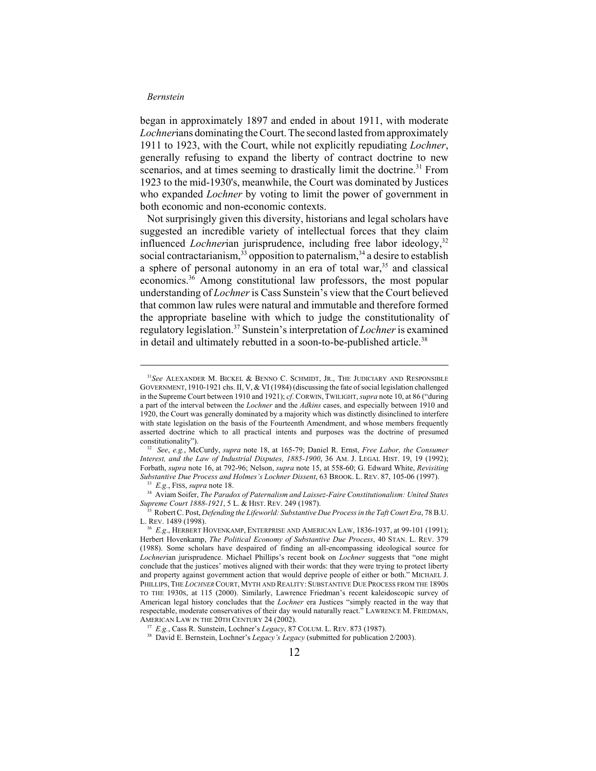began in approximately 1897 and ended in about 1911, with moderate *Lochner*ians dominating the Court. The second lasted from approximately 1911 to 1923, with the Court, while not explicitly repudiating *Lochner*, generally refusing to expand the liberty of contract doctrine to new scenarios, and at times seeming to drastically limit the doctrine.<sup>31</sup> From 1923 to the mid-1930's, meanwhile, the Court was dominated by Justices who expanded *Lochner* by voting to limit the power of government in both economic and non-economic contexts.

Not surprisingly given this diversity, historians and legal scholars have suggested an incredible variety of intellectual forces that they claim influenced *Lochnerian* jurisprudence, including free labor ideology,<sup>32</sup> social contractarianism,  $33$  opposition to paternalism,  $34$  a desire to establish a sphere of personal autonomy in an era of total war, $35$  and classical economics.36 Among constitutional law professors, the most popular understanding of *Lochner* is Cass Sunstein's view that the Court believed that common law rules were natural and immutable and therefore formed the appropriate baseline with which to judge the constitutionality of regulatory legislation.37 Sunstein's interpretation of *Lochner* is examined in detail and ultimately rebutted in a soon-to-be-published article.<sup>38</sup>

<sup>31</sup>*See* ALEXANDER M. BICKEL & BENNO C. SCHMIDT, JR., THE JUDICIARY AND RESPONSIBLE GOVERNMENT, 1910-1921 chs. II, V,  $&$  VI (1984) (discussing the fate of social legislation challenged in the Supreme Court between 1910 and 1921); *cf*. CORWIN, TWILIGHT, *supra* note 10, at 86 ("during a part of the interval between the *Lochner* and the *Adkins* cases, and especially between 1910 and 1920, the Court was generally dominated by a majority which was distinctly disinclined to interfere with state legislation on the basis of the Fourteenth Amendment, and whose members frequently asserted doctrine which to all practical intents and purposes was the doctrine of presumed constitutionality").

<sup>32</sup> *See*, *e.g.*, McCurdy, *supra* note 18, at 165-79; Daniel R. Ernst, *Free Labor, the Consumer Interest, and the Law of Industrial Disputes, 1885-1900*, 36 AM. J. LEGAL HIST. 19, 19 (1992); Forbath, *supra* note 16, at 792-96; Nelson, *supra* note 15, at 558-60; G. Edward White, *Revisiting Substantive Due Process and Holmes's Lochner Dissent*, 63 BROOK. L. REV. 87, 105-06 (1997).

<sup>33</sup> *E.g.*, FISS, *supra* note 18.

<sup>34</sup> Aviam Soifer, *The Paradox of Paternalism and Laissez-Faire Constitutionalism: United States Supreme Court 1888-1921*, 5 L. & HIST. REV. 249 (1987).

<sup>&</sup>lt;sup>55</sup> Robert C. Post, *Defending the Lifeworld: Substantive Due Process in the Taft Court Era*, 78 B.U. L. REV. 1489 (1998).

<sup>36</sup> *E.g*., HERBERT HOVENKAMP, ENTERPRISE AND AMERICAN LAW, 1836-1937, at 99-101 (1991); Herbert Hovenkamp, *The Political Economy of Substantive Due Process*, 40 STAN. L. REV. 379 (1988). Some scholars have despaired of finding an all-encompassing ideological source for *Lochner*ian jurisprudence. Michael Phillips's recent book on *Lochner* suggests that "one might conclude that the justices' motives aligned with their words: that they were trying to protect liberty and property against government action that would deprive people of either or both." MICHAEL J. PHILLIPS, THE *LOCHNER* COURT, MYTH AND REALITY: SUBSTANTIVE DUE PROCESS FROM THE 1890S TO THE 1930S, at 115 (2000). Similarly, Lawrence Friedman's recent kaleidoscopic survey of American legal history concludes that the *Lochner* era Justices "simply reacted in the way that respectable, moderate conservatives of their day would naturally react." LAWRENCE M. FRIEDMAN, AMERICAN LAW IN THE 20TH CENTURY 24 (2002).

<sup>37</sup>*E.g.*, Cass R. Sunstein, Lochner's *Legacy*, 87 COLUM. L. REV. 873 (1987). 38 David E. Bernstein, Lochner's *Legacy's Legacy* (submitted for publication 2/2003).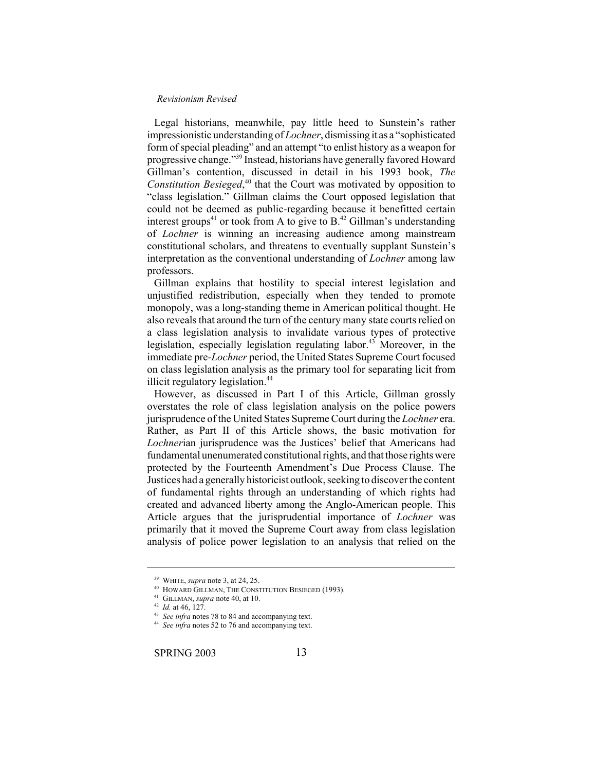Legal historians, meanwhile, pay little heed to Sunstein's rather impressionistic understanding of *Lochner*, dismissing it as a "sophisticated form of special pleading" and an attempt "to enlist history as a weapon for progressive change."39 Instead, historians have generally favored Howard Gillman's contention, discussed in detail in his 1993 book, *The Constitution Besieged*, 40 that the Court was motivated by opposition to "class legislation." Gillman claims the Court opposed legislation that could not be deemed as public-regarding because it benefitted certain interest groups<sup>41</sup> or took from A to give to B.<sup>42</sup> Gillman's understanding of *Lochner* is winning an increasing audience among mainstream constitutional scholars, and threatens to eventually supplant Sunstein's interpretation as the conventional understanding of *Lochner* among law professors.

Gillman explains that hostility to special interest legislation and unjustified redistribution, especially when they tended to promote monopoly, was a long-standing theme in American political thought. He also reveals that around the turn of the century many state courts relied on a class legislation analysis to invalidate various types of protective legislation, especially legislation regulating labor.<sup>43</sup> Moreover, in the immediate pre-*Lochner* period, the United States Supreme Court focused on class legislation analysis as the primary tool for separating licit from illicit regulatory legislation.<sup>44</sup>

However, as discussed in Part I of this Article, Gillman grossly overstates the role of class legislation analysis on the police powers jurisprudence of the United States Supreme Court during the *Lochner* era. Rather, as Part II of this Article shows, the basic motivation for *Lochner*ian jurisprudence was the Justices' belief that Americans had fundamental unenumerated constitutional rights, and that those rights were protected by the Fourteenth Amendment's Due Process Clause. The Justices had a generally historicist outlook, seeking to discover the content of fundamental rights through an understanding of which rights had created and advanced liberty among the Anglo-American people. This Article argues that the jurisprudential importance of *Lochner* was primarily that it moved the Supreme Court away from class legislation analysis of police power legislation to an analysis that relied on the

<sup>39</sup> WHITE, *supra* note 3, at 24, 25.

<sup>40</sup> HOWARD GILLMAN, THE CONSTITUTION BESIEGED (1993).

<sup>41</sup> GILLMAN, *supra* note 40, at 10.

<sup>42</sup> *Id.* at 46, 127.

<sup>43</sup> *See infra* notes 78 to 84 and accompanying text.

<sup>44</sup> *See infra* notes 52 to 76 and accompanying text.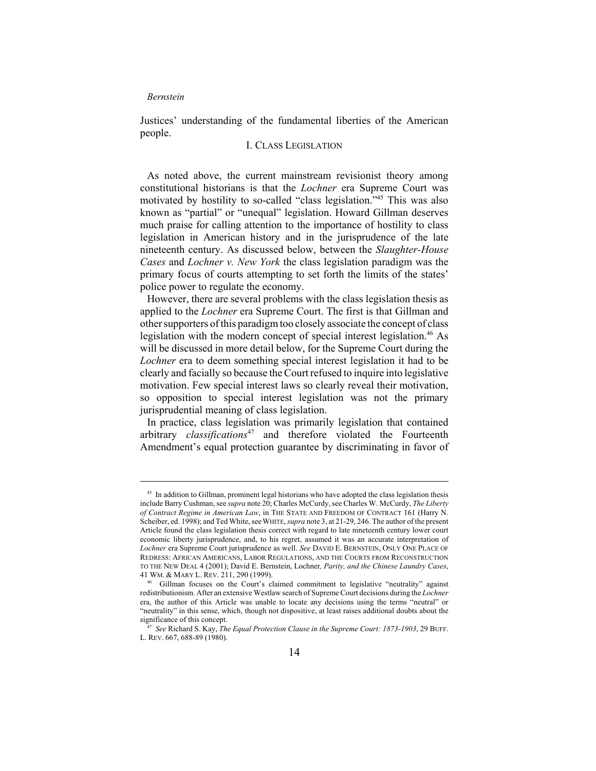Justices' understanding of the fundamental liberties of the American people.

## I. CLASS LEGISLATION

As noted above, the current mainstream revisionist theory among constitutional historians is that the *Lochner* era Supreme Court was motivated by hostility to so-called "class legislation.<sup>345</sup> This was also known as "partial" or "unequal" legislation. Howard Gillman deserves much praise for calling attention to the importance of hostility to class legislation in American history and in the jurisprudence of the late nineteenth century. As discussed below, between the *Slaughter-House Cases* and *Lochner v. New York* the class legislation paradigm was the primary focus of courts attempting to set forth the limits of the states' police power to regulate the economy.

However, there are several problems with the class legislation thesis as applied to the *Lochner* era Supreme Court. The first is that Gillman and other supporters of this paradigm too closely associate the concept of class legislation with the modern concept of special interest legislation.<sup>46</sup> As will be discussed in more detail below, for the Supreme Court during the *Lochner* era to deem something special interest legislation it had to be clearly and facially so because the Court refused to inquire into legislative motivation. Few special interest laws so clearly reveal their motivation, so opposition to special interest legislation was not the primary jurisprudential meaning of class legislation.

In practice, class legislation was primarily legislation that contained arbitrary *classifications*47 and therefore violated the Fourteenth Amendment's equal protection guarantee by discriminating in favor of

<sup>&</sup>lt;sup>45</sup> In addition to Gillman, prominent legal historians who have adopted the class legislation thesis include Barry Cushman, see *supra* note 20; Charles McCurdy, see Charles W. McCurdy, *The Liberty of Contract Regime in American Law*, in THE STATE AND FREEDOM OF CONTRACT 161 (Harry N. Scheiber, ed. 1998); and Ted White, seeWHITE, *supra* note 3, at 21-29, 246. The author of the present Article found the class legislation thesis correct with regard to late nineteenth century lower court economic liberty jurisprudence, and, to his regret, assumed it was an accurate interpretation of *Lochner* era Supreme Court jurisprudence as well. *See* DAVID E. BERNSTEIN, ONLY ONE PLACE OF REDRESS: AFRICAN AMERICANS, LABOR REGULATIONS, AND THE COURTS FROM RECONSTRUCTION TO THE NEW DEAL 4 (2001); David E. Bernstein, Lochner*, Parity, and the Chinese Laundry Cases*, 41 WM. & MARY L. REV. 211, 290 (1999).

<sup>&</sup>lt;sup>46</sup> Gillman focuses on the Court's claimed commitment to legislative "neutrality" against redistributionism. After an extensive Westlaw search of Supreme Court decisions during the *Lochner* era, the author of this Article was unable to locate any decisions using the terms "neutral" or "neutrality" in this sense, which, though not dispositive, at least raises additional doubts about the significance of this concept.

<sup>47</sup> *See* Richard S. Kay, *The Equal Protection Clause in the Supreme Court: 1873-1903*, 29 BUFF. L. REV. 667, 688-89 (1980).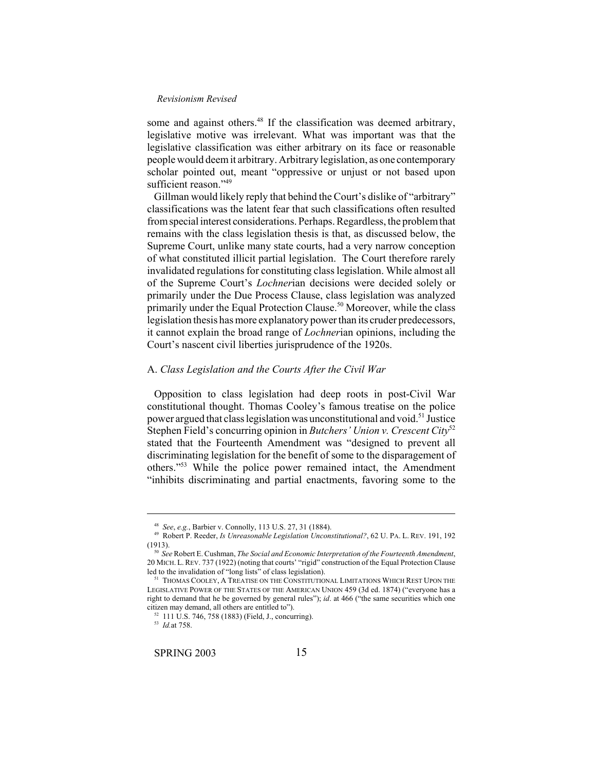some and against others.<sup>48</sup> If the classification was deemed arbitrary, legislative motive was irrelevant. What was important was that the legislative classification was either arbitrary on its face or reasonable people would deem it arbitrary. Arbitrary legislation, as one contemporary scholar pointed out, meant "oppressive or unjust or not based upon sufficient reason."<sup>49</sup>

Gillman would likely reply that behind the Court's dislike of "arbitrary" classifications was the latent fear that such classifications often resulted from special interest considerations. Perhaps. Regardless, the problem that remains with the class legislation thesis is that, as discussed below, the Supreme Court, unlike many state courts, had a very narrow conception of what constituted illicit partial legislation. The Court therefore rarely invalidated regulations for constituting class legislation. While almost all of the Supreme Court's *Lochner*ian decisions were decided solely or primarily under the Due Process Clause, class legislation was analyzed primarily under the Equal Protection Clause.<sup>50</sup> Moreover, while the class legislation thesis has more explanatory power than its cruder predecessors, it cannot explain the broad range of *Lochner*ian opinions, including the Court's nascent civil liberties jurisprudence of the 1920s.

## A. *Class Legislation and the Courts After the Civil War*

Opposition to class legislation had deep roots in post-Civil War constitutional thought. Thomas Cooley's famous treatise on the police power argued that class legislation was unconstitutional and void.51 Justice Stephen Field's concurring opinion in *Butchers' Union v. Crescent City*<sup>52</sup> stated that the Fourteenth Amendment was "designed to prevent all discriminating legislation for the benefit of some to the disparagement of others."53 While the police power remained intact, the Amendment "inhibits discriminating and partial enactments, favoring some to the

<sup>48</sup> *See*, *e.g.*, Barbier v. Connolly, 113 U.S. 27, 31 (1884).

<sup>49</sup> Robert P. Reeder, *Is Unreasonable Legislation Unconstitutional?*, 62 U. PA. L. REV. 191, 192 (1913).

<sup>50</sup> *See* Robert E. Cushman, *The Social and Economic Interpretation of the Fourteenth Amendment*, 20 MICH. L.REV. 737 (1922) (noting that courts' "rigid" construction of the Equal Protection Clause led to the invalidation of "long lists" of class legislation).

<sup>&</sup>lt;sup>51</sup> THOMAS COOLEY, A TREATISE ON THE CONSTITUTIONAL LIMITATIONS WHICH REST UPON THE LEGISLATIVE POWER OF THE STATES OF THE AMERICAN UNION 459 (3d ed. 1874) ("everyone has a right to demand that he be governed by general rules"); *id*. at 466 ("the same securities which one citizen may demand, all others are entitled to").

<sup>52 111</sup> U.S. 746, 758 (1883) (Field, J., concurring).

<sup>53</sup> *Id.*at 758.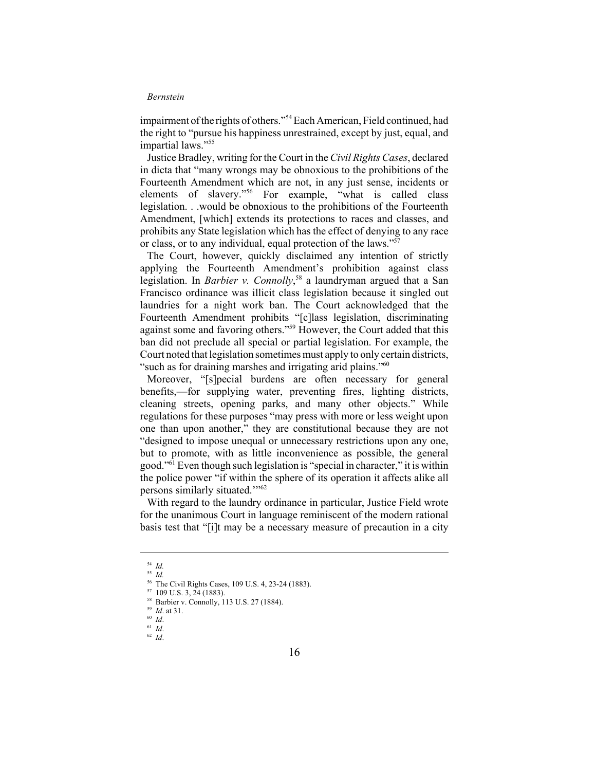impairment of the rights of others."54 Each American, Field continued, had the right to "pursue his happiness unrestrained, except by just, equal, and impartial laws."55

Justice Bradley, writing for the Court in the *Civil Rights Cases*, declared in dicta that "many wrongs may be obnoxious to the prohibitions of the Fourteenth Amendment which are not, in any just sense, incidents or elements of slavery."56 For example, "what is called class legislation. . .would be obnoxious to the prohibitions of the Fourteenth Amendment, [which] extends its protections to races and classes, and prohibits any State legislation which has the effect of denying to any race or class, or to any individual, equal protection of the laws."<sup>57</sup>

The Court, however, quickly disclaimed any intention of strictly applying the Fourteenth Amendment's prohibition against class legislation. In *Barbier v. Connolly*, 58 a laundryman argued that a San Francisco ordinance was illicit class legislation because it singled out laundries for a night work ban. The Court acknowledged that the Fourteenth Amendment prohibits "[c]lass legislation, discriminating against some and favoring others."59 However, the Court added that this ban did not preclude all special or partial legislation. For example, the Court noted that legislation sometimes must apply to only certain districts, "such as for draining marshes and irrigating arid plains."60

Moreover, "[s]pecial burdens are often necessary for general benefits,—for supplying water, preventing fires, lighting districts, cleaning streets, opening parks, and many other objects." While regulations for these purposes "may press with more or less weight upon one than upon another," they are constitutional because they are not "designed to impose unequal or unnecessary restrictions upon any one, but to promote, with as little inconvenience as possible, the general good."61 Even though such legislation is "special in character," it is within the police power "if within the sphere of its operation it affects alike all persons similarly situated."<sup>62</sup>

With regard to the laundry ordinance in particular, Justice Field wrote for the unanimous Court in language reminiscent of the modern rational basis test that "[i]t may be a necessary measure of precaution in a city

<sup>54</sup> *Id.*

<sup>55</sup> *Id.*

<sup>&</sup>lt;sup>56</sup> The Civil Rights Cases, 109 U.S. 4, 23-24 (1883).

<sup>57 109</sup> U.S. 3, 24 (1883).

<sup>58</sup> Barbier v. Connolly, 113 U.S. 27 (1884). 59 *Id*. at 31.

<sup>60</sup> *Id*.

<sup>61</sup> *Id*.

<sup>62</sup> *Id*.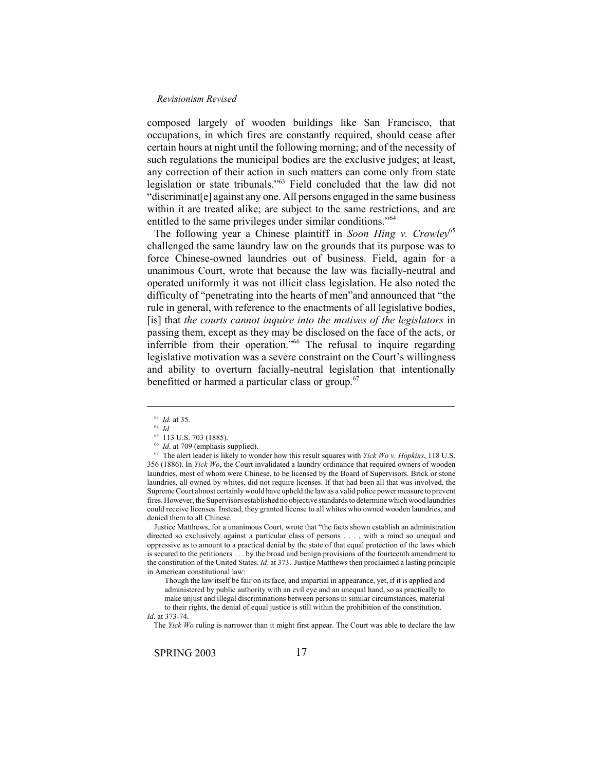composed largely of wooden buildings like San Francisco, that occupations, in which fires are constantly required, should cease after certain hours at night until the following morning; and of the necessity of such regulations the municipal bodies are the exclusive judges; at least, any correction of their action in such matters can come only from state legislation or state tribunals."63 Field concluded that the law did not "discriminat[e] against any one. All persons engaged in the same business within it are treated alike; are subject to the same restrictions, and are entitled to the same privileges under similar conditions.<sup>"64</sup>

The following year a Chinese plaintiff in *Soon Hing v. Crowley*<sup>65</sup> challenged the same laundry law on the grounds that its purpose was to force Chinese-owned laundries out of business. Field, again for a unanimous Court, wrote that because the law was facially-neutral and operated uniformly it was not illicit class legislation. He also noted the difficulty of "penetrating into the hearts of men"and announced that "the rule in general, with reference to the enactments of all legislative bodies, [is] that *the courts cannot inquire into the motives of the legislators* in passing them, except as they may be disclosed on the face of the acts, or inferrible from their operation."66 The refusal to inquire regarding legislative motivation was a severe constraint on the Court's willingness and ability to overturn facially-neutral legislation that intentionally benefitted or harmed a particular class or group.<sup>67</sup>

Justice Matthews, for a unanimous Court, wrote that "the facts shown establish an administration directed so exclusively against a particular class of persons . . . , with a mind so unequal and oppressive as to amount to a practical denial by the state of that equal protection of the laws which is secured to the petitioners . . . by the broad and benign provisions of the fourteenth amendment to the constitution of the United States. *Id*. at 373. Justice Matthews then proclaimed a lasting principle in American constitutional law:

Though the law itself be fair on its face, and impartial in appearance, yet, if it is applied and administered by public authority with an evil eye and an unequal hand, so as practically to make unjust and illegal discriminations between persons in similar circumstances, material to their rights, the denial of equal justice is still within the prohibition of the constitution. *Id*. at 373-74.

The *Yick Wo* ruling is narrower than it might first appear. The Court was able to declare the law

<sup>63</sup> *Id.* at 35.

<sup>64</sup> *Id*.

<sup>&</sup>lt;sup>65</sup> 113 U.S. 703 (1885).

<sup>&</sup>lt;sup>66</sup> *Id.* at 709 (emphasis supplied).

<sup>67</sup> The alert leader is likely to wonder how this result squares with *Yick Wo v. Hopkins*, 118 U.S. 356 (1886). In *Yick Wo*, the Court invalidated a laundry ordinance that required owners of wooden laundries, most of whom were Chinese, to be licensed by the Board of Supervisors. Brick or stone laundries, all owned by whites, did not require licenses. If that had been all that was involved, the Supreme Court almost certainly would have upheld the law as a valid police power measure to prevent fires. However, the Supervisors established no objective standards to determine which wood laundries could receive licenses. Instead, they granted license to all whites who owned wooden laundries, and denied them to all Chinese.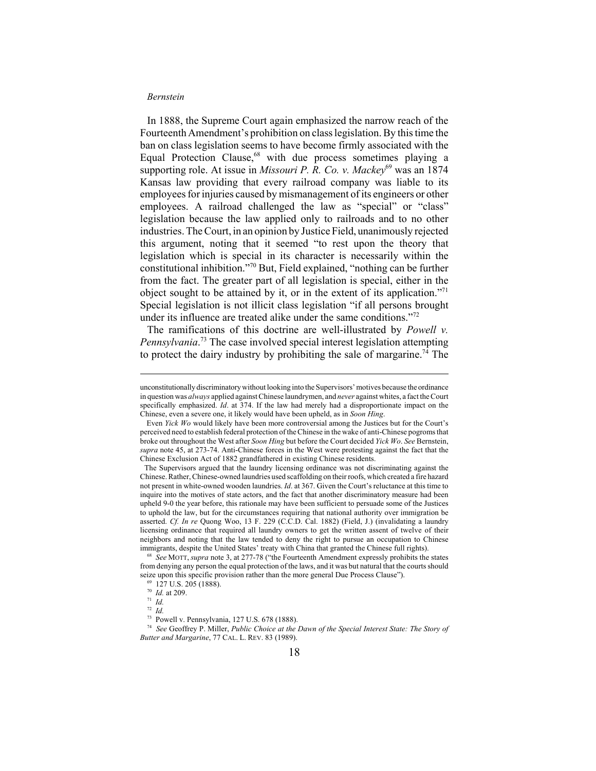In 1888, the Supreme Court again emphasized the narrow reach of the Fourteenth Amendment's prohibition on class legislation. By this time the ban on class legislation seems to have become firmly associated with the Equal Protection Clause,<sup>68</sup> with due process sometimes playing a supporting role. At issue in *Missouri P. R. Co. v. Mackey*69 was an 1874 Kansas law providing that every railroad company was liable to its employees for injuries caused by mismanagement of its engineers or other employees. A railroad challenged the law as "special" or "class" legislation because the law applied only to railroads and to no other industries. The Court, in an opinion by Justice Field, unanimously rejected this argument, noting that it seemed "to rest upon the theory that legislation which is special in its character is necessarily within the constitutional inhibition."70 But, Field explained, "nothing can be further from the fact. The greater part of all legislation is special, either in the object sought to be attained by it, or in the extent of its application."<sup>71</sup> Special legislation is not illicit class legislation "if all persons brought under its influence are treated alike under the same conditions."<sup>72</sup>

The ramifications of this doctrine are well-illustrated by *Powell v. Pennsylvania*. 73 The case involved special interest legislation attempting to protect the dairy industry by prohibiting the sale of margarine.<sup>74</sup> The

unconstitutionally discriminatory without looking into the Supervisors' motives because the ordinance in question was *always* applied against Chinese laundrymen, and *never* against whites, a fact the Court specifically emphasized. *Id*. at 374. If the law had merely had a disproportionate impact on the Chinese, even a severe one, it likely would have been upheld, as in *Soon Hing*.

Even *Yick Wo* would likely have been more controversial among the Justices but for the Court's perceived need to establish federal protection of the Chinese in the wake of anti-Chinese pogroms that broke out throughout the West after *Soon Hing* but before the Court decided *Yick Wo*. *See* Bernstein, *supra* note 45, at 273-74. Anti-Chinese forces in the West were protesting against the fact that the Chinese Exclusion Act of 1882 grandfathered in existing Chinese residents.

The Supervisors argued that the laundry licensing ordinance was not discriminating against the Chinese. Rather, Chinese-owned laundries used scaffolding on their roofs, which created a fire hazard not present in white-owned wooden laundries. *Id*. at 367. Given the Court's reluctance at this time to inquire into the motives of state actors, and the fact that another discriminatory measure had been upheld 9-0 the year before, this rationale may have been sufficient to persuade some of the Justices to uphold the law, but for the circumstances requiring that national authority over immigration be asserted. *Cf. In re* Quong Woo, 13 F. 229 (C.C.D. Cal. 1882) (Field, J.) (invalidating a laundry licensing ordinance that required all laundry owners to get the written assent of twelve of their neighbors and noting that the law tended to deny the right to pursue an occupation to Chinese immigrants, despite the United States' treaty with China that granted the Chinese full rights).

<sup>68</sup> *See* MOTT, *supra* note 3, at 277-78 ("the Fourteenth Amendment expressly prohibits the states from denying any person the equal protection of the laws, and it was but natural that the courts should seize upon this specific provision rather than the more general Due Process Clause"). <sup>69</sup> 127 U.S. 205 (1888).

<sup>70</sup> *Id.* at 209.

<sup>71</sup> *Id.*

<sup>72</sup> *Id.*

<sup>73</sup> Powell v. Pennsylvania, 127 U.S. 678 (1888).

<sup>74</sup> *See* Geoffrey P. Miller, *Public Choice at the Dawn of the Special Interest State: The Story of Butter and Margarine*, 77 CAL. L. REV. 83 (1989).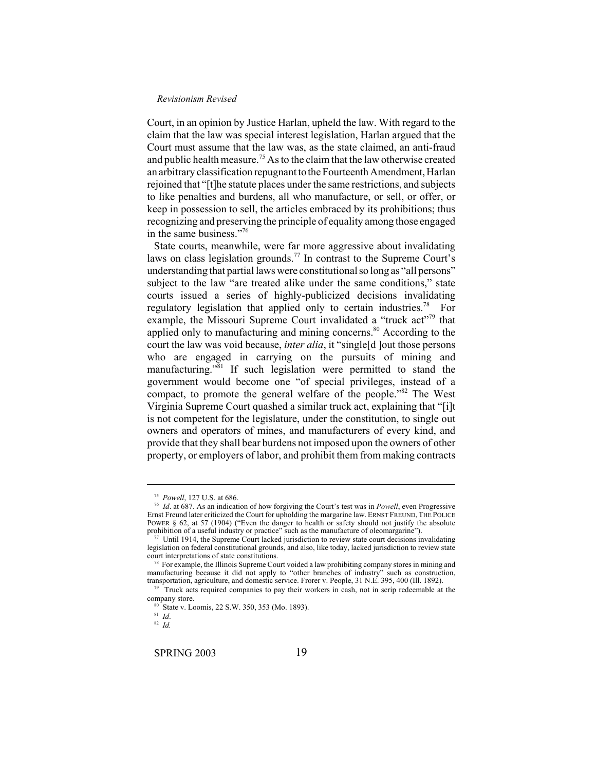Court, in an opinion by Justice Harlan, upheld the law. With regard to the claim that the law was special interest legislation, Harlan argued that the Court must assume that the law was, as the state claimed, an anti-fraud and public health measure.<sup>75</sup> As to the claim that the law otherwise created an arbitrary classification repugnant to the Fourteenth Amendment, Harlan rejoined that "[t]he statute places under the same restrictions, and subjects to like penalties and burdens, all who manufacture, or sell, or offer, or keep in possession to sell, the articles embraced by its prohibitions; thus recognizing and preserving the principle of equality among those engaged in the same business."76

State courts, meanwhile, were far more aggressive about invalidating laws on class legislation grounds.<sup>77</sup> In contrast to the Supreme Court's understanding that partial laws were constitutional so long as "all persons" subject to the law "are treated alike under the same conditions," state courts issued a series of highly-publicized decisions invalidating regulatory legislation that applied only to certain industries.<sup>78</sup> For example, the Missouri Supreme Court invalidated a "truck act"<sup>79</sup> that applied only to manufacturing and mining concerns.<sup>80</sup> According to the court the law was void because, *inter alia*, it "single[d ]out those persons who are engaged in carrying on the pursuits of mining and manufacturing."81 If such legislation were permitted to stand the government would become one "of special privileges, instead of a compact, to promote the general welfare of the people."82 The West Virginia Supreme Court quashed a similar truck act, explaining that "[i]t is not competent for the legislature, under the constitution, to single out owners and operators of mines, and manufacturers of every kind, and provide that they shall bear burdens not imposed upon the owners of other property, or employers of labor, and prohibit them from making contracts

<sup>75</sup> *Powell*, 127 U.S. at 686.

<sup>76</sup> *Id*. at 687. As an indication of how forgiving the Court's test was in *Powell*, even Progressive Ernst Freund later criticized the Court for upholding the margarine law. ERNST FREUND, THE POLICE POWER § 62, at 57 (1904) ("Even the danger to health or safety should not justify the absolute prohibition of a useful industry or practice" such as the manufacture of oleomargarine").<br> $\frac{77 \text{ I} \text{ln} \text{i}}{24 \text{ L}} = \frac{104 \text{ A}}{24 \text{ N}} = 0.004 \text{ A}$ 

Until 1914, the Supreme Court lacked jurisdiction to review state court decisions invalidating legislation on federal constitutional grounds, and also, like today, lacked jurisdiction to review state court interpretations of state constitutions.

<sup>&</sup>lt;sup>78</sup> For example, the Illinois Supreme Court voided a law prohibiting company stores in mining and manufacturing because it did not apply to "other branches of industry" such as construction, transportation, agriculture, and domestic service. Frorer v. People, 31 N.E. 395, 400 (Ill. 1892).

 $79$  Truck acts required companies to pay their workers in cash, not in scrip redeemable at the company store.

<sup>8</sup>tate v. Loomis, 22 S.W. 350, 353 (Mo. 1893).

<sup>81</sup> *Id*.

<sup>82</sup> *Id.*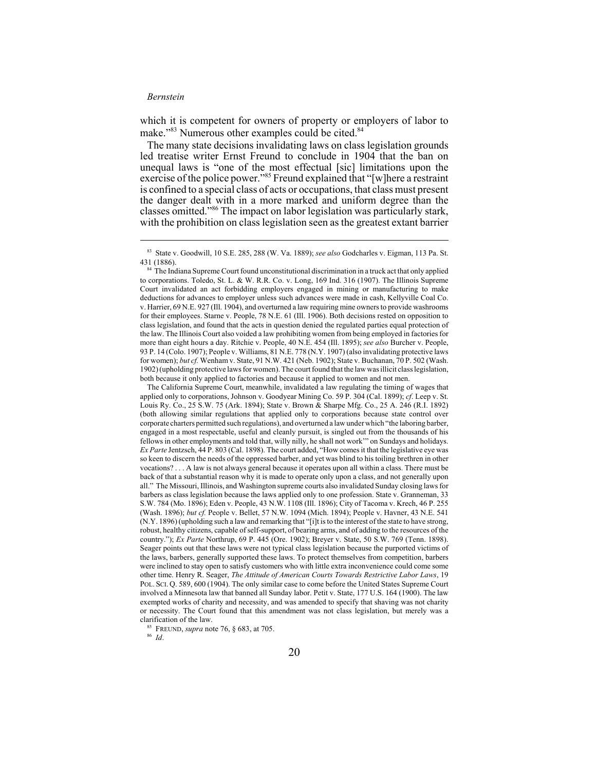which it is competent for owners of property or employers of labor to make."<sup>83</sup> Numerous other examples could be cited.<sup>84</sup>

The many state decisions invalidating laws on class legislation grounds led treatise writer Ernst Freund to conclude in 1904 that the ban on unequal laws is "one of the most effectual [sic] limitations upon the exercise of the police power."<sup>85</sup> Freund explained that "[w]here a restraint is confined to a special class of acts or occupations, that class must present the danger dealt with in a more marked and uniform degree than the classes omitted."86 The impact on labor legislation was particularly stark, with the prohibition on class legislation seen as the greatest extant barrier

The California Supreme Court, meanwhile, invalidated a law regulating the timing of wages that applied only to corporations, Johnson v. Goodyear Mining Co. 59 P. 304 (Cal. 1899); *cf*. Leep v. St. Louis Ry. Co., 25 S.W. 75 (Ark. 1894); State v. Brown & Sharpe Mfg. Co., 25 A. 246 (R.I. 1892) (both allowing similar regulations that applied only to corporations because state control over corporate charters permitted such regulations), and overturned a law under which "the laboring barber, engaged in a most respectable, useful and cleanly pursuit, is singled out from the thousands of his fellows in other employments and told that, willy nilly, he shall not work'" on Sundays and holidays. *Ex Parte* Jentzsch, 44 P. 803 (Cal. 1898). The court added, "How comes it that the legislative eye was so keen to discern the needs of the oppressed barber, and yet was blind to his toiling brethren in other vocations? . . . A law is not always general because it operates upon all within a class. There must be back of that a substantial reason why it is made to operate only upon a class, and not generally upon all." The Missouri, Illinois, and Washington supreme courts also invalidated Sunday closing laws for barbers as class legislation because the laws applied only to one profession. State v. Granneman, 33 S.W. 784 (Mo. 1896); Eden v. People, 43 N.W. 1108 (Ill. 1896); City of Tacoma v. Krech, 46 P. 255 (Wash. 1896); *but cf.* People v. Bellet, 57 N.W. 1094 (Mich. 1894); People v. Havner, 43 N.E. 541 (N.Y. 1896) (upholding such a law and remarking that "[i]t is to the interest of the state to have strong, robust, healthy citizens, capable of self-support, of bearing arms, and of adding to the resources of the country."); *Ex Parte* Northrup, 69 P. 445 (Ore. 1902); Breyer v. State, 50 S.W. 769 (Tenn. 1898). Seager points out that these laws were not typical class legislation because the purported victims of the laws, barbers, generally supported these laws. To protect themselves from competition, barbers were inclined to stay open to satisfy customers who with little extra inconvenience could come some other time. Henry R. Seager, *The Attitude of American Courts Towards Restrictive Labor Laws*, 19 POL. SCI. Q. 589, 600 (1904). The only similar case to come before the United States Supreme Court involved a Minnesota law that banned all Sunday labor. Petit v. State, 177 U.S. 164 (1900). The law exempted works of charity and necessity, and was amended to specify that shaving was not charity or necessity. The Court found that this amendment was not class legislation, but merely was a clarification of the law.

85 FREUND, *supra* note 76, § 683, at 705. 86 *Id*.

<sup>83</sup> State v. Goodwill, 10 S.E. 285, 288 (W. Va. 1889); *see also* Godcharles v. Eigman, 113 Pa. St. 431 (1886).

<sup>&</sup>lt;sup>84</sup> The Indiana Supreme Court found unconstitutional discrimination in a truck act that only applied to corporations. Toledo, St. L. & W. R.R. Co. v. Long, 169 Ind. 316 (1907). The Illinois Supreme Court invalidated an act forbidding employers engaged in mining or manufacturing to make deductions for advances to employer unless such advances were made in cash, Kellyville Coal Co. v. Harrier, 69 N.E. 927 (Ill. 1904), and overturned a law requiring mine owners to provide washrooms for their employees. Starne v. People, 78 N.E. 61 (Ill. 1906). Both decisions rested on opposition to class legislation, and found that the acts in question denied the regulated parties equal protection of the law. The Illinois Court also voided a law prohibiting women from being employed in factories for more than eight hours a day. Ritchie v. People, 40 N.E. 454 (Ill. 1895); *see also* Burcher v. People, 93 P. 14 (Colo. 1907); People v. Williams, 81 N.E. 778 (N.Y. 1907) (also invalidating protective laws for women); *but cf.* Wenham v. State, 91 N.W. 421 (Neb. 1902); State v. Buchanan, 70 P. 502 (Wash. 1902) (upholding protective laws for women). The court found that the law was illicit class legislation, both because it only applied to factories and because it applied to women and not men.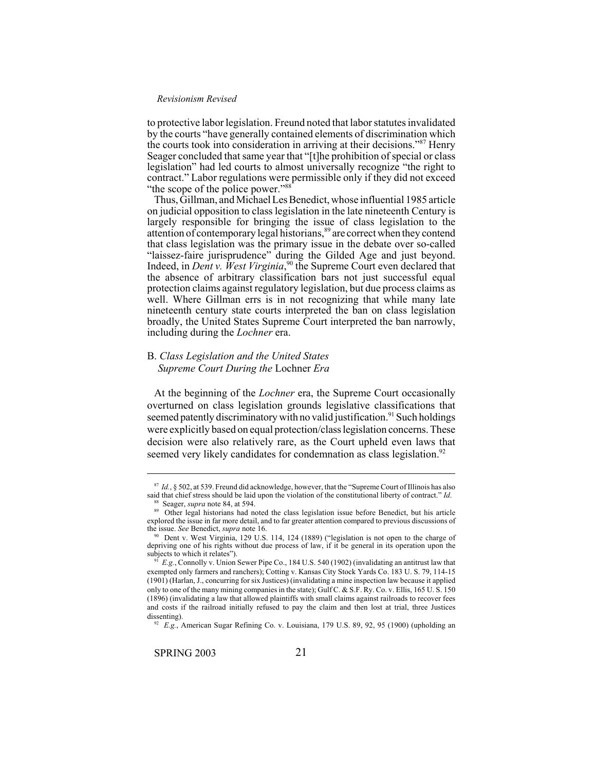to protective labor legislation. Freund noted that labor statutes invalidated by the courts "have generally contained elements of discrimination which the courts took into consideration in arriving at their decisions."87 Henry Seager concluded that same year that "[t]he prohibition of special or class legislation" had led courts to almost universally recognize "the right to contract." Labor regulations were permissible only if they did not exceed "the scope of the police power."<sup>88"</sup>

Thus, Gillman, and Michael Les Benedict, whose influential 1985 article on judicial opposition to class legislation in the late nineteenth Century is largely responsible for bringing the issue of class legislation to the attention of contemporary legal historians,<sup>89</sup> are correct when they contend that class legislation was the primary issue in the debate over so-called "laissez-faire jurisprudence" during the Gilded Age and just beyond. Indeed, in *Dent v. West Virginia*, 90 the Supreme Court even declared that the absence of arbitrary classification bars not just successful equal protection claims against regulatory legislation, but due process claims as well. Where Gillman errs is in not recognizing that while many late nineteenth century state courts interpreted the ban on class legislation broadly, the United States Supreme Court interpreted the ban narrowly, including during the *Lochner* era.

## B. *Class Legislation and the United States Supreme Court During the* Lochner *Era*

At the beginning of the *Lochner* era, the Supreme Court occasionally overturned on class legislation grounds legislative classifications that seemed patently discriminatory with no valid justification.<sup>91</sup> Such holdings were explicitly based on equal protection/class legislation concerns. These decision were also relatively rare, as the Court upheld even laws that seemed very likely candidates for condemnation as class legislation.<sup>92</sup>

<sup>87</sup> *Id.*, § 502, at 539. Freund did acknowledge, however, that the "Supreme Court of Illinois has also said that chief stress should be laid upon the violation of the constitutional liberty of contract." *Id*.

<sup>88</sup> Seager, *supra* note 84, at 594.

<sup>89</sup> Other legal historians had noted the class legislation issue before Benedict, but his article explored the issue in far more detail, and to far greater attention compared to previous discussions of the issue. *See* Benedict, *supra* note 16.

 $90$  Dent v. West Virginia, 129 U.S. 114, 124 (1889) ("legislation is not open to the charge of depriving one of his rights without due process of law, if it be general in its operation upon the subjects to which it relates").

<sup>&</sup>lt;sup>91</sup> *E.g.*, Connolly v. Union Sewer Pipe Co., 184 U.S. 540 (1902) (invalidating an antitrust law that exempted only farmers and ranchers); Cotting v. Kansas City Stock Yards Co. 183 U. S. 79, 114-15 (1901) (Harlan, J., concurring for six Justices) (invalidating a mine inspection law because it applied only to one of the many mining companies in the state); Gulf C. & S.F. Ry. Co. v. Ellis, 165 U. S. 150 (1896) (invalidating a law that allowed plaintiffs with small claims against railroads to recover fees and costs if the railroad initially refused to pay the claim and then lost at trial, three Justices dissenting).

<sup>92</sup> *E.g.*, American Sugar Refining Co. v. Louisiana, 179 U.S. 89, 92, 95 (1900) (upholding an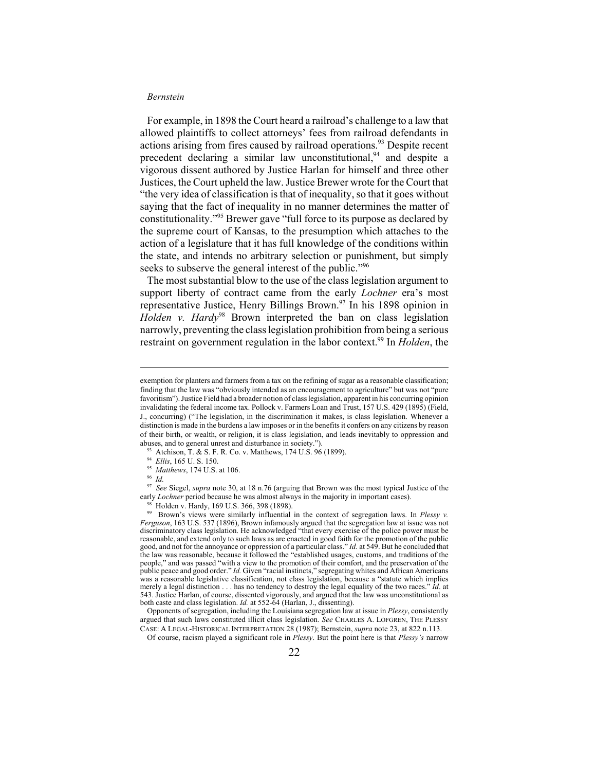For example, in 1898 the Court heard a railroad's challenge to a law that allowed plaintiffs to collect attorneys' fees from railroad defendants in actions arising from fires caused by railroad operations.<sup>93</sup> Despite recent precedent declaring a similar law unconstitutional, $94$  and despite a vigorous dissent authored by Justice Harlan for himself and three other Justices, the Court upheld the law. Justice Brewer wrote for the Court that "the very idea of classification is that of inequality, so that it goes without saying that the fact of inequality in no manner determines the matter of constitutionality."95 Brewer gave "full force to its purpose as declared by the supreme court of Kansas, to the presumption which attaches to the action of a legislature that it has full knowledge of the conditions within the state, and intends no arbitrary selection or punishment, but simply seeks to subserve the general interest of the public."<sup>96</sup>

The most substantial blow to the use of the class legislation argument to support liberty of contract came from the early *Lochner* era's most representative Justice, Henry Billings Brown.<sup>97</sup> In his 1898 opinion in *Holden v. Hardy*<sup>98</sup> Brown interpreted the ban on class legislation narrowly, preventing the class legislation prohibition from being a serious restraint on government regulation in the labor context.<sup>99</sup> In *Holden*, the

exemption for planters and farmers from a tax on the refining of sugar as a reasonable classification; finding that the law was "obviously intended as an encouragement to agriculture" but was not "pure favoritism"). Justice Field had a broader notion of class legislation, apparent in his concurring opinion invalidating the federal income tax. Pollock v. Farmers Loan and Trust, 157 U.S. 429 (1895) (Field, J., concurring) ("The legislation, in the discrimination it makes, is class legislation. Whenever a distinction is made in the burdens a law imposes or in the benefits it confers on any citizens by reason of their birth, or wealth, or religion, it is class legislation, and leads inevitably to oppression and abuses, and to general unrest and disturbance in society.").

Atchison, T. & S. F. R. Co. v. Matthews, 174 U.S. 96 (1899).

<sup>94</sup> *Ellis*, 165 U. S. 150.

<sup>95</sup>*Matthews*, 174 U.S. at 106. 96 *Id.*

<sup>&</sup>lt;sup>97</sup> See Siegel, *supra* note 30, at 18 n.76 (arguing that Brown was the most typical Justice of the early *Lochner* period because he was almost always in the majority in important cases).

<sup>98</sup> Holden v. Hardy, 169 U.S. 366, 398 (1898).

<sup>99</sup> Brown's views were similarly influential in the context of segregation laws. In *Plessy v. Ferguson*, 163 U.S. 537 (1896), Brown infamously argued that the segregation law at issue was not discriminatory class legislation. He acknowledged "that every exercise of the police power must be reasonable, and extend only to such laws as are enacted in good faith for the promotion of the public good, and not for the annoyance or oppression of a particular class." *Id.* at 549. But he concluded that the law was reasonable, because it followed the "established usages, customs, and traditions of the people," and was passed "with a view to the promotion of their comfort, and the preservation of the public peace and good order." *Id.* Given "racial instincts," segregating whites and African Americans was a reasonable legislative classification, not class legislation, because a "statute which implies" merely a legal distinction . . . has no tendency to destroy the legal equality of the two races." *Id*. at 543. Justice Harlan, of course, dissented vigorously, and argued that the law was unconstitutional as both caste and class legislation. *Id.* at 552-64 (Harlan, J., dissenting).

Opponents of segregation, including the Louisiana segregation law at issue in *Plessy*, consistently argued that such laws constituted illicit class legislation. *See* CHARLES A. LOFGREN, THE PLESSY CASE: A LEGAL-HISTORICAL INTERPRETATION 28 (1987); Bernstein, *supra* note 23, at 822 n.113.

Of course, racism played a significant role in *Plessy*. But the point here is that *Plessy's* narrow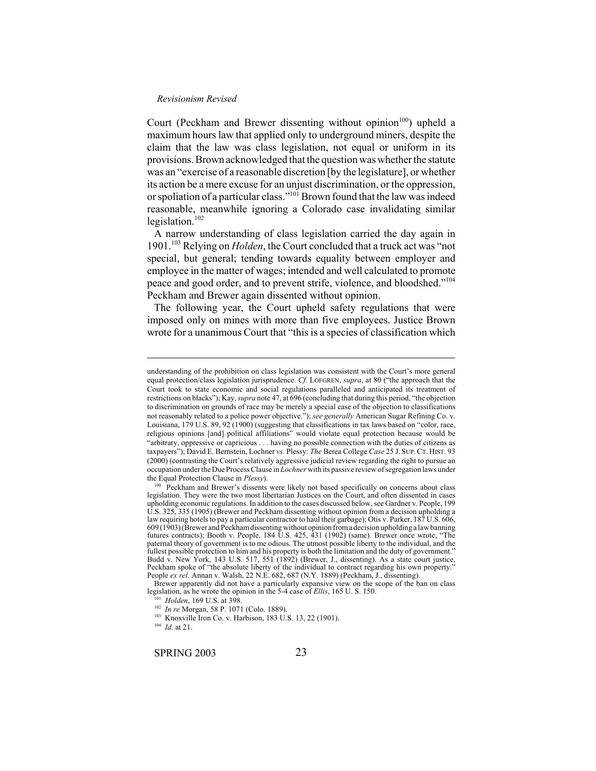Court (Peckham and Brewer dissenting without opinion<sup>100</sup>) upheld a maximum hours law that applied only to underground miners, despite the claim that the law was class legislation, not equal or uniform in its provisions. Brown acknowledged that the question was whether the statute was an "exercise of a reasonable discretion [by the legislature], or whether its action be a mere excuse for an unjust discrimination, or the oppression, or spoliation of a particular class."<sup>101</sup> Brown found that the law was indeed reasonable, meanwhile ignoring a Colorado case invalidating similar legislation.<sup>102</sup>

A narrow understanding of class legislation carried the day again in 1901.103 Relying on *Holden*, the Court concluded that a truck act was "not special, but general; tending towards equality between employer and employee in the matter of wages; intended and well calculated to promote peace and good order, and to prevent strife, violence, and bloodshed."104 Peckham and Brewer again dissented without opinion.

The following year, the Court upheld safety regulations that were imposed only on mines with more than five employees. Justice Brown wrote for a unanimous Court that "this is a species of classification which

Brewer apparently did not have a particularly expansive view on the scope of the ban on class legislation, as he wrote the opinion in the 5-4 case of *Ellis*, 165 U. S. 150.

SPRING 2003 23

understanding of the prohibition on class legislation was consistent with the Court's more general equal protection/class legislation jurisprudence. *Cf.* LOFGREN, *supra*, at 80 ("the approach that the Court took to state economic and social regulations paralleled and anticipated its treatment of restrictions on blacks"); Kay, *supra* note 47, at 696 (concluding that during this period, "the objection to discrimination on grounds of race may be merely a special case of the objection to classifications not reasonably related to a police power objective."); *see generally* American Sugar Refining Co. v. Louisiana, 179 U.S. 89, 92 (1900) (suggesting that classifications in tax laws based on "color, race, religious opinions [and] political affiliations" would violate equal protection because would be "arbitrary, oppressive or capricious . . . having no possible connection with the duties of citizens as taxpayers"); David E. Bernstein, Lochner *vs.* Plessy: *The* Berea College *Case* 25 J. SUP.CT. HIST. 93 (2000) (contrasting the Court's relatively aggressive judicial review regarding the right to pursue an occupation under the Due Process Clause in *Lochner* with its passive review of segregation laws under the Equal Protection Clause in *Plessy*).

<sup>&</sup>lt;sup>100</sup> Peckham and Brewer's dissents were likely not based specifically on concerns about class legislation. They were the two most libertarian Justices on the Court, and often dissented in cases upholding economic regulations. In addition to the cases discussed below, see Gardner v. People, 199 U.S. 325, 335 (1905) (Brewer and Peckham dissenting without opinion from a decision upholding a law requiring hotels to pay a particular contractor to haul their garbage); Otis v. Parker, 187 U.S. 606, 609 (1903) (Brewer and Peckham dissenting without opinion from a decision upholding a law banning futures contracts); Booth v. People, 184 U.S. 425, 431 (1902) (same). Brewer once wrote, "The paternal theory of government is to me odious. The utmost possible liberty to the individual, and the fullest possible protection to him and his property is both the limitation and the duty of government.' Budd v. New York, 143 U.S. 517, 551 (1892) (Brewer, J., dissenting). As a state court justice, Peckham spoke of "the absolute liberty of the individual to contract regarding his own property." People *ex rel.* Annan v. Walsh, 22 N.E. 682, 687 (N.Y. 1889) (Peckham, J., dissenting).

<sup>&</sup>lt;sup>01</sup> *Holden*, 169 U.S. at 398.

<sup>102</sup> *In re* Morgan, 58 P. 1071 (Colo. 1889).

<sup>103</sup> Knoxville Iron Co. v. Harbison, 183 U.S. 13, 22 (1901).

<sup>104</sup> *Id*. at 21.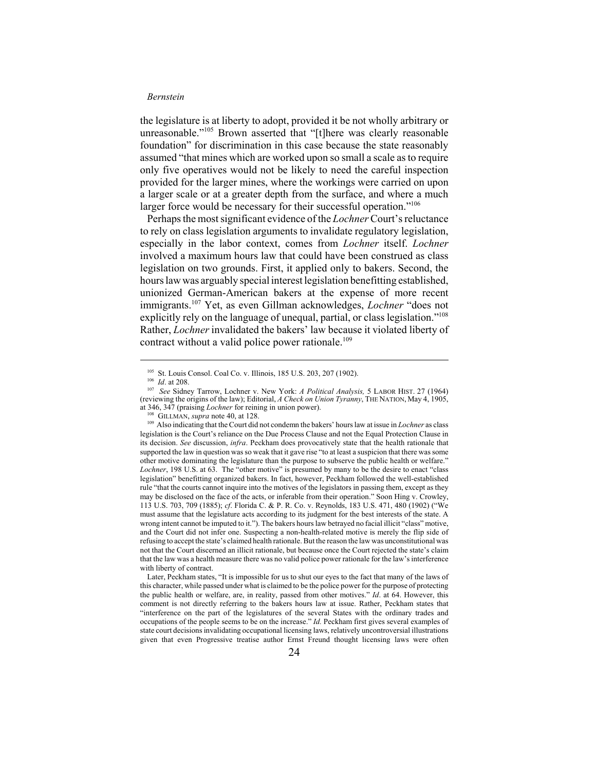the legislature is at liberty to adopt, provided it be not wholly arbitrary or unreasonable."<sup>105</sup> Brown asserted that "[t]here was clearly reasonable foundation" for discrimination in this case because the state reasonably assumed "that mines which are worked upon so small a scale as to require only five operatives would not be likely to need the careful inspection provided for the larger mines, where the workings were carried on upon a larger scale or at a greater depth from the surface, and where a much larger force would be necessary for their successful operation."<sup>106</sup>

Perhaps the most significant evidence of the *Lochner* Court's reluctance to rely on class legislation arguments to invalidate regulatory legislation, especially in the labor context, comes from *Lochner* itself. *Lochner* involved a maximum hours law that could have been construed as class legislation on two grounds. First, it applied only to bakers. Second, the hours law was arguably special interest legislation benefitting established, unionized German-American bakers at the expense of more recent immigrants.107 Yet, as even Gillman acknowledges, *Lochner* "does not explicitly rely on the language of unequal, partial, or class legislation."108 Rather, *Lochner* invalidated the bakers' law because it violated liberty of contract without a valid police power rationale.<sup>109</sup>

Later, Peckham states, "It is impossible for us to shut our eyes to the fact that many of the laws of this character, while passed under what is claimed to be the police power for the purpose of protecting the public health or welfare, are, in reality, passed from other motives." *Id*. at 64. However, this comment is not directly referring to the bakers hours law at issue. Rather, Peckham states that "interference on the part of the legislatures of the several States with the ordinary trades and occupations of the people seems to be on the increase." *Id.* Peckham first gives several examples of state court decisions invalidating occupational licensing laws, relatively uncontroversial illustrations given that even Progressive treatise author Ernst Freund thought licensing laws were often

<sup>105</sup> St. Louis Consol. Coal Co. v. Illinois, 185 U.S. 203, 207 (1902).

<sup>106</sup> *Id*. at 208.

<sup>107</sup> *See* Sidney Tarrow, Lochner v. New York: *A Political Analysis,* 5 LABOR HIST. 27 (1964) (reviewing the origins of the law); Editorial, *A Check on Union Tyranny*, THE NATION, May 4, 1905, at 346, 347 (praising *Lochner* for reining in union power).

<sup>108</sup> GILLMAN, *supra* note 40, at 128.

<sup>109</sup> Also indicating that the Court did not condemn the bakers' hours law at issue in *Lochner* as class legislation is the Court's reliance on the Due Process Clause and not the Equal Protection Clause in its decision. *See* discussion, *infra*. Peckham does provocatively state that the health rationale that supported the law in question was so weak that it gave rise "to at least a suspicion that there was some other motive dominating the legislature than the purpose to subserve the public health or welfare." *Lochner*, 198 U.S. at 63. The "other motive" is presumed by many to be the desire to enact "class legislation" benefitting organized bakers. In fact, however, Peckham followed the well-established rule "that the courts cannot inquire into the motives of the legislators in passing them, except as they may be disclosed on the face of the acts, or inferable from their operation." Soon Hing v. Crowley, 113 U.S. 703, 709 (1885); *cf*. Florida C. & P. R. Co. v. Reynolds, 183 U.S. 471, 480 (1902) ("We must assume that the legislature acts according to its judgment for the best interests of the state. A wrong intent cannot be imputed to it."). The bakers hours law betrayed no facial illicit "class" motive, and the Court did not infer one. Suspecting a non-health-related motive is merely the flip side of refusing to accept the state's claimed health rationale. But the reason the law was unconstitutional was not that the Court discerned an illicit rationale, but because once the Court rejected the state's claim that the law was a health measure there was no valid police power rationale for the law's interference with liberty of contract.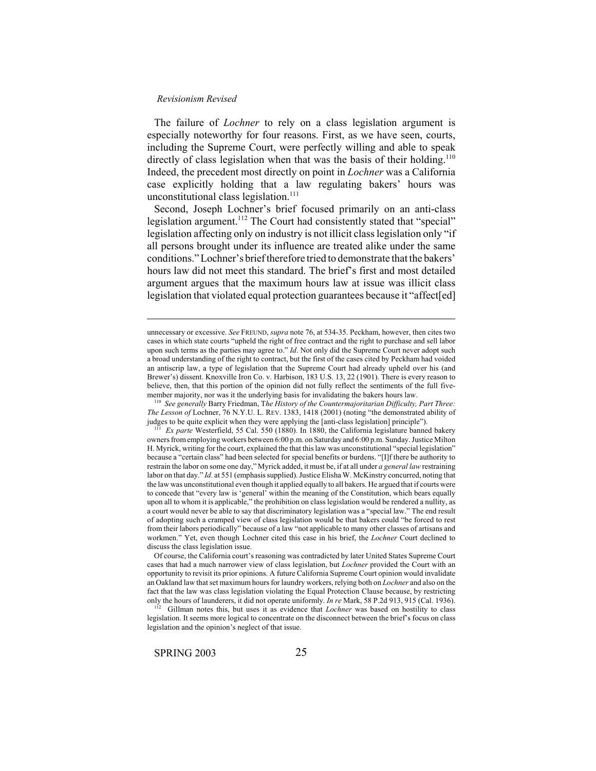The failure of *Lochner* to rely on a class legislation argument is especially noteworthy for four reasons. First, as we have seen, courts, including the Supreme Court, were perfectly willing and able to speak directly of class legislation when that was the basis of their holding.<sup>110</sup> Indeed, the precedent most directly on point in *Lochner* was a California case explicitly holding that a law regulating bakers' hours was unconstitutional class legislation. $111$ 

Second, Joseph Lochner's brief focused primarily on an anti-class legislation argument.<sup>112</sup> The Court had consistently stated that "special" legislation affecting only on industry is not illicit class legislation only "if all persons brought under its influence are treated alike under the same conditions." Lochner's brief therefore tried to demonstrate that the bakers' hours law did not meet this standard. The brief's first and most detailed argument argues that the maximum hours law at issue was illicit class legislation that violated equal protection guarantees because it "affect[ed]

110 *See generally* Barry Friedman, T*he History of the Countermajoritarian Difficulty, Part Three: The Lesson of* Lochner, 76 N.Y.U. L. REV. 1383, 1418 (2001) (noting "the demonstrated ability of judges to be quite explicit when they were applying the [anti-class legislation] principle").

Of course, the California court's reasoning was contradicted by later United States Supreme Court cases that had a much narrower view of class legislation, but *Lochner* provided the Court with an opportunity to revisit its prior opinions. A future California Supreme Court opinion would invalidate an Oakland law that set maximum hours for laundry workers, relying both on *Lochner* and also on the fact that the law was class legislation violating the Equal Protection Clause because, by restricting only the hours of launderers, it did not operate uniformly. *In re* Mark, 58 P.2d 913, 915 (Cal. 1936).

 $12$  Gillman notes this, but uses it as evidence that *Lochner* was based on hostility to class legislation. It seems more logical to concentrate on the disconnect between the brief's focus on class legislation and the opinion's neglect of that issue.

unnecessary or excessive. *See* FREUND, *supra* note 76, at 534-35. Peckham, however, then cites two cases in which state courts "upheld the right of free contract and the right to purchase and sell labor upon such terms as the parties may agree to." *Id*. Not only did the Supreme Court never adopt such a broad understanding of the right to contract, but the first of the cases cited by Peckham had voided an antiscrip law, a type of legislation that the Supreme Court had already upheld over his (and Brewer's) dissent. Knoxville Iron Co. v. Harbison, 183 U.S. 13, 22 (1901). There is every reason to believe, then, that this portion of the opinion did not fully reflect the sentiments of the full fivemember majority, nor was it the underlying basis for invalidating the bakers hours law.

<sup>111</sup> *Ex parte* Westerfield, 55 Cal. 550 (1880). In 1880, the California legislature banned bakery owners from employing workers between 6:00 p.m. on Saturday and 6:00 p.m. Sunday. Justice Milton H. Myrick, writing for the court, explained the that this law was unconstitutional "special legislation" because a "certain class" had been selected for special benefits or burdens. "[I]f there be authority to restrain the labor on some one day," Myrick added, it must be, if at all under *a general law* restraining labor on that day." *Id.* at 551 (emphasis supplied). Justice Elisha W. McKinstry concurred, noting that the law was unconstitutional even though it applied equally to all bakers. He argued that if courts were to concede that "every law is 'general' within the meaning of the Constitution, which bears equally upon all to whom it is applicable," the prohibition on class legislation would be rendered a nullity, as a court would never be able to say that discriminatory legislation was a "special law." The end result of adopting such a cramped view of class legislation would be that bakers could "be forced to rest from their labors periodically" because of a law "not applicable to many other classes of artisans and workmen." Yet, even though Lochner cited this case in his brief, the *Lochner* Court declined to discuss the class legislation issue.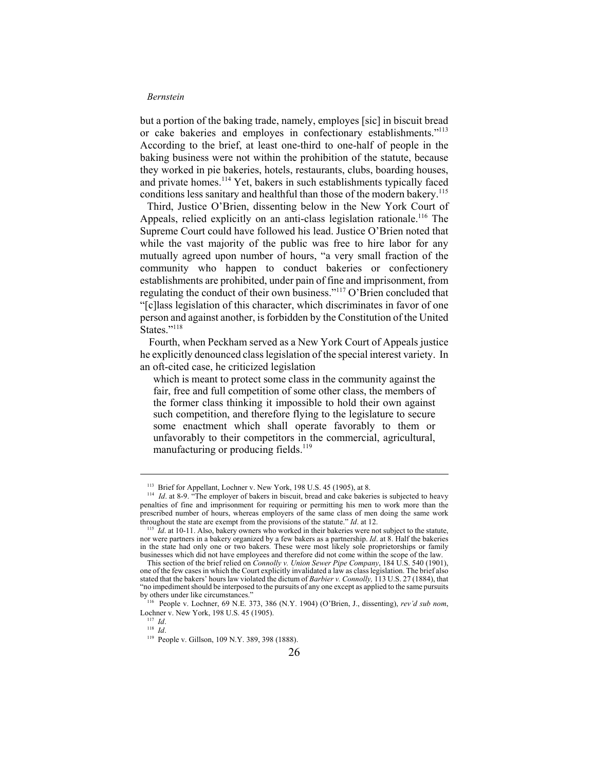but a portion of the baking trade, namely, employes [sic] in biscuit bread or cake bakeries and employes in confectionary establishments."113 According to the brief, at least one-third to one-half of people in the baking business were not within the prohibition of the statute, because they worked in pie bakeries, hotels, restaurants, clubs, boarding houses, and private homes.<sup>114</sup> Yet, bakers in such establishments typically faced conditions less sanitary and healthful than those of the modern bakery.<sup>115</sup>

Third, Justice O'Brien, dissenting below in the New York Court of Appeals, relied explicitly on an anti-class legislation rationale.<sup>116</sup> The Supreme Court could have followed his lead. Justice O'Brien noted that while the vast majority of the public was free to hire labor for any mutually agreed upon number of hours, "a very small fraction of the community who happen to conduct bakeries or confectionery establishments are prohibited, under pain of fine and imprisonment, from regulating the conduct of their own business."117 O'Brien concluded that "[c]lass legislation of this character, which discriminates in favor of one person and against another, is forbidden by the Constitution of the United States."<sup>118</sup>

Fourth, when Peckham served as a New York Court of Appeals justice he explicitly denounced class legislation of the special interest variety. In an oft-cited case, he criticized legislation

which is meant to protect some class in the community against the fair, free and full competition of some other class, the members of the former class thinking it impossible to hold their own against such competition, and therefore flying to the legislature to secure some enactment which shall operate favorably to them or unfavorably to their competitors in the commercial, agricultural, manufacturing or producing fields.<sup>119</sup>

<sup>&</sup>lt;sup>113</sup> Brief for Appellant, Lochner v. New York, 198 U.S. 45 (1905), at 8.

<sup>&</sup>lt;sup>114</sup> *Id.* at 8-9. "The employer of bakers in biscuit, bread and cake bakeries is subjected to heavy penalties of fine and imprisonment for requiring or permitting his men to work more than the prescribed number of hours, whereas employers of the same class of men doing the same work throughout the state are exempt from the provisions of the statute." *Id*. at 12.

<sup>&</sup>lt;sup>1</sup> *Id.* at 10-11. Also, bakery owners who worked in their bakeries were not subject to the statute, nor were partners in a bakery organized by a few bakers as a partnership. *Id*. at 8. Half the bakeries in the state had only one or two bakers. These were most likely sole proprietorships or family businesses which did not have employees and therefore did not come within the scope of the law.

This section of the brief relied on *Connolly v. Union Sewer Pipe Company*, 184 U.S. 540 (1901), one of the few cases in which the Court explicitly invalidated a law as class legislation. The brief also stated that the bakers' hours law violated the dictum of *Barbier v. Connolly,* 113 U.S. 27 (1884), that "no impediment should be interposed to the pursuits of any one except as applied to the same pursuits by others under like circumstances."

<sup>116</sup> People v. Lochner, 69 N.E. 373, 386 (N.Y. 1904) (O'Brien, J., dissenting), *rev'd sub nom*, Lochner v. New York, 198 U.S. 45 (1905).

<sup>117</sup> *Id*. 118 *Id*.

<sup>119</sup> People v. Gillson, 109 N.Y. 389, 398 (1888).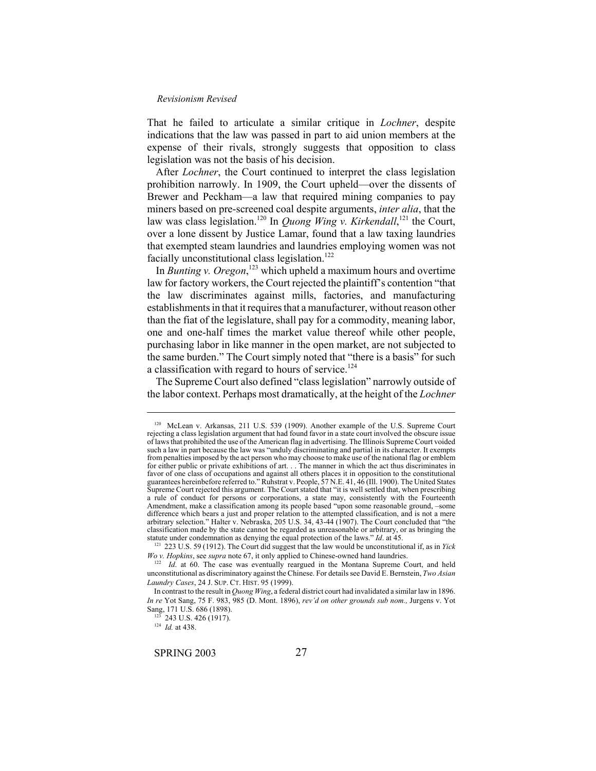That he failed to articulate a similar critique in *Lochner*, despite indications that the law was passed in part to aid union members at the expense of their rivals, strongly suggests that opposition to class legislation was not the basis of his decision.

After *Lochner*, the Court continued to interpret the class legislation prohibition narrowly. In 1909, the Court upheld—over the dissents of Brewer and Peckham—a law that required mining companies to pay miners based on pre-screened coal despite arguments, *inter alia*, that the law was class legislation.<sup>120</sup> In *Quong Wing v. Kirkendall*,<sup>121</sup> the Court, over a lone dissent by Justice Lamar, found that a law taxing laundries that exempted steam laundries and laundries employing women was not facially unconstitutional class legislation.<sup>122</sup>

In *Bunting v. Oregon*, 123 which upheld a maximum hours and overtime law for factory workers, the Court rejected the plaintiff's contention "that the law discriminates against mills, factories, and manufacturing establishments in that it requires that a manufacturer, without reason other than the fiat of the legislature, shall pay for a commodity, meaning labor, one and one-half times the market value thereof while other people, purchasing labor in like manner in the open market, are not subjected to the same burden." The Court simply noted that "there is a basis" for such a classification with regard to hours of service.<sup>124</sup>

The Supreme Court also defined "class legislation" narrowly outside of the labor context. Perhaps most dramatically, at the height of the *Lochner*

SPRING 2003 27

<sup>120</sup> McLean v. Arkansas, 211 U.S. 539 (1909). Another example of the U.S. Supreme Court rejecting a class legislation argument that had found favor in a state court involved the obscure issue of laws that prohibited the use of the American flag in advertising. The Illinois Supreme Court voided such a law in part because the law was "unduly discriminating and partial in its character. It exempts from penalties imposed by the act person who may choose to make use of the national flag or emblem for either public or private exhibitions of art. . . The manner in which the act thus discriminates in favor of one class of occupations and against all others places it in opposition to the constitutional guarantees hereinbefore referred to." Ruhstrat v. People, 57 N.E. 41, 46 (Ill. 1900). The United States Supreme Court rejected this argument. The Court stated that "it is well settled that, when prescribing a rule of conduct for persons or corporations, a state may, consistently with the Fourteenth Amendment, make a classification among its people based "upon some reasonable ground, –some difference which bears a just and proper relation to the attempted classification, and is not a mere arbitrary selection." Halter v. Nebraska, 205 U.S. 34, 43-44 (1907). The Court concluded that "the classification made by the state cannot be regarded as unreasonable or arbitrary, or as bringing the statute under condemnation as denying the equal protection of the laws." *Id*. at 45.

<sup>121 223</sup> U.S. 59 (1912). The Court did suggest that the law would be unconstitutional if, as in *Yick Wo v. Hopkins*, see *supra* note 67, it only applied to Chinese-owned hand laundries.

<sup>&</sup>lt;sup>122</sup> *Id.* at 60. The case was eventually reargued in the Montana Supreme Court, and held unconstitutional as discriminatory against the Chinese. For details see David E. Bernstein, *Two Asian Laundry Cases*, 24 J. SUP. CT. HIST. 95 (1999).

In contrast to the result in *Quong Wing*, a federal district court had invalidated a similar law in 1896. *In re* Yot Sang, 75 F. 983, 985 (D. Mont. 1896), *rev'd on other grounds sub nom.,* Jurgens v. Yot Sang, 171 U.S. 686 (1898).

<sup>243</sup> U.S. 426 (1917).

<sup>124</sup> *Id.* at 438.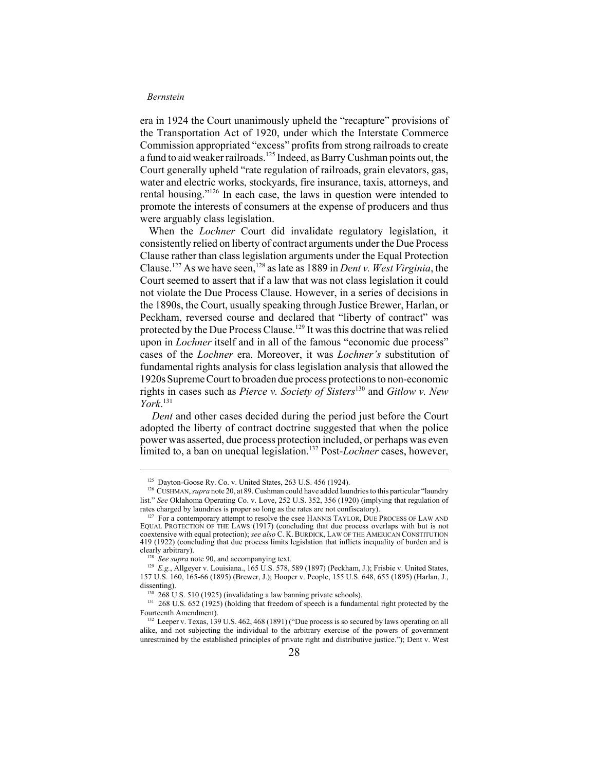era in 1924 the Court unanimously upheld the "recapture" provisions of the Transportation Act of 1920, under which the Interstate Commerce Commission appropriated "excess" profits from strong railroads to create a fund to aid weaker railroads.<sup>125</sup> Indeed, as Barry Cushman points out, the Court generally upheld "rate regulation of railroads, grain elevators, gas, water and electric works, stockyards, fire insurance, taxis, attorneys, and rental housing."126 In each case, the laws in question were intended to promote the interests of consumers at the expense of producers and thus were arguably class legislation.

When the *Lochner* Court did invalidate regulatory legislation, it consistently relied on liberty of contract arguments under the Due Process Clause rather than class legislation arguments under the Equal Protection Clause.127 As we have seen,128 as late as 1889 in *Dent v. West Virginia*, the Court seemed to assert that if a law that was not class legislation it could not violate the Due Process Clause. However, in a series of decisions in the 1890s, the Court, usually speaking through Justice Brewer, Harlan, or Peckham, reversed course and declared that "liberty of contract" was protected by the Due Process Clause.<sup>129</sup> It was this doctrine that was relied upon in *Lochner* itself and in all of the famous "economic due process" cases of the *Lochner* era. Moreover, it was *Lochner's* substitution of fundamental rights analysis for class legislation analysis that allowed the 1920s Supreme Court to broaden due process protections to non-economic rights in cases such as *Pierce v. Society of Sisters*130 and *Gitlow v. New York*. 131

*Dent* and other cases decided during the period just before the Court adopted the liberty of contract doctrine suggested that when the police power was asserted, due process protection included, or perhaps was even limited to, a ban on unequal legislation.<sup>132</sup> Post-*Lochner* cases, however,

<sup>&</sup>lt;sup>125</sup> Dayton-Goose Ry. Co. v. United States, 263 U.S. 456 (1924).

<sup>&</sup>lt;sup>126</sup> CUSHMAN, *supra* note 20, at 89. Cushman could have added laundries to this particular "laundry" list." *See* Oklahoma Operating Co. v. Love, 252 U.S. 352, 356 (1920) (implying that regulation of rates charged by laundries is proper so long as the rates are not confiscatory).

<sup>&</sup>lt;sup>127</sup> For a contemporary attempt to resolve the csee HANNIS TAYLOR, DUE PROCESS OF LAW AND EQUAL PROTECTION OF THE LAWS (1917) (concluding that due process overlaps with but is not coextensive with equal protection); *see also* C. K. BURDICK, LAW OF THE AMERICAN CONSTITUTION 419 (1922) (concluding that due process limits legislation that inflicts inequality of burden and is clearly arbitrary).

<sup>&</sup>lt;sup>128</sup> *See supra* note 90, and accompanying text.

<sup>129</sup> *E.g.*, Allgeyer v. Louisiana., 165 U.S. 578, 589 (1897) (Peckham, J.); Frisbie v. United States, 157 U.S. 160, 165-66 (1895) (Brewer, J.); Hooper v. People, 155 U.S. 648, 655 (1895) (Harlan, J., dissenting).

 $130$  268 U.S. 510 (1925) (invalidating a law banning private schools).

<sup>&</sup>lt;sup>131</sup> 268 U.S. 652 (1925) (holding that freedom of speech is a fundamental right protected by the Fourteenth Amendment).

<sup>&</sup>lt;sup>132</sup> Leeper v. Texas, 139 U.S. 462, 468 (1891) ("Due process is so secured by laws operating on all alike, and not subjecting the individual to the arbitrary exercise of the powers of government unrestrained by the established principles of private right and distributive justice."); Dent v. West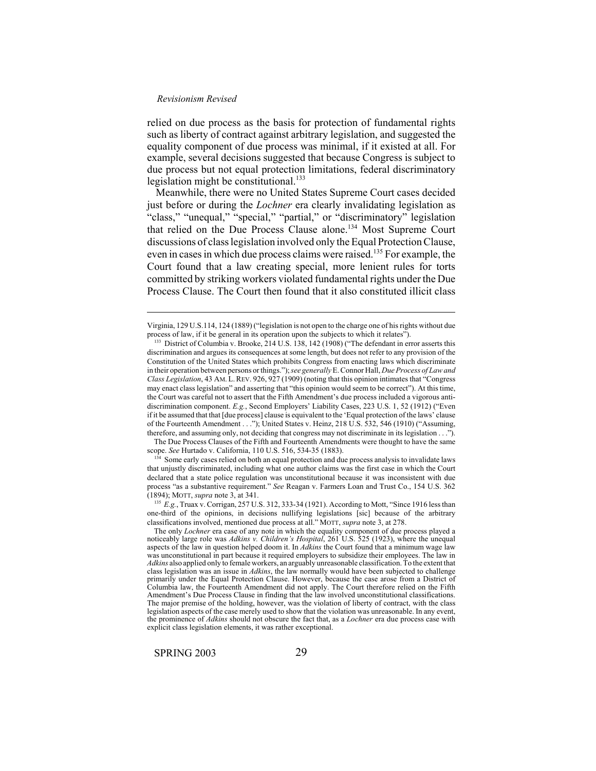relied on due process as the basis for protection of fundamental rights such as liberty of contract against arbitrary legislation, and suggested the equality component of due process was minimal, if it existed at all. For example, several decisions suggested that because Congress is subject to due process but not equal protection limitations, federal discriminatory legislation might be constitutional.<sup>133</sup>

Meanwhile, there were no United States Supreme Court cases decided just before or during the *Lochner* era clearly invalidating legislation as "class," "unequal," "special," "partial," or "discriminatory" legislation that relied on the Due Process Clause alone.<sup>134</sup> Most Supreme Court discussions of class legislation involved only the Equal Protection Clause, even in cases in which due process claims were raised.135 For example, the Court found that a law creating special, more lenient rules for torts committed by striking workers violated fundamental rights under the Due Process Clause. The Court then found that it also constituted illicit class

The Due Process Clauses of the Fifth and Fourteenth Amendments were thought to have the same scope. *See* Hurtado v. California, 110 U.S. 516, 534-35 (1883).

<sup>134</sup> Some early cases relied on both an equal protection and due process analysis to invalidate laws that unjustly discriminated, including what one author claims was the first case in which the Court declared that a state police regulation was unconstitutional because it was inconsistent with due process "as a substantive requirement." *See* Reagan v. Farmers Loan and Trust Co., 154 U.S. 362 (1894); MOTT, *supra* note 3, at 341.

<sup>135</sup> *E.g.*, Truax v. Corrigan, 257 U.S. 312, 333-34 (1921). According to Mott, "Since 1916 less than one-third of the opinions, in decisions nullifying legislations [sic] because of the arbitrary classifications involved, mentioned due process at all." MOTT, *supra* note 3, at 278.

SPRING 2003 29

Virginia, 129 U.S.114, 124 (1889) ("legislation is not open to the charge one of his rights without due process of law, if it be general in its operation upon the subjects to which it relates").

<sup>&</sup>lt;sup>133</sup> District of Columbia v. Brooke, 214 U.S. 138, 142 (1908) ("The defendant in error asserts this discrimination and argues its consequences at some length, but does not refer to any provision of the Constitution of the United States which prohibits Congress from enacting laws which discriminate in their operation between persons or things."); *see generally* E. Connor Hall, *Due Process of Law and Class Legislation*, 43 AM. L.REV. 926, 927 (1909) (noting that this opinion intimates that "Congress may enact class legislation" and asserting that "this opinion would seem to be correct"). At this time, the Court was careful not to assert that the Fifth Amendment's due process included a vigorous antidiscrimination component. *E.g.*, Second Employers' Liability Cases, 223 U.S. 1, 52 (1912) ("Even if it be assumed that that [due process] clause is equivalent to the 'Equal protection of the laws' clause of the Fourteenth Amendment . . ."); United States v. Heinz, 218 U.S. 532, 546 (1910) ("Assuming, therefore, and assuming only, not deciding that congress may not discriminate in its legislation . . .").

The only *Lochner* era case of any note in which the equality component of due process played a noticeably large role was *Adkins v. Children's Hospital*, 261 U.S. 525 (1923), where the unequal aspects of the law in question helped doom it. In *Adkins* the Court found that a minimum wage law was unconstitutional in part because it required employers to subsidize their employees. The law in *Adkins* also applied only to female workers, an arguably unreasonable classification. To the extent that class legislation was an issue in *Adkins*, the law normally would have been subjected to challenge primarily under the Equal Protection Clause. However, because the case arose from a District of Columbia law, the Fourteenth Amendment did not apply. The Court therefore relied on the Fifth Amendment's Due Process Clause in finding that the law involved unconstitutional classifications. The major premise of the holding, however, was the violation of liberty of contract, with the class legislation aspects of the case merely used to show that the violation was unreasonable. In any event, the prominence of *Adkins* should not obscure the fact that, as a *Lochner* era due process case with explicit class legislation elements, it was rather exceptional.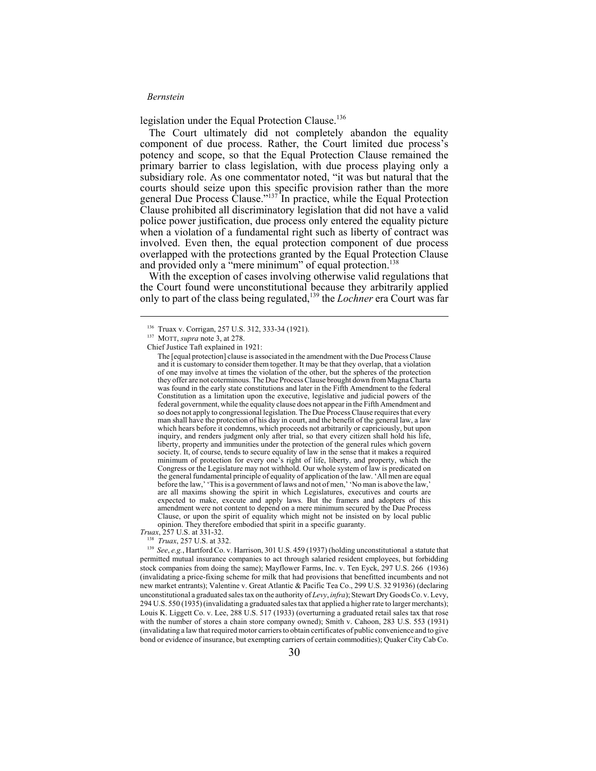legislation under the Equal Protection Clause.<sup>136</sup>

The Court ultimately did not completely abandon the equality component of due process. Rather, the Court limited due process's potency and scope, so that the Equal Protection Clause remained the primary barrier to class legislation, with due process playing only a subsidiary role. As one commentator noted, "it was but natural that the courts should seize upon this specific provision rather than the more general Due Process Clause."137 In practice, while the Equal Protection Clause prohibited all discriminatory legislation that did not have a valid police power justification, due process only entered the equality picture when a violation of a fundamental right such as liberty of contract was involved. Even then, the equal protection component of due process overlapped with the protections granted by the Equal Protection Clause and provided only a "mere minimum" of equal protection.<sup>138</sup>

With the exception of cases involving otherwise valid regulations that the Court found were unconstitutional because they arbitrarily applied only to part of the class being regulated,139 the *Lochner* era Court was far

*Truax*, 257 U.S. at 331-32.

138 *Truax*, 257 U.S. at 332.

<sup>136</sup> Truax v. Corrigan, 257 U.S. 312, 333-34 (1921).

<sup>137</sup> MOTT, *supra* note 3, at 278.

Chief Justice Taft explained in 1921:

The [equal protection] clause is associated in the amendment with the Due Process Clause and it is customary to consider them together. It may be that they overlap, that a violation of one may involve at times the violation of the other, but the spheres of the protection they offer are not coterminous. The Due Process Clause brought down from Magna Charta was found in the early state constitutions and later in the Fifth Amendment to the federal Constitution as a limitation upon the executive, legislative and judicial powers of the federal government, while the equality clause does not appear in the Fifth Amendment and so does not apply to congressional legislation. The Due Process Clause requires that every man shall have the protection of his day in court, and the benefit of the general law, a law which hears before it condemns, which proceeds not arbitrarily or capriciously, but upon inquiry, and renders judgment only after trial, so that every citizen shall hold his life, liberty, property and immunities under the protection of the general rules which govern society. It, of course, tends to secure equality of law in the sense that it makes a required minimum of protection for every one's right of life, liberty, and property, which the Congress or the Legislature may not withhold. Our whole system of law is predicated on the general fundamental principle of equality of application of the law. 'All men are equal before the law,' 'This is a government of laws and not of men,' 'No man is above the law,' are all maxims showing the spirit in which Legislatures, executives and courts are expected to make, execute and apply laws. But the framers and adopters of this amendment were not content to depend on a mere minimum secured by the Due Process Clause, or upon the spirit of equality which might not be insisted on by local public opinion. They therefore embodied that spirit in a specific guaranty.

<sup>139</sup> *See*, *e.g.*, Hartford Co. v. Harrison, 301 U.S. 459 (1937) (holding unconstitutional a statute that permitted mutual insurance companies to act through salaried resident employees, but forbidding stock companies from doing the same); Mayflower Farms, Inc. v. Ten Eyck, 297 U.S. 266 (1936) (invalidating a price-fixing scheme for milk that had provisions that benefitted incumbents and not new market entrants); Valentine v. Great Atlantic & Pacific Tea Co., 299 U.S. 32 91936) (declaring unconstitutional a graduated sales tax on the authority of *Levy*, *infra*); Stewart Dry Goods Co. v. Levy, 294 U.S. 550 (1935) (invalidating a graduated sales tax that applied a higher rate to larger merchants); Louis K. Liggett Co. v. Lee, 288 U.S. 517 (1933) (overturning a graduated retail sales tax that rose with the number of stores a chain store company owned); Smith v. Cahoon, 283 U.S. 553 (1931) (invalidating a law that required motor carriers to obtain certificates of public convenience and to give bond or evidence of insurance, but exempting carriers of certain commodities); Quaker City Cab Co.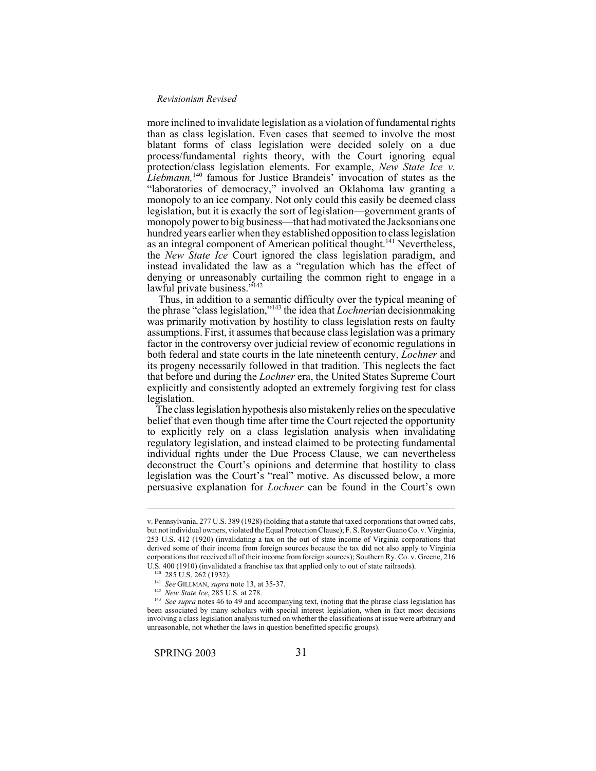more inclined to invalidate legislation as a violation of fundamental rights than as class legislation. Even cases that seemed to involve the most blatant forms of class legislation were decided solely on a due process/fundamental rights theory, with the Court ignoring equal protection/class legislation elements. For example, *New State Ice v. Liebmann,*140 famous for Justice Brandeis' invocation of states as the "laboratories of democracy," involved an Oklahoma law granting a monopoly to an ice company. Not only could this easily be deemed class legislation, but it is exactly the sort of legislation—government grants of monopoly power to big business—that had motivated the Jacksonians one hundred years earlier when they established opposition to class legislation as an integral component of American political thought.<sup>141</sup> Nevertheless, the *New State Ice* Court ignored the class legislation paradigm, and instead invalidated the law as a "regulation which has the effect of denying or unreasonably curtailing the common right to engage in a lawful private business."<sup>142</sup>

 Thus, in addition to a semantic difficulty over the typical meaning of the phrase "class legislation,"143 the idea that *Lochner*ian decisionmaking was primarily motivation by hostility to class legislation rests on faulty assumptions. First, it assumes that because class legislation was a primary factor in the controversy over judicial review of economic regulations in both federal and state courts in the late nineteenth century, *Lochner* and its progeny necessarily followed in that tradition. This neglects the fact that before and during the *Lochner* era, the United States Supreme Court explicitly and consistently adopted an extremely forgiving test for class legislation.

The class legislation hypothesis also mistakenly relies on the speculative belief that even though time after time the Court rejected the opportunity to explicitly rely on a class legislation analysis when invalidating regulatory legislation, and instead claimed to be protecting fundamental individual rights under the Due Process Clause, we can nevertheless deconstruct the Court's opinions and determine that hostility to class legislation was the Court's "real" motive. As discussed below, a more persuasive explanation for *Lochner* can be found in the Court's own

v. Pennsylvania, 277 U.S. 389 (1928) (holding that a statute that taxed corporations that owned cabs, but not individual owners, violated the Equal Protection Clause); F. S. Royster Guano Co. v. Virginia, 253 U.S. 412 (1920) (invalidating a tax on the out of state income of Virginia corporations that derived some of their income from foreign sources because the tax did not also apply to Virginia corporations that received all of their income from foreign sources); Southern Ry. Co. v. Greene, 216 U.S. 400 (1910) (invalidated a franchise tax that applied only to out of state railraods).

<sup>140 285</sup> U.S. 262 (1932).

<sup>141</sup> *See* GILLMAN, *supra* note 13, at 35-37.

<sup>142</sup> *New State Ice*, 285 U.S. at 278.

<sup>&</sup>lt;sup>143</sup> *See supra* notes 46 to 49 and accompanying text, (noting that the phrase class legislation has been associated by many scholars with special interest legislation, when in fact most decisions involving a class legislation analysis turned on whether the classifications at issue were arbitrary and unreasonable, not whether the laws in question benefitted specific groups).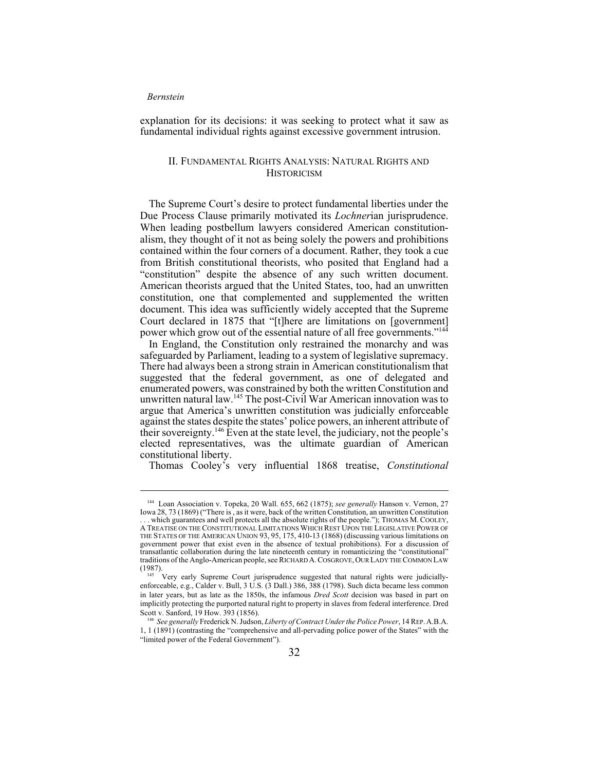explanation for its decisions: it was seeking to protect what it saw as fundamental individual rights against excessive government intrusion.

## II. FUNDAMENTAL RIGHTS ANALYSIS: NATURAL RIGHTS AND **HISTORICISM**

The Supreme Court's desire to protect fundamental liberties under the Due Process Clause primarily motivated its *Lochner*ian jurisprudence. When leading postbellum lawyers considered American constitutionalism, they thought of it not as being solely the powers and prohibitions contained within the four corners of a document. Rather, they took a cue from British constitutional theorists, who posited that England had a "constitution" despite the absence of any such written document. American theorists argued that the United States, too, had an unwritten constitution, one that complemented and supplemented the written document. This idea was sufficiently widely accepted that the Supreme Court declared in 1875 that "[t]here are limitations on [government] power which grow out of the essential nature of all free governments."144

In England, the Constitution only restrained the monarchy and was safeguarded by Parliament, leading to a system of legislative supremacy. There had always been a strong strain in American constitutionalism that suggested that the federal government, as one of delegated and enumerated powers, was constrained by both the written Constitution and unwritten natural law.145 The post-Civil War American innovation was to argue that America's unwritten constitution was judicially enforceable against the states despite the states' police powers, an inherent attribute of their sovereignty.146 Even at the state level, the judiciary, not the people's elected representatives, was the ultimate guardian of American constitutional liberty.

Thomas Cooley's very influential 1868 treatise, *Constitutional*

<sup>144</sup> Loan Association v. Topeka, 20 Wall. 655, 662 (1875); *see generally* Hanson v. Vernon, 27 Iowa 28, 73 (1869) ("There is , as it were, back of the written Constitution, an unwritten Constitution

<sup>. . .</sup> which guarantees and well protects all the absolute rights of the people."); THOMAS M. COOLEY, A TREATISE ON THE CONSTITUTIONAL LIMITATIONS WHICH REST UPON THE LEGISLATIVE POWER OF THE STATES OF THE AMERICAN UNION 93, 95, 175, 410-13 (1868) (discussing various limitations on government power that exist even in the absence of textual prohibitions). For a discussion of transatlantic collaboration during the late nineteenth century in romanticizing the "constitutional" traditions of the Anglo-American people, see RICHARD A.COSGROVE,OUR LADY THE COMMON LAW (1987).

Very early Supreme Court jurisprudence suggested that natural rights were judiciallyenforceable, e.g., Calder v. Bull, 3 U.S. (3 Dall.) 386, 388 (1798). Such dicta became less common in later years, but as late as the 1850s, the infamous *Dred Scott* decision was based in part on implicitly protecting the purported natural right to property in slaves from federal interference. Dred Scott v. Sanford, 19 How. 393 (1856).

<sup>146</sup> *See generally* Frederick N. Judson, *Liberty of Contract Under the Police Power*, 14 REP.A.B.A. 1, 1 (1891) (contrasting the "comprehensive and all-pervading police power of the States" with the "limited power of the Federal Government").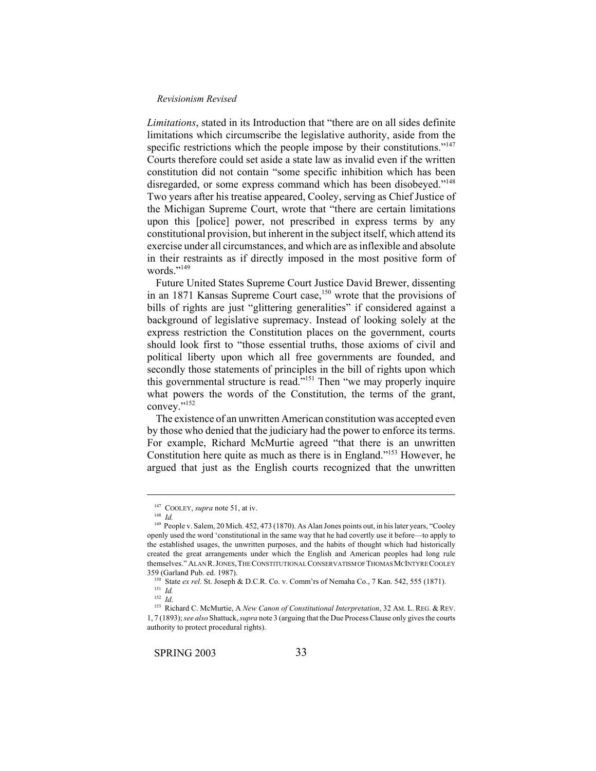*Limitations*, stated in its Introduction that "there are on all sides definite limitations which circumscribe the legislative authority, aside from the specific restrictions which the people impose by their constitutions."<sup>147</sup> Courts therefore could set aside a state law as invalid even if the written constitution did not contain "some specific inhibition which has been disregarded, or some express command which has been disobeyed."<sup>148</sup> Two years after his treatise appeared, Cooley, serving as Chief Justice of the Michigan Supreme Court, wrote that "there are certain limitations upon this [police] power, not prescribed in express terms by any constitutional provision, but inherent in the subject itself, which attend its exercise under all circumstances, and which are as inflexible and absolute in their restraints as if directly imposed in the most positive form of words $"$ <sup>149</sup>

Future United States Supreme Court Justice David Brewer, dissenting in an 1871 Kansas Supreme Court case,<sup>150</sup> wrote that the provisions of bills of rights are just "glittering generalities" if considered against a background of legislative supremacy. Instead of looking solely at the express restriction the Constitution places on the government, courts should look first to "those essential truths, those axioms of civil and political liberty upon which all free governments are founded, and secondly those statements of principles in the bill of rights upon which this governmental structure is read."151 Then "we may properly inquire what powers the words of the Constitution, the terms of the grant, convey."152

The existence of an unwritten American constitution was accepted even by those who denied that the judiciary had the power to enforce its terms. For example, Richard McMurtie agreed "that there is an unwritten Constitution here quite as much as there is in England."153 However, he argued that just as the English courts recognized that the unwritten

<sup>147</sup> COOLEY, *supra* note 51, at iv.

<sup>148</sup> *Id.*

<sup>149</sup> People v. Salem, 20 Mich. 452, 473 (1870). As Alan Jones points out, in his later years, "Cooley openly used the word 'constitutional in the same way that he had covertly use it before—to apply to the established usages, the unwritten purposes, and the habits of thought which had historically created the great arrangements under which the English and American peoples had long rule themselves." ALAN R.JONES,THE CONSTITUTIONAL CONSERVATISM OF THOMAS MCINTYRE COOLEY 359 (Garland Pub. ed. 1987).

State *ex rel*. St. Joseph & D.C.R. Co. v. Comm'rs of Nemaha Co., 7 Kan. 542, 555 (1871). 151 *Id.*

<sup>152</sup> *Id*.

<sup>153</sup> Richard C. McMurtie, A *New Canon of Constitutional Interpretation*, 32 AM. L. REG. & REV. 1, 7 (1893); *see also* Shattuck, *supra* note 3 (arguing that the Due Process Clause only gives the courts authority to protect procedural rights).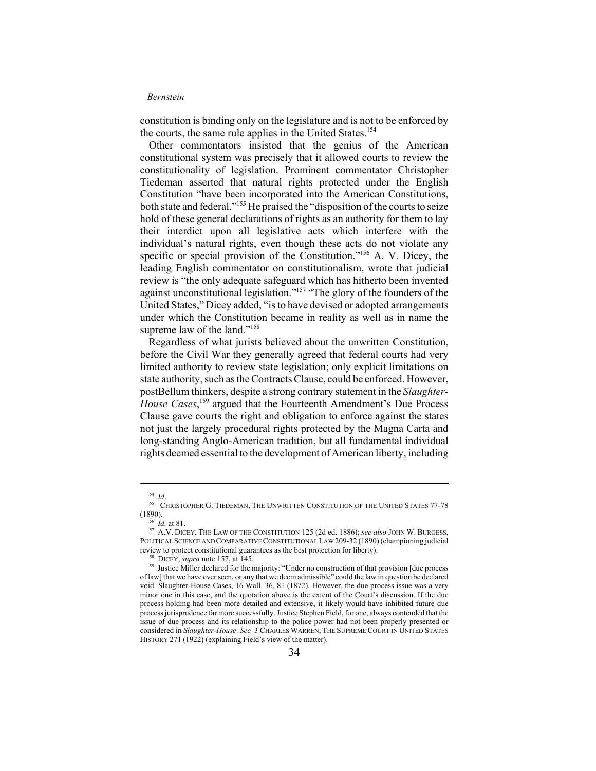constitution is binding only on the legislature and is not to be enforced by the courts, the same rule applies in the United States.<sup>154</sup>

Other commentators insisted that the genius of the American constitutional system was precisely that it allowed courts to review the constitutionality of legislation. Prominent commentator Christopher Tiedeman asserted that natural rights protected under the English Constitution "have been incorporated into the American Constitutions, both state and federal."155 He praised the "disposition of the courts to seize hold of these general declarations of rights as an authority for them to lay their interdict upon all legislative acts which interfere with the individual's natural rights, even though these acts do not violate any specific or special provision of the Constitution."<sup>156</sup> A. V. Dicey, the leading English commentator on constitutionalism, wrote that judicial review is "the only adequate safeguard which has hitherto been invented against unconstitutional legislation."157 "The glory of the founders of the United States," Dicey added, "is to have devised or adopted arrangements under which the Constitution became in reality as well as in name the supreme law of the land."<sup>158</sup>

Regardless of what jurists believed about the unwritten Constitution, before the Civil War they generally agreed that federal courts had very limited authority to review state legislation; only explicit limitations on state authority, such as the Contracts Clause, could be enforced. However, postBellum thinkers, despite a strong contrary statement in the *Slaughter-*House Cases,<sup>159</sup> argued that the Fourteenth Amendment's Due Process Clause gave courts the right and obligation to enforce against the states not just the largely procedural rights protected by the Magna Carta and long-standing Anglo-American tradition, but all fundamental individual rights deemed essential to the development of American liberty, including

<sup>154</sup> *Id*.

<sup>&</sup>lt;sup>155</sup> CHRISTOPHER G. TIEDEMAN, THE UNWRITTEN CONSTITUTION OF THE UNITED STATES 77-78 (1890).<br> $156$  *Id.* at 81.

<sup>&</sup>lt;sup>157</sup> A.V. DICEY, THE LAW OF THE CONSTITUTION 125 (2d ed. 1886); *see also* JOHN W. BURGESS, POLITICAL SCIENCE AND COMPARATIVE CONSTITUTIONAL LAW 209-32 (1890) (championing judicial review to protect constitutional guarantees as the best protection for liberty).

<sup>158</sup> DICEY, *supra* note 157, at 145.

<sup>&</sup>lt;sup>159</sup> Justice Miller declared for the majority: "Under no construction of that provision [due process of law] that we have ever seen, or any that we deem admissible" could the law in question be declared void. Slaughter-House Cases, 16 Wall. 36, 81 (1872). However, the due process issue was a very minor one in this case, and the quotation above is the extent of the Court's discussion. If the due process holding had been more detailed and extensive, it likely would have inhibited future due process jurisprudence far more successfully. Justice Stephen Field, for one, always contended that the issue of due process and its relationship to the police power had not been properly presented or considered in *Slaughter-House*. *See* 3 CHARLES WARREN, THE SUPREME COURT IN UNITED STATES HISTORY 271 (1922) (explaining Field's view of the matter).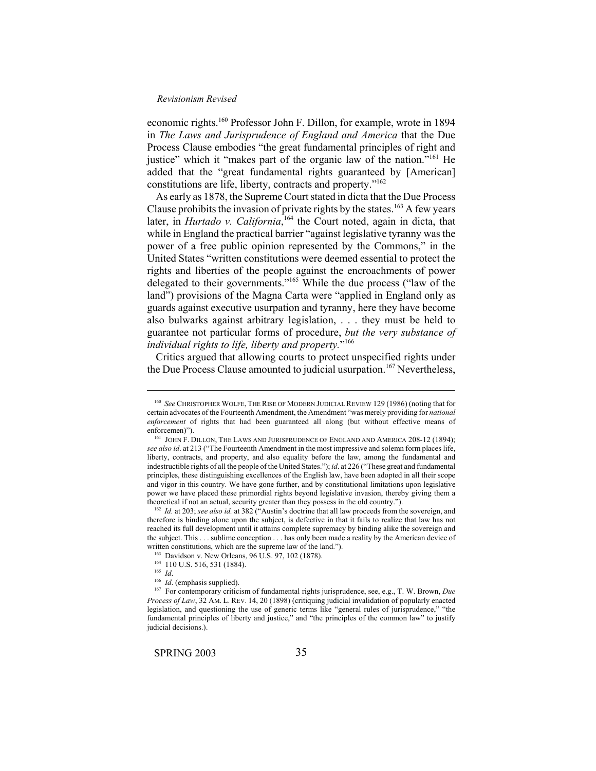economic rights.160 Professor John F. Dillon, for example, wrote in 1894 in *The Laws and Jurisprudence of England and America* that the Due Process Clause embodies "the great fundamental principles of right and justice" which it "makes part of the organic law of the nation."<sup>161</sup> He added that the "great fundamental rights guaranteed by [American] constitutions are life, liberty, contracts and property."162

As early as 1878, the Supreme Court stated in dicta that the Due Process Clause prohibits the invasion of private rights by the states.<sup>163</sup> A few years later, in *Hurtado v. California*,<sup>164</sup> the Court noted, again in dicta, that while in England the practical barrier "against legislative tyranny was the power of a free public opinion represented by the Commons," in the United States "written constitutions were deemed essential to protect the rights and liberties of the people against the encroachments of power delegated to their governments."165 While the due process ("law of the land") provisions of the Magna Carta were "applied in England only as guards against executive usurpation and tyranny, here they have become also bulwarks against arbitrary legislation, . . . they must be held to guarantee not particular forms of procedure, *but the very substance of individual rights to life, liberty and property.*"166

Critics argued that allowing courts to protect unspecified rights under the Due Process Clause amounted to judicial usurpation.<sup>167</sup> Nevertheless,

SPRING 2003 35

<sup>160</sup> *See* CHRISTOPHER WOLFE, THE RISE OF MODERN JUDICIAL REVIEW 129 (1986) (noting that for certain advocates of the Fourteenth Amendment, the Amendment "was merely providing for *national enforcement* of rights that had been guaranteed all along (but without effective means of enforcemen)").

<sup>&</sup>lt;sup>161</sup> JOHN F. DILLON, THE LAWS AND JURISPRUDENCE OF ENGLAND AND AMERICA 208-12 (1894); *see also id*. at 213 ("The Fourteenth Amendment in the most impressive and solemn form places life, liberty, contracts, and property, and also equality before the law, among the fundamental and indestructible rights of all the people of the United States."); *id*. at 226 ("These great and fundamental principles, these distinguishing excellences of the English law, have been adopted in all their scope and vigor in this country. We have gone further, and by constitutional limitations upon legislative power we have placed these primordial rights beyond legislative invasion, thereby giving them a theoretical if not an actual, security greater than they possess in the old country.").

<sup>162</sup> *Id.* at 203; *see also id.* at 382 ("Austin's doctrine that all law proceeds from the sovereign, and therefore is binding alone upon the subject, is defective in that it fails to realize that law has not reached its full development until it attains complete supremacy by binding alike the sovereign and the subject. This . . . sublime conception . . . has only been made a reality by the American device of written constitutions, which are the supreme law of the land.").

<sup>&</sup>lt;sup>163</sup> Davidson v. New Orleans, 96 U.S. 97, 102 (1878).

<sup>&</sup>lt;sup>164</sup> 110 U.S. 516, 531 (1884).

<sup>165</sup> *Id*.

<sup>&</sup>lt;sup>166</sup> *Id.* (emphasis supplied).

<sup>167</sup> For contemporary criticism of fundamental rights jurisprudence, see, e.g., T. W. Brown, *Due Process of Law*, 32 AM. L. REV. 14, 20 (1898) (critiquing judicial invalidation of popularly enacted legislation, and questioning the use of generic terms like "general rules of jurisprudence," "the fundamental principles of liberty and justice," and "the principles of the common law" to justify judicial decisions.).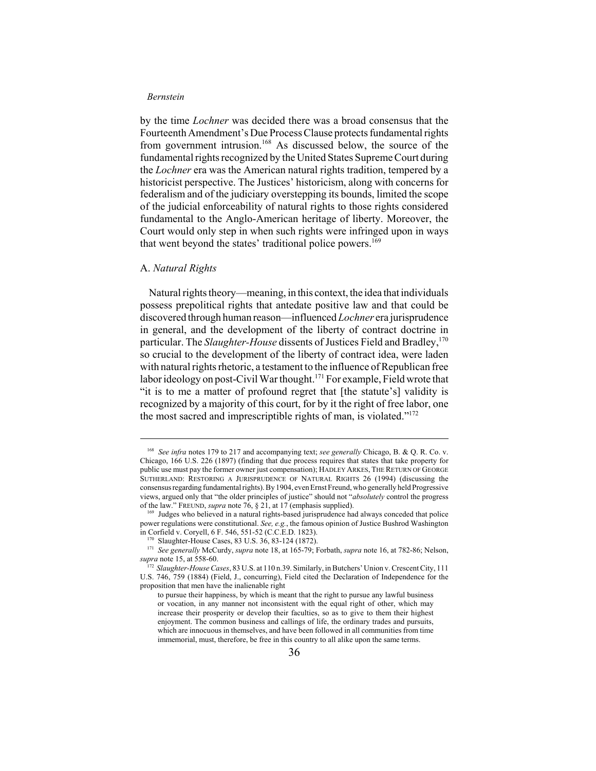by the time *Lochner* was decided there was a broad consensus that the Fourteenth Amendment's Due Process Clause protects fundamental rights from government intrusion.<sup>168</sup> As discussed below, the source of the fundamental rights recognized by the United States Supreme Court during the *Lochner* era was the American natural rights tradition, tempered by a historicist perspective. The Justices' historicism, along with concerns for federalism and of the judiciary overstepping its bounds, limited the scope of the judicial enforceability of natural rights to those rights considered fundamental to the Anglo-American heritage of liberty. Moreover, the Court would only step in when such rights were infringed upon in ways that went beyond the states' traditional police powers.<sup>169</sup>

## A. *Natural Rights*

Natural rights theory—meaning, in this context, the idea that individuals possess prepolitical rights that antedate positive law and that could be discovered through human reason—influenced *Lochner* era jurisprudence in general, and the development of the liberty of contract doctrine in particular. The *Slaughter-House* dissents of Justices Field and Bradley,<sup>170</sup> so crucial to the development of the liberty of contract idea, were laden with natural rights rhetoric, a testament to the influence of Republican free labor ideology on post-Civil War thought.<sup>171</sup> For example, Field wrote that "it is to me a matter of profound regret that [the statute's] validity is recognized by a majority of this court, for by it the right of free labor, one the most sacred and imprescriptible rights of man, is violated."172

<sup>168</sup> *See infra* notes 179 to 217 and accompanying text; *see generally* Chicago, B. & Q. R. Co. v. Chicago, 166 U.S. 226 (1897) (finding that due process requires that states that take property for public use must pay the former owner just compensation); HADLEY ARKES, THE RETURN OF GEORGE SUTHERLAND: RESTORING A JURISPRUDENCE OF NATURAL RIGHTS 26 (1994) (discussing the consensus regarding fundamental rights). By 1904, even Ernst Freund, who generally held Progressive views, argued only that "the older principles of justice" should not "*absolutely* control the progress of the law." FREUND, *supra* note 76, § 21, at 17 (emphasis supplied).

<sup>169</sup> Judges who believed in a natural rights-based jurisprudence had always conceded that police power regulations were constitutional. *See, e.g.*, the famous opinion of Justice Bushrod Washington in Corfield v. Coryell, 6 F. 546, 551-52 (C.C.E.D. 1823).

Slaughter-House Cases, 83 U.S. 36, 83-124 (1872).

<sup>171</sup> *See generally* McCurdy, *supra* note 18, at 165-79; Forbath, *supra* note 16, at 782-86; Nelson, *supra* note 15, at 558-60.

<sup>172</sup> *Slaughter-House Cases*, 83 U.S. at 110 n.39. Similarly, in Butchers' Union v. Crescent City, 111 U.S. 746, 759 (1884) (Field, J., concurring), Field cited the Declaration of Independence for the proposition that men have the inalienable right

to pursue their happiness, by which is meant that the right to pursue any lawful business or vocation, in any manner not inconsistent with the equal right of other, which may increase their prosperity or develop their faculties, so as to give to them their highest enjoyment. The common business and callings of life, the ordinary trades and pursuits, which are innocuous in themselves, and have been followed in all communities from time immemorial, must, therefore, be free in this country to all alike upon the same terms.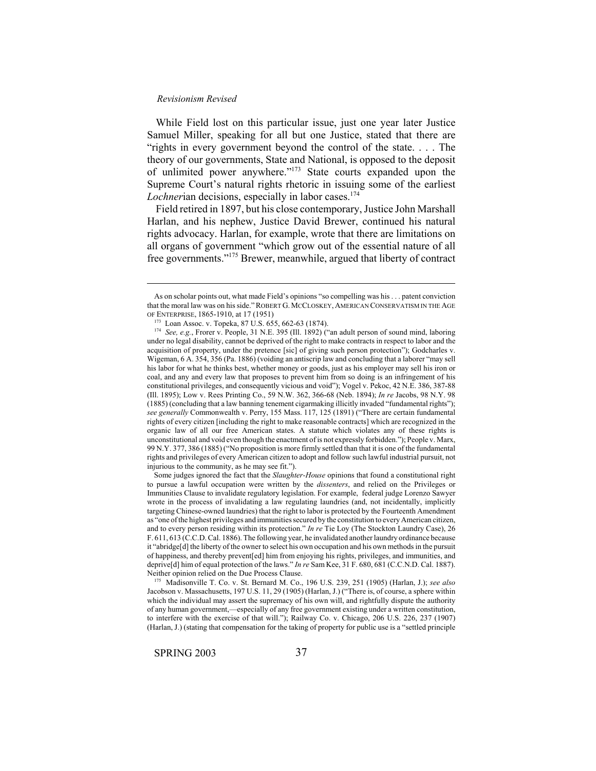While Field lost on this particular issue, just one year later Justice Samuel Miller, speaking for all but one Justice, stated that there are "rights in every government beyond the control of the state. . . . The theory of our governments, State and National, is opposed to the deposit of unlimited power anywhere."173 State courts expanded upon the Supreme Court's natural rights rhetoric in issuing some of the earliest *Lochnerian* decisions, especially in labor cases.<sup>174</sup>

Field retired in 1897, but his close contemporary, Justice John Marshall Harlan, and his nephew, Justice David Brewer, continued his natural rights advocacy. Harlan, for example, wrote that there are limitations on all organs of government "which grow out of the essential nature of all free governments."175 Brewer, meanwhile, argued that liberty of contract

Some judges ignored the fact that the *Slaughter-House* opinions that found a constitutional right to pursue a lawful occupation were written by the *dissenters*, and relied on the Privileges or Immunities Clause to invalidate regulatory legislation. For example, federal judge Lorenzo Sawyer wrote in the process of invalidating a law regulating laundries (and, not incidentally, implicitly targeting Chinese-owned laundries) that the right to labor is protected by the Fourteenth Amendment as "one of the highest privileges and immunities secured by the constitution to every American citizen, and to every person residing within its protection." *In re* Tie Loy (The Stockton Laundry Case), 26 F. 611, 613 (C.C.D. Cal. 1886). The following year, he invalidated another laundry ordinance because it "abridge[d] the liberty of the owner to select his own occupation and his own methods in the pursuit of happiness, and thereby prevent[ed] him from enjoying his rights, privileges, and immunities, and deprive[d] him of equal protection of the laws." *In re* Sam Kee, 31 F. 680, 681 (C.C.N.D. Cal. 1887). Neither opinion relied on the Due Process Clause.

175 Madisonville T. Co. v. St. Bernard M. Co., 196 U.S. 239, 251 (1905) (Harlan, J.); *see also* Jacobson v. Massachusetts, 197 U.S. 11, 29 (1905) (Harlan, J.) ("There is, of course, a sphere within which the individual may assert the supremacy of his own will, and rightfully dispute the authority of any human government,—especially of any free government existing under a written constitution, to interfere with the exercise of that will."); Railway Co. v. Chicago, 206 U.S. 226, 237 (1907) (Harlan, J.) (stating that compensation for the taking of property for public use is a "settled principle

SPRING 2003 37

As on scholar points out, what made Field's opinions "so compelling was his . . . patent conviction that the moral law was on his side." ROBERT G. MCCLOSKEY, AMERICAN CONSERVATISM IN THE AGE OF ENTERPRISE, 1865-1910, at 17 (1951)

<sup>173</sup> Loan Assoc. v. Topeka, 87 U.S. 655, 662-63 (1874).

<sup>174</sup> *See, e.g.*, Frorer v. People, 31 N.E. 395 (Ill. 1892) ("an adult person of sound mind, laboring under no legal disability, cannot be deprived of the right to make contracts in respect to labor and the acquisition of property, under the pretence [sic] of giving such person protection"); Godcharles v. Wigeman, 6 A. 354, 356 (Pa. 1886) (voiding an antiscrip law and concluding that a laborer "may sell his labor for what he thinks best, whether money or goods, just as his employer may sell his iron or coal, and any and every law that proposes to prevent him from so doing is an infringement of his constitutional privileges, and consequently vicious and void"); Vogel v. Pekoc, 42 N.E. 386, 387-88 (Ill. 1895); Low v. Rees Printing Co., 59 N.W. 362, 366-68 (Neb. 1894); *In re* Jacobs, 98 N.Y. 98 (1885) (concluding that a law banning tenement cigarmaking illicitly invaded "fundamental rights"); *see generally* Commonwealth v. Perry, 155 Mass. 117, 125 (1891) ("There are certain fundamental rights of every citizen [including the right to make reasonable contracts] which are recognized in the organic law of all our free American states. A statute which violates any of these rights is unconstitutional and void even though the enactment of is not expressly forbidden."); People v. Marx, 99 N.Y. 377, 386 (1885) ("No proposition is more firmly settled than that it is one of the fundamental rights and privileges of every American citizen to adopt and follow such lawful industrial pursuit, not injurious to the community, as he may see fit.").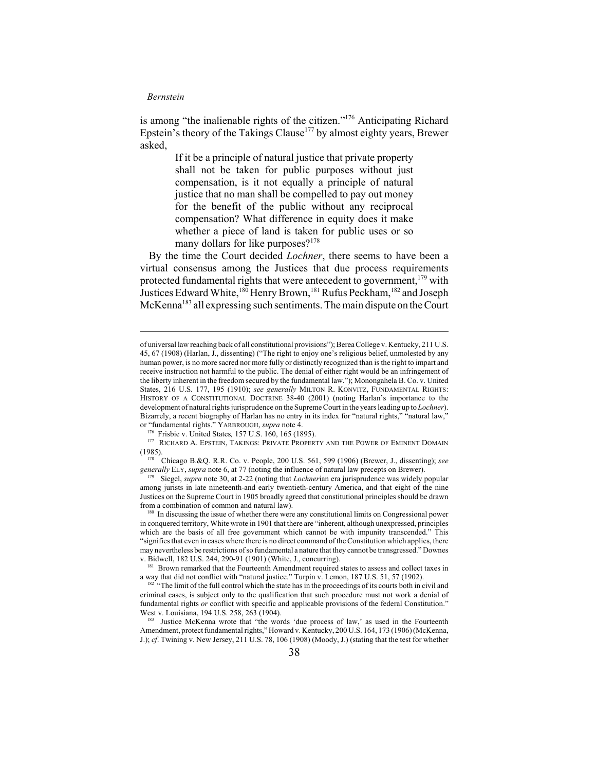is among "the inalienable rights of the citizen."176 Anticipating Richard Epstein's theory of the Takings Clause<sup>177</sup> by almost eighty years, Brewer asked,

> If it be a principle of natural justice that private property shall not be taken for public purposes without just compensation, is it not equally a principle of natural justice that no man shall be compelled to pay out money for the benefit of the public without any reciprocal compensation? What difference in equity does it make whether a piece of land is taken for public uses or so many dollars for like purposes? $178$

By the time the Court decided *Lochner*, there seems to have been a virtual consensus among the Justices that due process requirements protected fundamental rights that were antecedent to government,<sup>179</sup> with Justices Edward White,<sup>180</sup> Henry Brown,<sup>181</sup> Rufus Peckham,<sup>182</sup> and Joseph McKenna183 all expressing such sentiments. The main dispute on the Court

of universal law reaching back of all constitutional provisions"); Berea College v. Kentucky, 211 U.S. 45, 67 (1908) (Harlan, J., dissenting) ("The right to enjoy one's religious belief, unmolested by any human power, is no more sacred nor more fully or distinctly recognized than is the right to impart and receive instruction not harmful to the public. The denial of either right would be an infringement of the liberty inherent in the freedom secured by the fundamental law."); Monongahela B. Co. v. United States, 216 U.S. 177, 195 (1910); *see generally* MILTON R. KONVITZ, FUNDAMENTAL RIGHTS: HISTORY OF A CONSTITUTIONAL DOCTRINE 38-40 (2001) (noting Harlan's importance to the development of natural rights jurisprudence on the Supreme Court in the years leading up to *Lochner*). Bizarrely, a recent biography of Harlan has no entry in its index for "natural rights," "natural law," or "fundamental rights." YARBROUGH, *supra* note 4.

<sup>176</sup> Frisbie v. United States*,* 157 U.S. 160, 165 (1895).

<sup>&</sup>lt;sup>177</sup> RICHARD A. EPSTEIN, TAKINGS: PRIVATE PROPERTY AND THE POWER OF EMINENT DOMAIN  $(1985)$ 

<sup>178</sup> Chicago B.&Q. R.R. Co. v. People, 200 U.S. 561, 599 (1906) (Brewer, J., dissenting); *see generally* ELY, *supra* note 6, at 77 (noting the influence of natural law precepts on Brewer).

<sup>179</sup> Siegel, *supra* note 30, at 2-22 (noting that *Lochner*ian era jurisprudence was widely popular among jurists in late nineteenth-and early twentieth-century America, and that eight of the nine Justices on the Supreme Court in 1905 broadly agreed that constitutional principles should be drawn from a combination of common and natural law).<br><sup>180</sup> In discussing the issue of whether there were any constitutional limits on Congressional power

in conquered territory, White wrote in 1901 that there are "inherent, although unexpressed, principles which are the basis of all free government which cannot be with impunity transcended." This "signifies that even in cases where there is no direct command of the Constitution which applies, there may nevertheless be restrictions of so fundamental a nature that they cannot be transgressed." Downes v. Bidwell, 182 U.S. 244, 290-91 (1901) (White, J., concurring).

<sup>181</sup> Brown remarked that the Fourteenth Amendment required states to assess and collect taxes in a way that did not conflict with "natural justice." Turpin v. Lemon, 187 U.S. 51, 57 (1902).

<sup>182 &</sup>quot;The limit of the full control which the state has in the proceedings of its courts both in civil and criminal cases, is subject only to the qualification that such procedure must not work a denial of fundamental rights *or* conflict with specific and applicable provisions of the federal Constitution." West v. Louisiana, 194 U.S. 258, 263 (1904).

<sup>&</sup>lt;sup>183</sup> Justice McKenna wrote that "the words 'due process of law,' as used in the Fourteenth Amendment, protect fundamental rights," Howard v. Kentucky, 200 U.S. 164, 173 (1906) (McKenna, J.); *cf*. Twining v. New Jersey, 211 U.S. 78, 106 (1908) (Moody, J.) (stating that the test for whether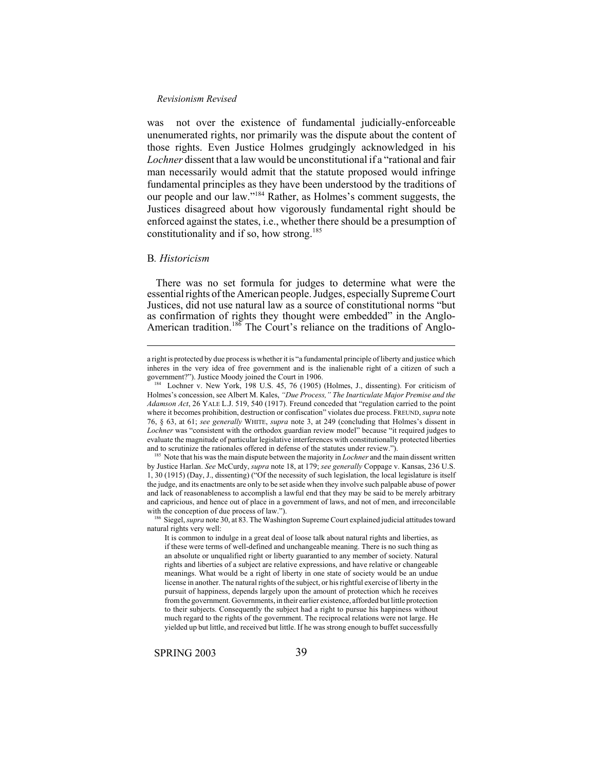was not over the existence of fundamental judicially-enforceable unenumerated rights, nor primarily was the dispute about the content of those rights. Even Justice Holmes grudgingly acknowledged in his *Lochner* dissent that a law would be unconstitutional if a "rational and fair man necessarily would admit that the statute proposed would infringe fundamental principles as they have been understood by the traditions of our people and our law."184 Rather, as Holmes's comment suggests, the Justices disagreed about how vigorously fundamental right should be enforced against the states, i.e., whether there should be a presumption of constitutionality and if so, how strong.<sup>185</sup>

## B*. Historicism*

There was no set formula for judges to determine what were the essential rights of the American people. Judges, especially Supreme Court Justices, did not use natural law as a source of constitutional norms "but as confirmation of rights they thought were embedded" in the Anglo-American tradition.<sup>186</sup> The Court's reliance on the traditions of Anglo-

SPRING 2003 39

a right is protected by due process is whether it is "a fundamental principle of liberty and justice which inheres in the very idea of free government and is the inalienable right of a citizen of such a government?"). Justice Moody joined the Court in 1906.

<sup>184</sup> Lochner v. New York, 198 U.S. 45, 76 (1905) (Holmes, J., dissenting). For criticism of Holmes's concession, see Albert M. Kales, *"Due Process," The Inarticulate Major Premise and the Adamson Act*, 26 YALE L.J. 519, 540 (1917). Freund conceded that "regulation carried to the point where it becomes prohibition, destruction or confiscation" violates due process. FREUND, *supra* note 76, § 63, at 61; *see generally* WHITE, *supra* note 3, at 249 (concluding that Holmes's dissent in *Lochner* was "consistent with the orthodox guardian review model" because "it required judges to evaluate the magnitude of particular legislative interferences with constitutionally protected liberties and to scrutinize the rationales offered in defense of the statutes under review.").

<sup>&</sup>lt;sup>185</sup> Note that his was the main dispute between the majority in *Lochner* and the main dissent written by Justice Harlan. *See* McCurdy, *supra* note 18, at 179; *see generally* Coppage v. Kansas, 236 U.S. 1, 30 (1915) (Day, J., dissenting) ("Of the necessity of such legislation, the local legislature is itself the judge, and its enactments are only to be set aside when they involve such palpable abuse of power and lack of reasonableness to accomplish a lawful end that they may be said to be merely arbitrary and capricious, and hence out of place in a government of laws, and not of men, and irreconcilable with the conception of due process of law.").

<sup>186</sup> Siegel, *supra* note 30, at 83. The Washington Supreme Court explained judicial attitudes toward natural rights very well:

It is common to indulge in a great deal of loose talk about natural rights and liberties, as if these were terms of well-defined and unchangeable meaning. There is no such thing as an absolute or unqualified right or liberty guarantied to any member of society. Natural rights and liberties of a subject are relative expressions, and have relative or changeable meanings. What would be a right of liberty in one state of society would be an undue license in another. The natural rights of the subject, or his rightful exercise of liberty in the pursuit of happiness, depends largely upon the amount of protection which he receives from the government. Governments, in their earlier existence, afforded but little protection to their subjects. Consequently the subject had a right to pursue his happiness without much regard to the rights of the government. The reciprocal relations were not large. He yielded up but little, and received but little. If he was strong enough to buffet successfully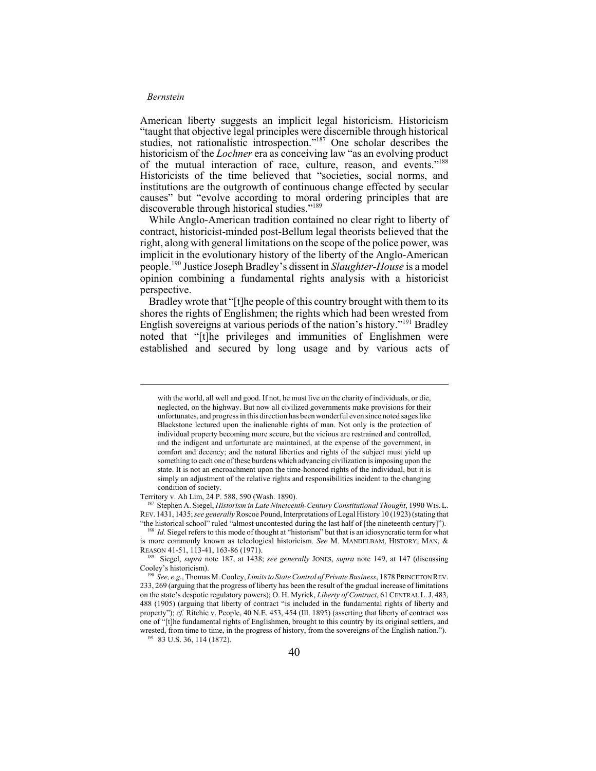American liberty suggests an implicit legal historicism. Historicism "taught that objective legal principles were discernible through historical studies, not rationalistic introspection."187 One scholar describes the historicism of the *Lochner* era as conceiving law "as an evolving product of the mutual interaction of race, culture, reason, and events."188 Historicists of the time believed that "societies, social norms, and institutions are the outgrowth of continuous change effected by secular causes" but "evolve according to moral ordering principles that are discoverable through historical studies."<sup>189</sup>

While Anglo-American tradition contained no clear right to liberty of contract, historicist-minded post-Bellum legal theorists believed that the right, along with general limitations on the scope of the police power, was implicit in the evolutionary history of the liberty of the Anglo-American people.190 Justice Joseph Bradley's dissent in *Slaughter-House* is a model opinion combining a fundamental rights analysis with a historicist perspective.

Bradley wrote that "[t]he people of this country brought with them to its shores the rights of Englishmen; the rights which had been wrested from English sovereigns at various periods of the nation's history."191 Bradley noted that "[t]he privileges and immunities of Englishmen were established and secured by long usage and by various acts of

Territory v. Ah Lim, 24 P. 588, 590 (Wash. 1890).

with the world, all well and good. If not, he must live on the charity of individuals, or die, neglected, on the highway. But now all civilized governments make provisions for their unfortunates, and progress in this direction has been wonderful even since noted sages like Blackstone lectured upon the inalienable rights of man. Not only is the protection of individual property becoming more secure, but the vicious are restrained and controlled, and the indigent and unfortunate are maintained, at the expense of the government, in comfort and decency; and the natural liberties and rights of the subject must yield up something to each one of these burdens which advancing civilization is imposing upon the state. It is not an encroachment upon the time-honored rights of the individual, but it is simply an adjustment of the relative rights and responsibilities incident to the changing condition of society.

<sup>187</sup> Stephen A. Siegel, *Historism in Late Nineteenth-Century Constitutional Thought*, 1990 WIS.L. REV.1431, 1435; *see generally* Roscoe Pound, Interpretations of Legal History 10 (1923) (stating that "the historical school" ruled "almost uncontested during the last half of [the nineteenth century]").

<sup>&</sup>lt;sup>188</sup> *Id.* Siegel refers to this mode of thought at "historism" but that is an idiosyncratic term for what is more commonly known as teleological historicism. *See* M. MANDELBAM, HISTORY, MAN, & REASON 41-51, 113-41, 163-86 (1971). 189 Siegel, *supra* note 187, at 1438; *see generally* JONES, *supra* note 149, at 147 (discussing

Cooley's historicism).

<sup>190</sup> *See, e.g.*, Thomas M. Cooley, *Limits to State Control of Private Business*, 1878 PRINCETON REV. 233, 269 (arguing that the progress of liberty has been the result of the gradual increase of limitations on the state's despotic regulatory powers); O. H. Myrick, *Liberty of Contract*, 61 CENTRAL L.J. 483, 488 (1905) (arguing that liberty of contract "is included in the fundamental rights of liberty and property"); *cf.* Ritchie v. People, 40 N.E. 453, 454 (Ill. 1895) (asserting that liberty of contract was one of "[t]he fundamental rights of Englishmen, brought to this country by its original settlers, and wrested, from time to time, in the progress of history, from the sovereigns of the English nation.").

 $191$  83 U.S. 36, 114 (1872).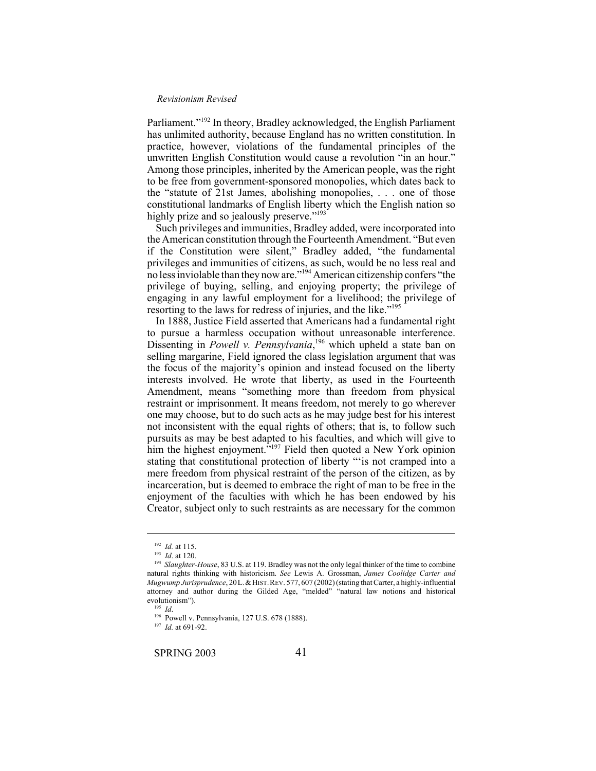Parliament."<sup>192</sup> In theory, Bradley acknowledged, the English Parliament has unlimited authority, because England has no written constitution. In practice, however, violations of the fundamental principles of the unwritten English Constitution would cause a revolution "in an hour." Among those principles, inherited by the American people, was the right to be free from government-sponsored monopolies, which dates back to the "statute of 21st James, abolishing monopolies, . . . one of those constitutional landmarks of English liberty which the English nation so highly prize and so jealously preserve."<sup>193</sup>

Such privileges and immunities, Bradley added, were incorporated into the American constitution through the Fourteenth Amendment. "But even if the Constitution were silent," Bradley added, "the fundamental privileges and immunities of citizens, as such, would be no less real and no less inviolable than they now are."<sup>194</sup> American citizenship confers "the privilege of buying, selling, and enjoying property; the privilege of engaging in any lawful employment for a livelihood; the privilege of resorting to the laws for redress of injuries, and the like."<sup>195</sup>

In 1888, Justice Field asserted that Americans had a fundamental right to pursue a harmless occupation without unreasonable interference. Dissenting in *Powell v. Pennsylvania*, 196 which upheld a state ban on selling margarine, Field ignored the class legislation argument that was the focus of the majority's opinion and instead focused on the liberty interests involved. He wrote that liberty, as used in the Fourteenth Amendment, means "something more than freedom from physical restraint or imprisonment. It means freedom, not merely to go wherever one may choose, but to do such acts as he may judge best for his interest not inconsistent with the equal rights of others; that is, to follow such pursuits as may be best adapted to his faculties, and which will give to him the highest enjoyment."<sup>197</sup> Field then quoted a New York opinion stating that constitutional protection of liberty "'is not cramped into a mere freedom from physical restraint of the person of the citizen, as by incarceration, but is deemed to embrace the right of man to be free in the enjoyment of the faculties with which he has been endowed by his Creator, subject only to such restraints as are necessary for the common

195 *Id*.

197 *Id.* at 691-92.

<sup>192</sup> *Id.* at 115.

<sup>193</sup> *Id*. at 120.

<sup>194</sup> *Slaughter-House*, 83 U.S. at 119. Bradley was not the only legal thinker of the time to combine natural rights thinking with historicism. *See* Lewis A. Grossman, *James Coolidge Carter and Mugwump Jurisprudence*, 20L.&HIST.REV. 577, 607 (2002) (stating that Carter, a highly-influential attorney and author during the Gilded Age, "melded" "natural law notions and historical evolutionism").

<sup>196</sup> Powell v. Pennsylvania, 127 U.S. 678 (1888).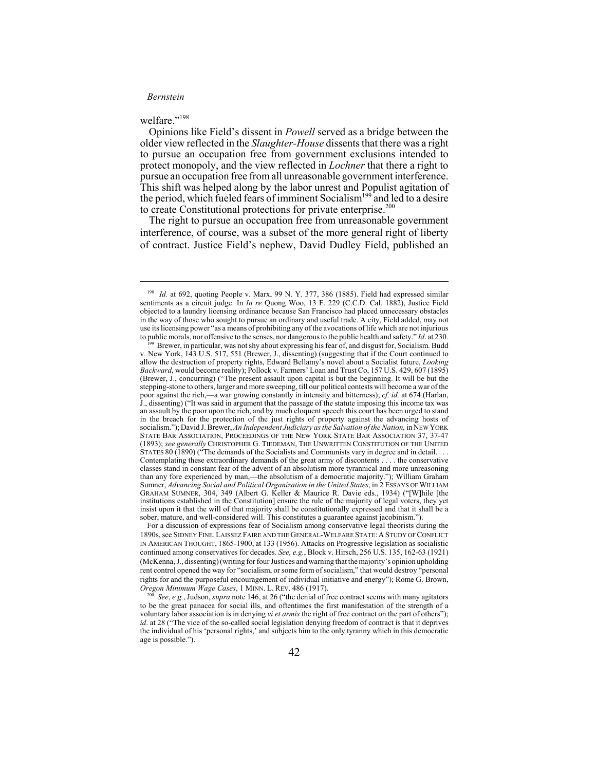## welfare."<sup>198</sup>

Opinions like Field's dissent in *Powell* served as a bridge between the older view reflected in the *Slaughter-House* dissents that there was a right to pursue an occupation free from government exclusions intended to protect monopoly, and the view reflected in *Lochner* that there a right to pursue an occupation free from all unreasonable government interference. This shift was helped along by the labor unrest and Populist agitation of the period, which fueled fears of imminent Socialism<sup>199</sup> and led to a desire to create Constitutional protections for private enterprise.<sup>200</sup>

The right to pursue an occupation free from unreasonable government interference, of course, was a subset of the more general right of liberty of contract. Justice Field's nephew, David Dudley Field, published an

<sup>&</sup>lt;sup>198</sup> *Id.* at 692, quoting People v. Marx, 99 N. Y. 377, 386 (1885). Field had expressed similar sentiments as a circuit judge. In *In re* Quong Woo, 13 F. 229 (C.C.D. Cal. 1882), Justice Field objected to a laundry licensing ordinance because San Francisco had placed unnecessary obstacles in the way of those who sought to pursue an ordinary and useful trade. A city, Field added, may not use its licensing power "as a means of prohibiting any of the avocations of life which are not injurious to public morals, nor offensive to the senses, nor dangerous to the public health and safety." *Id*. at 230.

<sup>199</sup> Brewer, in particular, was not shy about expressing his fear of, and disgust for, Socialism. Budd v. New York, 143 U.S. 517, 551 (Brewer, J., dissenting) (suggesting that if the Court continued to allow the destruction of property rights, Edward Bellamy's novel about a Socialist future, *Looking Backward*, would become reality); Pollock v. Farmers' Loan and Trust Co, 157 U.S. 429, 607 (1895) (Brewer, J., concurring) ("The present assault upon capital is but the beginning. It will be but the stepping-stone to others, larger and more sweeping, till our political contests will become a war of the poor against the rich,—a war growing constantly in intensity and bitterness); *cf. id.* at 674 (Harlan, J., dissenting) ("It was said in argument that the passage of the statute imposing this income tax was an assault by the poor upon the rich, and by much eloquent speech this court has been urged to stand in the breach for the protection of the just rights of property against the advancing hosts of socialism."); David J. Brewer, An Independent Judiciary as the Salvation of the Nation, in NEW YORK STATE BAR ASSOCIATION, PROCEEDINGS OF THE NEW YORK STATE BAR ASSOCIATION 37, 37-47 (1893); *see generally* CHRISTOPHER G. TIEDEMAN, THE UNWRITTEN CONSTITUTION OF THE UNITED STATES 80 (1890) ("The demands of the Socialists and Communists vary in degree and in detail. . . . Contemplating these extraordinary demands of the great army of discontents . . . . the conservative classes stand in constant fear of the advent of an absolutism more tyrannical and more unreasoning than any fore experienced by man,—the absolutism of a democratic majority."); William Graham Sumner, *Advancing Social and Political Organization in the United States*, in 2 ESSAYS OF WILLIAM GRAHAM SUMNER, 304, 349 (Albert G. Keller & Maurice R. Davie eds., 1934) ("[W]hile [the institutions established in the Constitution] ensure the rule of the majority of legal voters, they yet insist upon it that the will of that majority shall be constitutionally expressed and that it shall be a sober, mature, and well-considered will. This constitutes a guarantee against jacobinism.").

For a discussion of expressions fear of Socialism among conservative legal theorists during the 1890s, see SIDNEY FINE.LAISSEZ FAIRE AND THE GENERAL-WELFARE STATE:ASTUDY OF CONFLICT IN AMERICAN THOUGHT, 1865-1900, at 133 (1956). Attacks on Progressive legislation as socialistic continued among conservatives for decades. *See, e.g.*, Block v. Hirsch, 256 U.S. 135, 162-63 (1921) (McKenna, J., dissenting) (writing for four Justices and warning that the majority's opinion upholding rent control opened the way for "socialism, or some form of socialism," that would destroy "personal rights for and the purposeful encouragement of individual initiative and energy"); Rome G. Brown, *Oregon Minimum Wage Cases*, 1 MINN. L. REV. 486 (1917).

<sup>200</sup> *See*, *e.g.*, Judson, *supra* note 146, at 26 ("the denial of free contract seems with many agitators to be the great panacea for social ills, and oftentimes the first manifestation of the strength of a voluntary labor association is in denying *vi et armis* the right of free contract on the part of others"); *id*. at 28 ("The vice of the so-called social legislation denying freedom of contract is that it deprives the individual of his 'personal rights,' and subjects him to the only tyranny which in this democratic age is possible.").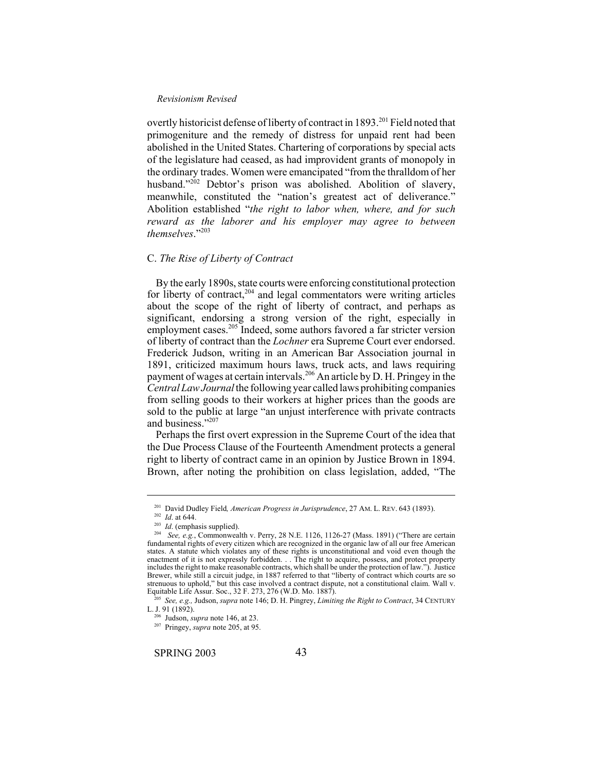overtly historicist defense of liberty of contract in 1893.<sup>201</sup> Field noted that primogeniture and the remedy of distress for unpaid rent had been abolished in the United States. Chartering of corporations by special acts of the legislature had ceased, as had improvident grants of monopoly in the ordinary trades. Women were emancipated "from the thralldom of her husband."<sup>202</sup> Debtor's prison was abolished. Abolition of slavery, meanwhile, constituted the "nation's greatest act of deliverance." Abolition established "*the right to labor when, where, and for such reward as the laborer and his employer may agree to between themselves*."203

## C. *The Rise of Liberty of Contract*

By the early 1890s, state courts were enforcing constitutional protection for liberty of contract,<sup>204</sup> and legal commentators were writing articles about the scope of the right of liberty of contract, and perhaps as significant, endorsing a strong version of the right, especially in employment cases.<sup>205</sup> Indeed, some authors favored a far stricter version of liberty of contract than the *Lochner* era Supreme Court ever endorsed. Frederick Judson, writing in an American Bar Association journal in 1891, criticized maximum hours laws, truck acts, and laws requiring payment of wages at certain intervals.206 An article by D. H. Pringey in the *Central Law Journal* the following year called laws prohibiting companies from selling goods to their workers at higher prices than the goods are sold to the public at large "an unjust interference with private contracts and business."207

Perhaps the first overt expression in the Supreme Court of the idea that the Due Process Clause of the Fourteenth Amendment protects a general right to liberty of contract came in an opinion by Justice Brown in 1894. Brown, after noting the prohibition on class legislation, added, "The

<sup>201</sup> David Dudley Field*, American Progress in Jurisprudence*, 27 AM. L. REV. 643 (1893).

<sup>202</sup> *Id*. at 644.

<sup>203</sup> *Id*. (emphasis supplied).

<sup>&</sup>lt;sup>204</sup> *See, e.g.*, Commonwealth v. Perry, 28 N.E. 1126, 1126-27 (Mass. 1891) ("There are certain fundamental rights of every citizen which are recognized in the organic law of all our free American states. A statute which violates any of these rights is unconstitutional and void even though the enactment of it is not expressly forbidden. . . The right to acquire, possess, and protect property includes the right to make reasonable contracts, which shall be under the protection of law."). Justice Brewer, while still a circuit judge, in 1887 referred to that "liberty of contract which courts are so strenuous to uphold," but this case involved a contract dispute, not a constitutional claim. Wall v. Equitable Life Assur. Soc., 32 F. 273, 276 (W.D. Mo. 1887).

<sup>205</sup> *See, e.g.,* Judson, *supra* note 146; D. H. Pingrey, *Limiting the Right to Contract*, 34 CENTURY L. J. 91 (1892).

 $6$  Judson, *supra* note 146, at 23.

<sup>207</sup> Pringey, *supra* note 205, at 95.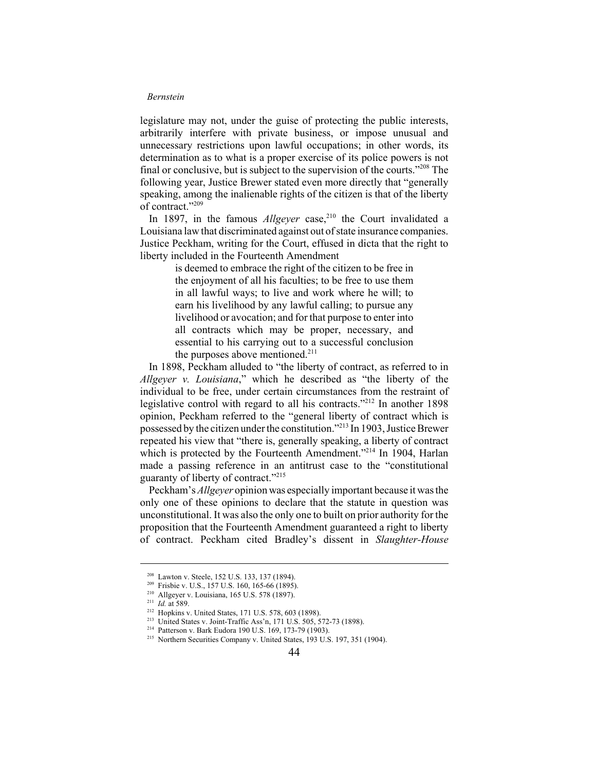legislature may not, under the guise of protecting the public interests, arbitrarily interfere with private business, or impose unusual and unnecessary restrictions upon lawful occupations; in other words, its determination as to what is a proper exercise of its police powers is not final or conclusive, but is subject to the supervision of the courts."208 The following year, Justice Brewer stated even more directly that "generally speaking, among the inalienable rights of the citizen is that of the liberty of contract."209

In 1897, in the famous *Allgeyer* case,<sup>210</sup> the Court invalidated a Louisiana law that discriminated against out of state insurance companies. Justice Peckham, writing for the Court, effused in dicta that the right to liberty included in the Fourteenth Amendment

> is deemed to embrace the right of the citizen to be free in the enjoyment of all his faculties; to be free to use them in all lawful ways; to live and work where he will; to earn his livelihood by any lawful calling; to pursue any livelihood or avocation; and for that purpose to enter into all contracts which may be proper, necessary, and essential to his carrying out to a successful conclusion the purposes above mentioned.<sup>211</sup>

In 1898, Peckham alluded to "the liberty of contract, as referred to in *Allgeyer v. Louisiana*," which he described as "the liberty of the individual to be free, under certain circumstances from the restraint of legislative control with regard to all his contracts."212 In another 1898 opinion, Peckham referred to the "general liberty of contract which is possessed by the citizen under the constitution."213 In 1903, Justice Brewer repeated his view that "there is, generally speaking, a liberty of contract which is protected by the Fourteenth Amendment."<sup>214</sup> In 1904, Harlan made a passing reference in an antitrust case to the "constitutional guaranty of liberty of contract."<sup>215</sup>

Peckham's *Allgeyer* opinion was especially important because it was the only one of these opinions to declare that the statute in question was unconstitutional. It was also the only one to built on prior authority for the proposition that the Fourteenth Amendment guaranteed a right to liberty of contract. Peckham cited Bradley's dissent in *Slaughter-House*

<sup>208</sup> Lawton v. Steele, 152 U.S. 133, 137 (1894).

<sup>209</sup> Frisbie v. U.S., 157 U.S. 160, 165-66 (1895).

<sup>210</sup> Allgeyer v. Louisiana, 165 U.S. 578 (1897).

<sup>211</sup> *Id.* at 589.

<sup>212</sup> Hopkins v. United States, 171 U.S. 578, 603 (1898).

<sup>&</sup>lt;sup>213</sup> United States v. Joint-Traffic Ass'n, 171 U.S. 505, 572-73 (1898).

<sup>214</sup> Patterson v. Bark Eudora 190 U.S. 169, 173-79 (1903).

<sup>215</sup> Northern Securities Company v. United States, 193 U.S. 197, 351 (1904).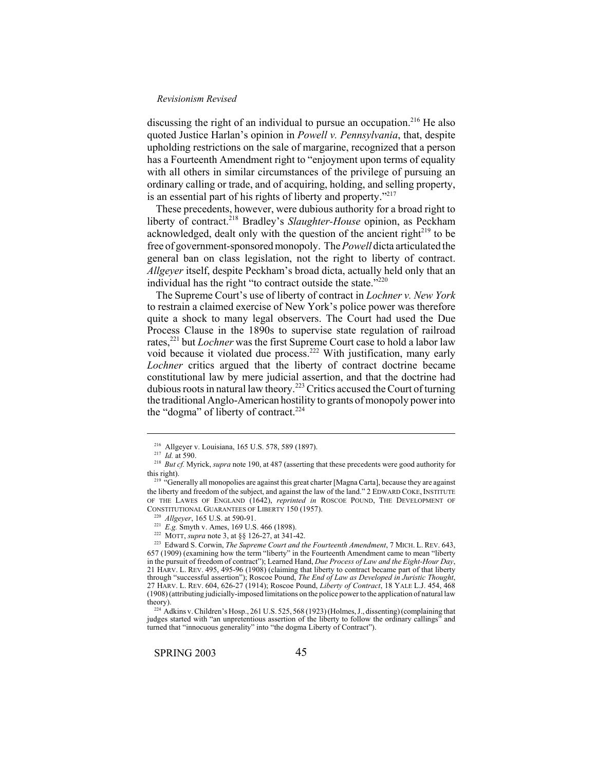discussing the right of an individual to pursue an occupation.<sup>216</sup> He also quoted Justice Harlan's opinion in *Powell v. Pennsylvania*, that, despite upholding restrictions on the sale of margarine, recognized that a person has a Fourteenth Amendment right to "enjoyment upon terms of equality with all others in similar circumstances of the privilege of pursuing an ordinary calling or trade, and of acquiring, holding, and selling property, is an essential part of his rights of liberty and property."<sup>217</sup>

These precedents, however, were dubious authority for a broad right to liberty of contract.<sup>218</sup> Bradley's *Slaughter-House* opinion, as Peckham acknowledged, dealt only with the question of the ancient right $2^{19}$  to be free of government-sponsored monopoly. The *Powell* dicta articulated the general ban on class legislation, not the right to liberty of contract. *Allgeyer* itself, despite Peckham's broad dicta, actually held only that an individual has the right "to contract outside the state."<sup>220</sup>

The Supreme Court's use of liberty of contract in *Lochner v. New York* to restrain a claimed exercise of New York's police power was therefore quite a shock to many legal observers. The Court had used the Due Process Clause in the 1890s to supervise state regulation of railroad rates,<sup>221</sup> but *Lochner* was the first Supreme Court case to hold a labor law void because it violated due process.<sup>222</sup> With justification, many early *Lochner* critics argued that the liberty of contract doctrine became constitutional law by mere judicial assertion, and that the doctrine had dubious roots in natural law theory.223 Critics accused the Court of turning the traditional Anglo-American hostility to grants of monopoly power into the "dogma" of liberty of contract.<sup>224</sup>

<sup>216</sup> Allgeyer v. Louisiana, 165 U.S. 578, 589 (1897).

<sup>217</sup> *Id.* at 590.

<sup>218</sup> *But cf.* Myrick, *supra* note 190, at 487 (asserting that these precedents were good authority for this right).

<sup>&</sup>lt;sup>219</sup> "Generally all monopolies are against this great charter [Magna Carta], because they are against the liberty and freedom of the subject, and against the law of the land." 2 EDWARD COKE, INSTITUTE OF THE LAWES OF ENGLAND (1642), *reprinted in* ROSCOE POUND, THE DEVELOPMENT OF CONSTITUTIONAL GUARANTEES OF LIBERTY 150 (1957).

<sup>220</sup> *Allgeyer*, 165 U.S. at 590-91.

<sup>221</sup> *E.g.* Smyth v. Ames, 169 U.S. 466 (1898).

<sup>222</sup> MOTT, *supra* note 3, at §§ 126-27, at 341-42.

<sup>&</sup>lt;sup>223</sup> Edward S. Corwin, *The Supreme Court and the Fourteenth Amendment*, 7 MICH. L. REV. 643, 657 (1909) (examining how the term "liberty" in the Fourteenth Amendment came to mean "liberty in the pursuit of freedom of contract"); Learned Hand, *Due Process of Law and the Eight-Hour Day*, 21 HARV. L. REV. 495, 495-96 (1908) (claiming that liberty to contract became part of that liberty through "successful assertion"); Roscoe Pound, *The End of Law as Developed in Juristic Thought*, 27 HARV. L. REV. 604, 626-27 (1914); Roscoe Pound, *Liberty of Contract*, 18 YALE L.J. 454, 468 (1908) (attributing judicially-imposed limitations on the police power to the application of natural law theory).

<sup>&</sup>lt;sup>224</sup> Adkins v. Children's Hosp., 261 U.S. 525, 568 (1923) (Holmes, J., dissenting) (complaining that judges started with "an unpretentious assertion of the liberty to follow the ordinary callings" and turned that "innocuous generality" into "the dogma Liberty of Contract").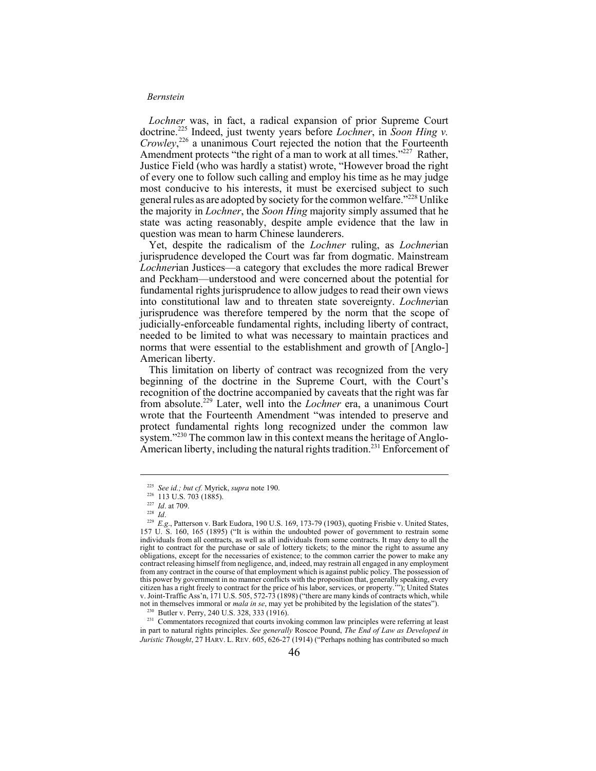*Lochner* was, in fact, a radical expansion of prior Supreme Court doctrine.225 Indeed, just twenty years before *Lochner*, in *Soon Hing v. Crowley*, 226 a unanimous Court rejected the notion that the Fourteenth Amendment protects "the right of a man to work at all times."<sup>227</sup> Rather, Justice Field (who was hardly a statist) wrote, "However broad the right of every one to follow such calling and employ his time as he may judge most conducive to his interests, it must be exercised subject to such general rules as are adopted by society for the common welfare."<sup>228</sup> Unlike the majority in *Lochner*, the *Soon Hing* majority simply assumed that he state was acting reasonably, despite ample evidence that the law in question was mean to harm Chinese launderers.

Yet, despite the radicalism of the *Lochner* ruling, as *Lochner*ian jurisprudence developed the Court was far from dogmatic. Mainstream *Lochner*ian Justices—a category that excludes the more radical Brewer and Peckham—understood and were concerned about the potential for fundamental rights jurisprudence to allow judges to read their own views into constitutional law and to threaten state sovereignty. *Lochner*ian jurisprudence was therefore tempered by the norm that the scope of judicially-enforceable fundamental rights, including liberty of contract, needed to be limited to what was necessary to maintain practices and norms that were essential to the establishment and growth of [Anglo-] American liberty.

This limitation on liberty of contract was recognized from the very beginning of the doctrine in the Supreme Court, with the Court's recognition of the doctrine accompanied by caveats that the right was far from absolute.229 Later, well into the *Lochner* era, a unanimous Court wrote that the Fourteenth Amendment "was intended to preserve and protect fundamental rights long recognized under the common law system."<sup>230</sup> The common law in this context means the heritage of Anglo-American liberty, including the natural rights tradition.<sup>231</sup> Enforcement of

<sup>231</sup> Commentators recognized that courts invoking common law principles were referring at least in part to natural rights principles. *See generally* Roscoe Pound, *The End of Law as Developed in Juristic Thought*, 27 HARV. L. REV. 605, 626-27 (1914) ("Perhaps nothing has contributed so much

<sup>225</sup> *See id.; but cf.* Myrick, *supra* note 190.

<sup>226 113</sup> U.S. 703 (1885).

<sup>227</sup> *Id*. at 709.

<sup>228</sup> *Id*.

<sup>229</sup> *E.g*., Patterson v. Bark Eudora, 190 U.S. 169, 173-79 (1903), quoting Frisbie v. United States, 157 U. S. 160, 165 (1895) ("It is within the undoubted power of government to restrain some individuals from all contracts, as well as all individuals from some contracts. It may deny to all the right to contract for the purchase or sale of lottery tickets; to the minor the right to assume any obligations, except for the necessaries of existence; to the common carrier the power to make any contract releasing himself from negligence, and, indeed, may restrain all engaged in any employment from any contract in the course of that employment which is against public policy. The possession of this power by government in no manner conflicts with the proposition that, generally speaking, every citizen has a right freely to contract for the price of his labor, services, or property.'"); United States v. Joint-Traffic Ass'n, 171 U.S. 505, 572-73 (1898) ("there are many kinds of contracts which, while not in themselves immoral or *mala in se*, may yet be prohibited by the legislation of the states").<br><sup>230</sup> Butler v. Perry, 240 U.S. 328, 333 (1916).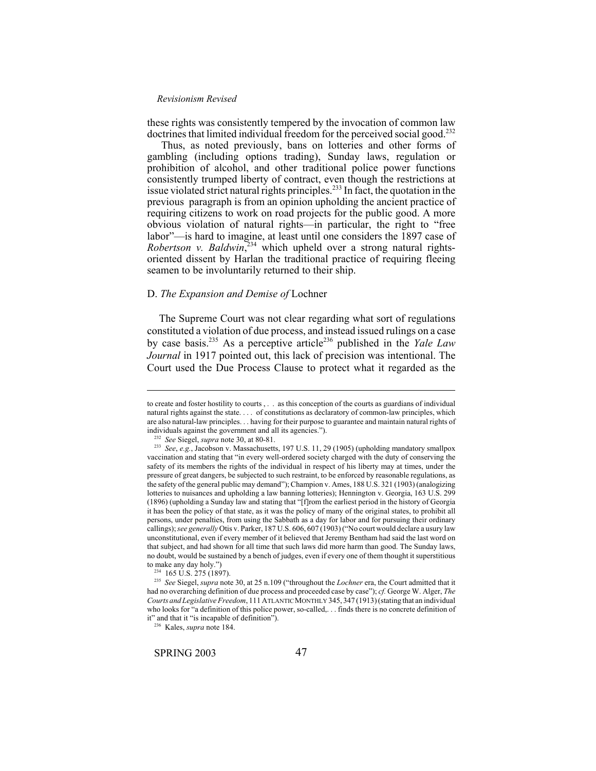these rights was consistently tempered by the invocation of common law doctrines that limited individual freedom for the perceived social good.<sup>232</sup>

 Thus, as noted previously, bans on lotteries and other forms of gambling (including options trading), Sunday laws, regulation or prohibition of alcohol, and other traditional police power functions consistently trumped liberty of contract, even though the restrictions at issue violated strict natural rights principles.<sup>233</sup> In fact, the quotation in the previous paragraph is from an opinion upholding the ancient practice of requiring citizens to work on road projects for the public good. A more obvious violation of natural rights—in particular, the right to "free labor"—is hard to imagine, at least until one considers the 1897 case of Robertson v. Baldwin,<sup>234</sup> which upheld over a strong natural rightsoriented dissent by Harlan the traditional practice of requiring fleeing seamen to be involuntarily returned to their ship.

## D. *The Expansion and Demise of* Lochner

 The Supreme Court was not clear regarding what sort of regulations constituted a violation of due process, and instead issued rulings on a case by case basis.235 As a perceptive article236 published in the *Yale Law Journal* in 1917 pointed out, this lack of precision was intentional. The Court used the Due Process Clause to protect what it regarded as the

<sup>234</sup> 165 U.S. 275 (1897).

236 Kales, *supra* note 184.

SPRING 2003 47

to create and foster hostility to courts , . . as this conception of the courts as guardians of individual natural rights against the state. . . . of constitutions as declaratory of common-law principles, which are also natural-law principles. . . having for their purpose to guarantee and maintain natural rights of individuals against the government and all its agencies.").

<sup>232</sup> *See* Siegel, *supra* note 30, at 80-81.

<sup>233</sup> *See*, *e.g.*, Jacobson v. Massachusetts, 197 U.S. 11, 29 (1905) (upholding mandatory smallpox vaccination and stating that "in every well-ordered society charged with the duty of conserving the safety of its members the rights of the individual in respect of his liberty may at times, under the pressure of great dangers, be subjected to such restraint, to be enforced by reasonable regulations, as the safety of the general public may demand"); Champion v. Ames, 188 U.S. 321 (1903) (analogizing lotteries to nuisances and upholding a law banning lotteries); Hennington v. Georgia, 163 U.S. 299 (1896) (upholding a Sunday law and stating that "[f]rom the earliest period in the history of Georgia it has been the policy of that state, as it was the policy of many of the original states, to prohibit all persons, under penalties, from using the Sabbath as a day for labor and for pursuing their ordinary callings); *see generally* Otis v. Parker, 187 U.S. 606, 607 (1903) ("No court would declare a usury law unconstitutional, even if every member of it believed that Jeremy Bentham had said the last word on that subject, and had shown for all time that such laws did more harm than good. The Sunday laws, no doubt, would be sustained by a bench of judges, even if every one of them thought it superstitious to make any day holy.")

<sup>235</sup> *See* Siegel, *supra* note 30, at 25 n.109 ("throughout the *Lochner* era, the Court admitted that it had no overarching definition of due process and proceeded case by case"); *cf.* George W. Alger, *The Courts and Legislative Freedom*, 111 ATLANTIC MONTHLY 345, 347 (1913) (stating that an individual who looks for "a definition of this police power, so-called,. . . finds there is no concrete definition of it" and that it "is incapable of definition").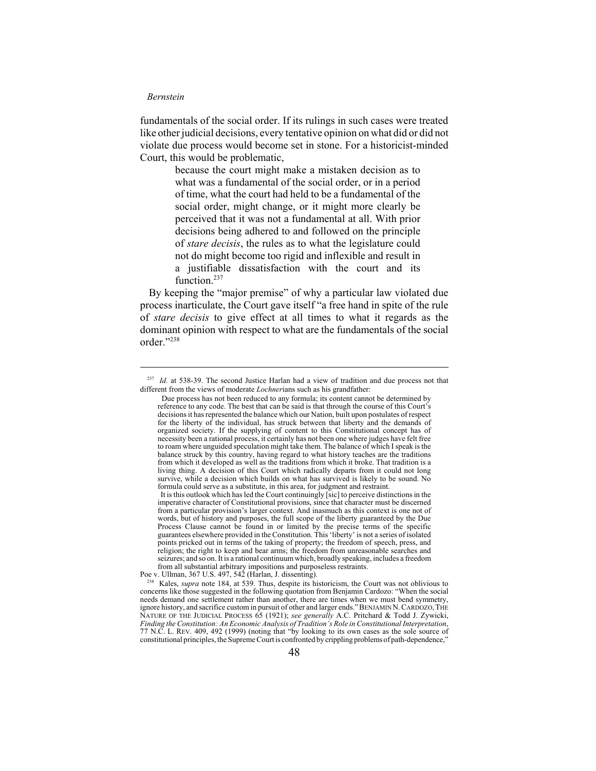fundamentals of the social order. If its rulings in such cases were treated like other judicial decisions, every tentative opinion on what did or did not violate due process would become set in stone. For a historicist-minded Court, this would be problematic,

> because the court might make a mistaken decision as to what was a fundamental of the social order, or in a period of time, what the court had held to be a fundamental of the social order, might change, or it might more clearly be perceived that it was not a fundamental at all. With prior decisions being adhered to and followed on the principle of *stare decisis*, the rules as to what the legislature could not do might become too rigid and inflexible and result in a justifiable dissatisfaction with the court and its function<sup>237</sup>

By keeping the "major premise" of why a particular law violated due process inarticulate, the Court gave itself "a free hand in spite of the rule of *stare decisis* to give effect at all times to what it regards as the dominant opinion with respect to what are the fundamentals of the social order."238

Poe v. Ullman, 367 U.S. 497, 542 (Harlan, J. dissenting).

<sup>&</sup>lt;sup>237</sup> *Id.* at 538-39. The second Justice Harlan had a view of tradition and due process not that different from the views of moderate *Lochner*ians such as his grandfather:

Due process has not been reduced to any formula; its content cannot be determined by reference to any code. The best that can be said is that through the course of this Court's decisions it has represented the balance which our Nation, built upon postulates of respect for the liberty of the individual, has struck between that liberty and the demands of organized society. If the supplying of content to this Constitutional concept has of necessity been a rational process, it certainly has not been one where judges have felt free to roam where unguided speculation might take them. The balance of which I speak is the balance struck by this country, having regard to what history teaches are the traditions from which it developed as well as the traditions from which it broke. That tradition is a living thing. A decision of this Court which radically departs from it could not long survive, while a decision which builds on what has survived is likely to be sound. No formula could serve as a substitute, in this area, for judgment and restraint.

It is this outlook which has led the Court continuingly [sic] to perceive distinctions in the imperative character of Constitutional provisions, since that character must be discerned from a particular provision's larger context. And inasmuch as this context is one not of words, but of history and purposes, the full scope of the liberty guaranteed by the Due Process Clause cannot be found in or limited by the precise terms of the specific guarantees elsewhere provided in the Constitution. This 'liberty' is not a series of isolated points pricked out in terms of the taking of property; the freedom of speech, press, and religion; the right to keep and bear arms; the freedom from unreasonable searches and seizures; and so on. It is a rational continuum which, broadly speaking, includes a freedom from all substantial arbitrary impositions and purposeless restraints.

<sup>238</sup> Kales, *supra* note 184, at 539. Thus, despite its historicism, the Court was not oblivious to concerns like those suggested in the following quotation from Benjamin Cardozo: "When the social needs demand one settlement rather than another, there are times when we must bend symmetry, ignore history, and sacrifice custom in pursuit of other and larger ends." BENJAMIN N. CARDOZO, THE NATURE OF THE JUDICIAL PROCESS 65 (1921); *see generally* A.C. Pritchard & Todd J. Zywicki, *Finding the Constitution: An Economic Analysis of Tradition's Role in Constitutional Interpretation*, 77 N.C. L. REV. 409, 492 (1999) (noting that "by looking to its own cases as the sole source of constitutional principles, the Supreme Court is confronted by crippling problems of path-dependence,"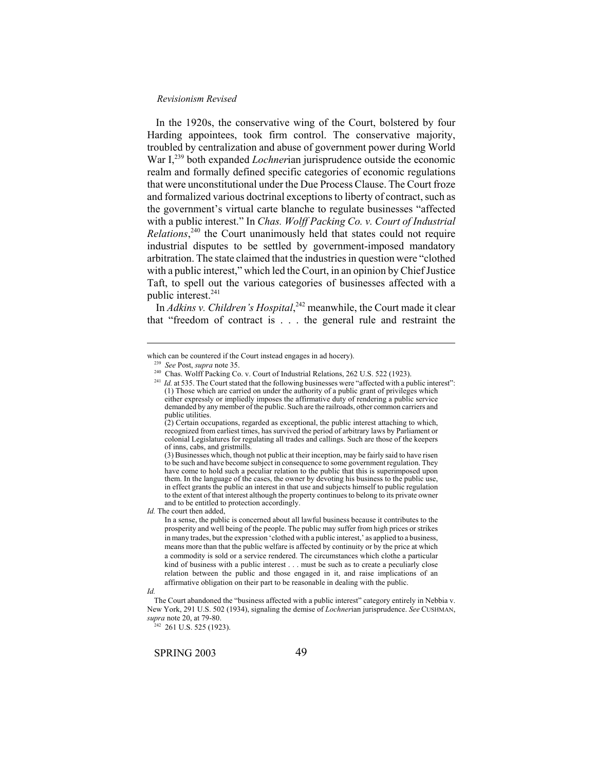In the 1920s, the conservative wing of the Court, bolstered by four Harding appointees, took firm control. The conservative majority, troubled by centralization and abuse of government power during World War I,239 both expanded *Lochner*ian jurisprudence outside the economic realm and formally defined specific categories of economic regulations that were unconstitutional under the Due Process Clause. The Court froze and formalized various doctrinal exceptions to liberty of contract, such as the government's virtual carte blanche to regulate businesses "affected with a public interest." In *Chas. Wolff Packing Co. v. Court of Industrial* Relations,<sup>240</sup> the Court unanimously held that states could not require industrial disputes to be settled by government-imposed mandatory arbitration. The state claimed that the industries in question were "clothed with a public interest," which led the Court, in an opinion by Chief Justice Taft, to spell out the various categories of businesses affected with a public interest.<sup>241</sup>

In *Adkins v. Children's Hospital*,<sup>242</sup> meanwhile, the Court made it clear that "freedom of contract is . . . the general rule and restraint the

*Id.* The court then added,

<sup>242</sup> 261 U.S. 525 (1923).

which can be countered if the Court instead engages in ad hocery).

<sup>&</sup>lt;sup>9</sup> See Post, *supra* note 35.

<sup>&</sup>lt;sup>240</sup> Chas. Wolff Packing Co. v. Court of Industrial Relations, 262 U.S. 522 (1923).

<sup>&</sup>lt;sup>241</sup> *Id.* at 535. The Court stated that the following businesses were "affected with a public interest": (1) Those which are carried on under the authority of a public grant of privileges which either expressly or impliedly imposes the affirmative duty of rendering a public service demanded by any member of the public. Such are the railroads, other common carriers and public utilities.

<sup>(2)</sup> Certain occupations, regarded as exceptional, the public interest attaching to which, recognized from earliest times, has survived the period of arbitrary laws by Parliament or colonial Legislatures for regulating all trades and callings. Such are those of the keepers of inns, cabs, and gristmills.

<sup>(3)</sup> Businesses which, though not public at their inception, may be fairly said to have risen to be such and have become subject in consequence to some government regulation. They have come to hold such a peculiar relation to the public that this is superimposed upon them. In the language of the cases, the owner by devoting his business to the public use, in effect grants the public an interest in that use and subjects himself to public regulation to the extent of that interest although the property continues to belong to its private owner and to be entitled to protection accordingly.

In a sense, the public is concerned about all lawful business because it contributes to the prosperity and well being of the people. The public may suffer from high prices or strikes in many trades, but the expression 'clothed with a public interest,' as applied to a business, means more than that the public welfare is affected by continuity or by the price at which a commodity is sold or a service rendered. The circumstances which clothe a particular kind of business with a public interest . . . must be such as to create a peculiarly close relation between the public and those engaged in it, and raise implications of an affirmative obligation on their part to be reasonable in dealing with the public.

*Id.*

The Court abandoned the "business affected with a public interest" category entirely in Nebbia v. New York, 291 U.S. 502 (1934), signaling the demise of *Lochner*ian jurisprudence. *See* CUSHMAN, *supra* note 20, at 79-80.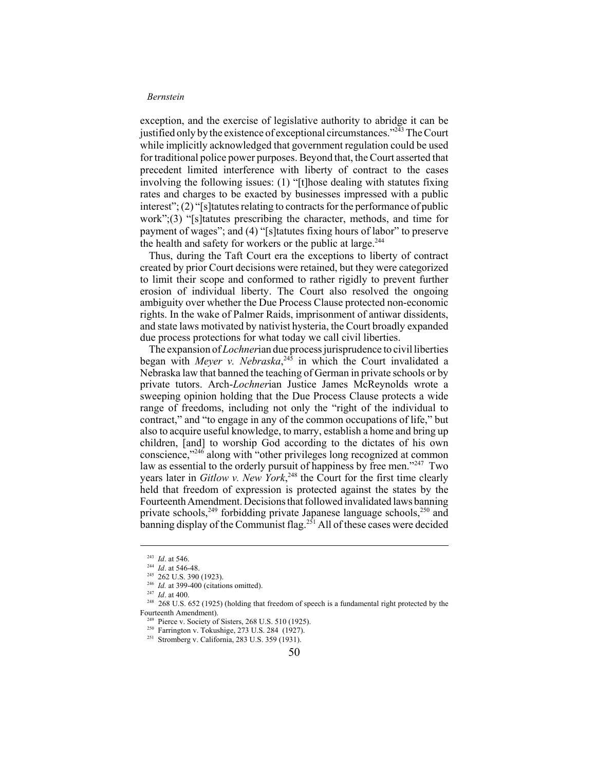exception, and the exercise of legislative authority to abridge it can be justified only by the existence of exceptional circumstances." $^{243}$  The Court while implicitly acknowledged that government regulation could be used for traditional police power purposes. Beyond that, the Court asserted that precedent limited interference with liberty of contract to the cases involving the following issues: (1) "[t]hose dealing with statutes fixing rates and charges to be exacted by businesses impressed with a public interest"; (2) "[s]tatutes relating to contracts for the performance of public work";(3) "[s]tatutes prescribing the character, methods, and time for payment of wages"; and (4) "[s]tatutes fixing hours of labor" to preserve the health and safety for workers or the public at large.<sup>244</sup>

Thus, during the Taft Court era the exceptions to liberty of contract created by prior Court decisions were retained, but they were categorized to limit their scope and conformed to rather rigidly to prevent further erosion of individual liberty. The Court also resolved the ongoing ambiguity over whether the Due Process Clause protected non-economic rights. In the wake of Palmer Raids, imprisonment of antiwar dissidents, and state laws motivated by nativist hysteria, the Court broadly expanded due process protections for what today we call civil liberties.

The expansion of *Lochner*ian due process jurisprudence to civil liberties began with *Meyer v. Nebraska*, 245 in which the Court invalidated a Nebraska law that banned the teaching of German in private schools or by private tutors. Arch-*Lochner*ian Justice James McReynolds wrote a sweeping opinion holding that the Due Process Clause protects a wide range of freedoms, including not only the "right of the individual to contract," and "to engage in any of the common occupations of life," but also to acquire useful knowledge, to marry, establish a home and bring up children, [and] to worship God according to the dictates of his own conscience,"246 along with "other privileges long recognized at common law as essential to the orderly pursuit of happiness by free men."<sup>247</sup> Two years later in *Gitlow v. New York*<sup>248</sup>, the Court for the first time clearly held that freedom of expression is protected against the states by the Fourteenth Amendment. Decisions that followed invalidated laws banning private schools,<sup>249</sup> forbidding private Japanese language schools,<sup>250</sup> and banning display of the Communist flag.<sup>251</sup> All of these cases were decided

<sup>243</sup> *Id*. at 546.

<sup>244</sup> *Id*. at 546-48.

<sup>&</sup>lt;sup>245</sup> 262 U.S. 390 (1923).

<sup>&</sup>lt;sup>246</sup> *Id.* at 399-400 (citations omitted).

<sup>247</sup> *Id*. at 400.

<sup>&</sup>lt;sup>248</sup> 268 U.S. 652 (1925) (holding that freedom of speech is a fundamental right protected by the Fourteenth Amendment).

<sup>249</sup> Pierce v. Society of Sisters, 268 U.S. 510 (1925).

<sup>250</sup> Farrington v. Tokushige, 273 U.S. 284 (1927).

<sup>251</sup> Stromberg v. California, 283 U.S. 359 (1931).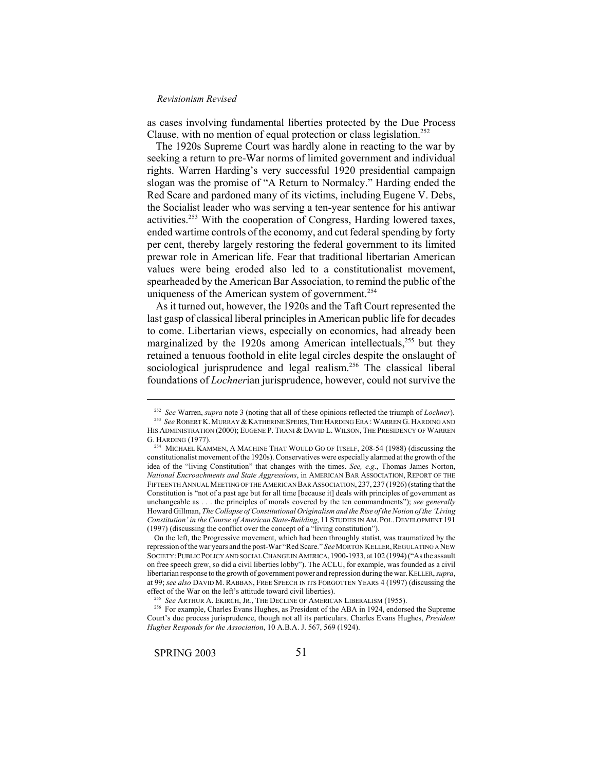as cases involving fundamental liberties protected by the Due Process Clause, with no mention of equal protection or class legislation.<sup>252</sup>

The 1920s Supreme Court was hardly alone in reacting to the war by seeking a return to pre-War norms of limited government and individual rights. Warren Harding's very successful 1920 presidential campaign slogan was the promise of "A Return to Normalcy." Harding ended the Red Scare and pardoned many of its victims, including Eugene V. Debs, the Socialist leader who was serving a ten-year sentence for his antiwar activities.253 With the cooperation of Congress, Harding lowered taxes, ended wartime controls of the economy, and cut federal spending by forty per cent, thereby largely restoring the federal government to its limited prewar role in American life. Fear that traditional libertarian American values were being eroded also led to a constitutionalist movement, spearheaded by the American Bar Association, to remind the public of the uniqueness of the American system of government.<sup>254</sup>

As it turned out, however, the 1920s and the Taft Court represented the last gasp of classical liberal principles in American public life for decades to come. Libertarian views, especially on economics, had already been marginalized by the 1920s among American intellectuals,<sup>255</sup> but they retained a tenuous foothold in elite legal circles despite the onslaught of sociological jurisprudence and legal realism.<sup>256</sup> The classical liberal foundations of *Lochner*ian jurisprudence, however, could not survive the

<sup>252</sup> *See* Warren, *supra* note 3 (noting that all of these opinions reflected the triumph of *Lochner*). <sup>253</sup> See ROBERT K. MURRAY & KATHERINE SPEIRS, THE HARDING ERA: WARREN G. HARDING AND HIS ADMINISTRATION (2000); EUGENE P. TRANI & DAVID L. WILSON, THE PRESIDENCY OF WARREN

G. HARDING (1977).

<sup>254</sup> MICHAEL KAMMEN, A MACHINE THAT WOULD GO OF ITSELF, 208-54 (1988) (discussing the constitutionalist movement of the 1920s). Conservatives were especially alarmed at the growth of the idea of the "living Constitution" that changes with the times. *See, e.g.*, Thomas James Norton, *National Encroachments and State Aggressions*, in AMERICAN BAR ASSOCIATION, REPORT OF THE FIFTEENTH ANNUAL MEETING OF THE AMERICAN BAR ASSOCIATION, 237, 237 (1926) (stating that the Constitution is "not of a past age but for all time [because it] deals with principles of government as unchangeable as . . . the principles of morals covered by the ten commandments"); *see generally* Howard Gillman, *The Collapse of Constitutional Originalism and the Rise of the Notion of the 'Living Constitution' in the Course of American State-Building*, 11 STUDIES IN AM. POL. DEVELOPMENT 191 (1997) (discussing the conflict over the concept of a "living constitution").

On the left, the Progressive movement, which had been throughly statist, was traumatized by the repression of the war years and the post-War "Red Scare." *See*MORTON KELLER,REGULATING A NEW SOCIETY:PUBLIC POLICY AND SOCIAL CHANGE IN AMERICA,1900-1933, at 102 (1994) ("As the assault on free speech grew, so did a civil liberties lobby"). The ACLU, for example, was founded as a civil libertarian response to the growth of government power and repression during the war.KELLER, *supra*, at 99; *see also* DAVID M. RABBAN, FREE SPEECH IN ITS FORGOTTEN YEARS 4 (1997) (discussing the effect of the War on the left's attitude toward civil liberties).

<sup>255</sup> *See* ARTHUR A. EKIRCH, JR., THE DECLINE OF AMERICAN LIBERALISM (1955).

<sup>&</sup>lt;sup>256</sup> For example, Charles Evans Hughes, as President of the ABA in 1924, endorsed the Supreme Court's due process jurisprudence, though not all its particulars. Charles Evans Hughes, *President Hughes Responds for the Association*, 10 A.B.A. J. 567, 569 (1924).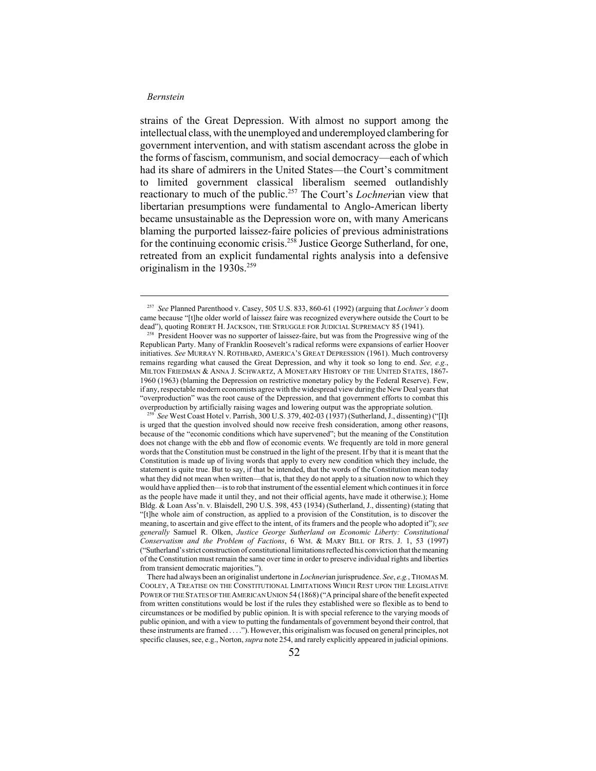strains of the Great Depression. With almost no support among the intellectual class, with the unemployed and underemployed clambering for government intervention, and with statism ascendant across the globe in the forms of fascism, communism, and social democracy—each of which had its share of admirers in the United States—the Court's commitment to limited government classical liberalism seemed outlandishly reactionary to much of the public.<sup>257</sup> The Court's *Lochnerian* view that libertarian presumptions were fundamental to Anglo-American liberty became unsustainable as the Depression wore on, with many Americans blaming the purported laissez-faire policies of previous administrations for the continuing economic crisis.<sup>258</sup> Justice George Sutherland, for one, retreated from an explicit fundamental rights analysis into a defensive originalism in the  $1930s.<sup>259</sup>$ 

<sup>257</sup> *See* Planned Parenthood v. Casey, 505 U.S. 833, 860-61 (1992) (arguing that *Lochner's* doom came because "[t]he older world of laissez faire was recognized everywhere outside the Court to be dead"), quoting ROBERT H. JACKSON, THE STRUGGLE FOR JUDICIAL SUPREMACY 85 (1941).

<sup>&</sup>lt;sup>258</sup> President Hoover was no supporter of laissez-faire, but was from the Progressive wing of the Republican Party. Many of Franklin Roosevelt's radical reforms were expansions of earlier Hoover initiatives. *See* MURRAY N. ROTHBARD, AMERICA'S GREAT DEPRESSION (1961). Much controversy remains regarding what caused the Great Depression, and why it took so long to end. *See, e.g.*, MILTON FRIEDMAN & ANNA J. SCHWARTZ, A MONETARY HISTORY OF THE UNITED STATES, 1867- 1960 (1963) (blaming the Depression on restrictive monetary policy by the Federal Reserve). Few, if any, respectable modern economists agree with the widespread view during the New Deal years that "overproduction" was the root cause of the Depression, and that government efforts to combat this overproduction by artificially raising wages and lowering output was the appropriate solution.

<sup>259</sup> *See* West Coast Hotel v. Parrish, 300 U.S. 379, 402-03 (1937) (Sutherland, J., dissenting) ("[I]t is urged that the question involved should now receive fresh consideration, among other reasons, because of the "economic conditions which have supervened"; but the meaning of the Constitution does not change with the ebb and flow of economic events. We frequently are told in more general words that the Constitution must be construed in the light of the present. If by that it is meant that the Constitution is made up of living words that apply to every new condition which they include, the statement is quite true. But to say, if that be intended, that the words of the Constitution mean today what they did not mean when written—that is, that they do not apply to a situation now to which they would have applied then—is to rob that instrument of the essential element which continues it in force as the people have made it until they, and not their official agents, have made it otherwise.); Home Bldg. & Loan Ass'n. v. Blaisdell, 290 U.S. 398, 453 (1934) (Sutherland, J., dissenting) (stating that "[t]he whole aim of construction, as applied to a provision of the Constitution, is to discover the meaning, to ascertain and give effect to the intent, of its framers and the people who adopted it"); *see generally* Samuel R. Olken, *Justice George Sutherland on Economic Liberty: Constitutional Conservatism and the Problem of Factions*, 6 WM. & MARY BILL OF RTS. J. 1, 53 (1997) ("Sutherland's strict construction of constitutional limitations reflected his conviction that the meaning of the Constitution must remain the same over time in order to preserve individual rights and liberties from transient democratic majorities.").

There had always been an originalist undertone in *Lochner*ian jurisprudence. *See*, *e.g.*, THOMAS M. COOLEY, A TREATISE ON THE CONSTITUTIONAL LIMITATIONS WHICH REST UPON THE LEGISLATIVE POWER OF THE STATES OF THE AMERICAN UNION 54 (1868) ("A principal share of the benefit expected from written constitutions would be lost if the rules they established were so flexible as to bend to circumstances or be modified by public opinion. It is with special reference to the varying moods of public opinion, and with a view to putting the fundamentals of government beyond their control, that these instruments are framed . . . ."). However, this originalism was focused on general principles, not specific clauses, see, e.g., Norton, *supra* note 254, and rarely explicitly appeared in judicial opinions.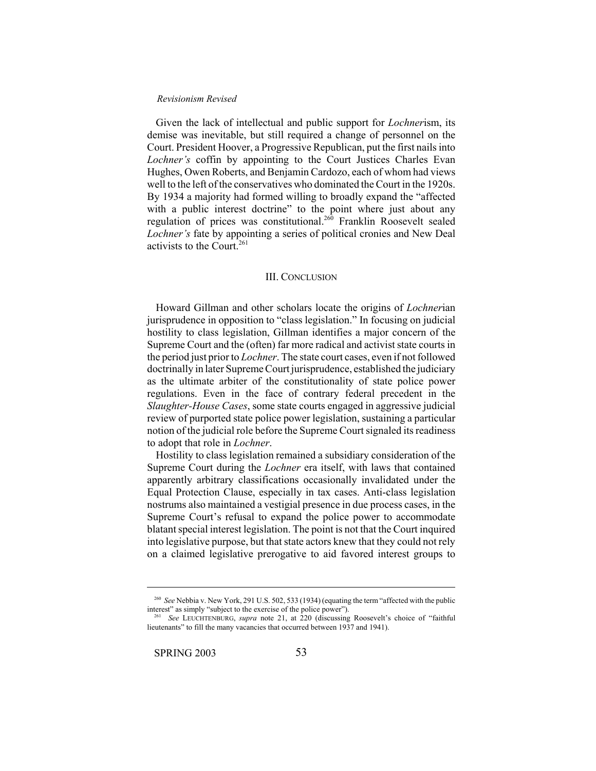Given the lack of intellectual and public support for *Lochner*ism, its demise was inevitable, but still required a change of personnel on the Court. President Hoover, a Progressive Republican, put the first nails into *Lochner's* coffin by appointing to the Court Justices Charles Evan Hughes, Owen Roberts, and Benjamin Cardozo, each of whom had views well to the left of the conservatives who dominated the Court in the 1920s. By 1934 a majority had formed willing to broadly expand the "affected with a public interest doctrine" to the point where just about any regulation of prices was constitutional.<sup>260</sup> Franklin Roosevelt sealed *Lochner's* fate by appointing a series of political cronies and New Deal activists to the Court.261

## III. CONCLUSION

Howard Gillman and other scholars locate the origins of *Lochner*ian jurisprudence in opposition to "class legislation." In focusing on judicial hostility to class legislation, Gillman identifies a major concern of the Supreme Court and the (often) far more radical and activist state courts in the period just prior to *Lochner*. The state court cases, even if not followed doctrinally in later Supreme Court jurisprudence, established the judiciary as the ultimate arbiter of the constitutionality of state police power regulations. Even in the face of contrary federal precedent in the *Slaughter-House Cases*, some state courts engaged in aggressive judicial review of purported state police power legislation, sustaining a particular notion of the judicial role before the Supreme Court signaled its readiness to adopt that role in *Lochner*.

Hostility to class legislation remained a subsidiary consideration of the Supreme Court during the *Lochner* era itself, with laws that contained apparently arbitrary classifications occasionally invalidated under the Equal Protection Clause, especially in tax cases. Anti-class legislation nostrums also maintained a vestigial presence in due process cases, in the Supreme Court's refusal to expand the police power to accommodate blatant special interest legislation. The point is not that the Court inquired into legislative purpose, but that state actors knew that they could not rely on a claimed legislative prerogative to aid favored interest groups to

<sup>&</sup>lt;sup>260</sup> *See* Nebbia v. New York, 291 U.S. 502, 533 (1934) (equating the term "affected with the public interest" as simply "subject to the exercise of the police power").

<sup>261</sup> *See* LEUCHTENBURG, *supra* note 21, at 220 (discussing Roosevelt's choice of "faithful lieutenants" to fill the many vacancies that occurred between 1937 and 1941).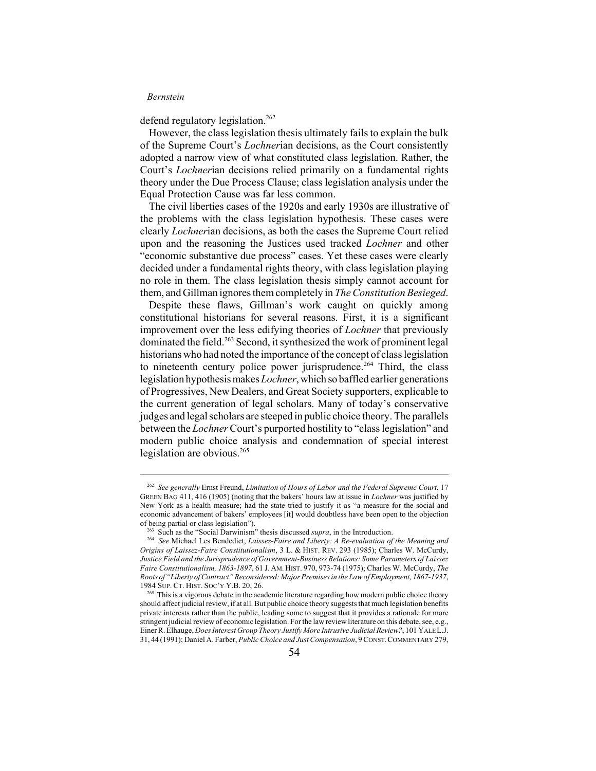defend regulatory legislation.<sup>262</sup>

However, the class legislation thesis ultimately fails to explain the bulk of the Supreme Court's *Lochner*ian decisions, as the Court consistently adopted a narrow view of what constituted class legislation. Rather, the Court's *Lochner*ian decisions relied primarily on a fundamental rights theory under the Due Process Clause; class legislation analysis under the Equal Protection Cause was far less common.

The civil liberties cases of the 1920s and early 1930s are illustrative of the problems with the class legislation hypothesis. These cases were clearly *Lochner*ian decisions, as both the cases the Supreme Court relied upon and the reasoning the Justices used tracked *Lochner* and other "economic substantive due process" cases. Yet these cases were clearly decided under a fundamental rights theory, with class legislation playing no role in them. The class legislation thesis simply cannot account for them, and Gillman ignores them completely in *The Constitution Besieged*.

Despite these flaws, Gillman's work caught on quickly among constitutional historians for several reasons. First, it is a significant improvement over the less edifying theories of *Lochner* that previously dominated the field.<sup>263</sup> Second, it synthesized the work of prominent legal historians who had noted the importance of the concept of class legislation to nineteenth century police power jurisprudence.<sup>264</sup> Third, the class legislation hypothesis makes *Lochner*, which so baffled earlier generations of Progressives, New Dealers, and Great Society supporters, explicable to the current generation of legal scholars. Many of today's conservative judges and legal scholars are steeped in public choice theory. The parallels between the *Lochner* Court's purported hostility to "class legislation" and modern public choice analysis and condemnation of special interest legislation are obvious.<sup>265</sup>

<sup>262</sup> *See generally* Ernst Freund, *Limitation of Hours of Labor and the Federal Supreme Court*, 17 GREEN BAG 411, 416 (1905) (noting that the bakers' hours law at issue in *Lochner* was justified by New York as a health measure; had the state tried to justify it as "a measure for the social and economic advancement of bakers' employees [it] would doubtless have been open to the objection of being partial or class legislation").

<sup>263</sup> Such as the "Social Darwinism" thesis discussed *supra*, in the Introduction.

<sup>264</sup> *See* Michael Les Bendedict, *Laissez-Faire and Liberty: A Re-evaluation of the Meaning and Origins of Laissez-Faire Constitutionalism*, 3 L. & HIST. REV. 293 (1985); Charles W. McCurdy, *Justice Field and the Jurisprudence of Government-Business Relations: Some Parameters of Laissez Faire Constitutionalism, 1863-1897*, 61 J. AM. HIST. 970, 973-74 (1975); Charles W. McCurdy, *The Roots of "Liberty of Contract" Reconsidered: Major Premises in the Law of Employment, 1867-1937*, 1984 SUP. CT. HIST. SOC'Y Y.B. 20, 26.

<sup>&</sup>lt;sup>265</sup> This is a vigorous debate in the academic literature regarding how modern public choice theory should affect judicial review, if at all. But public choice theory suggests that much legislation benefits private interests rather than the public, leading some to suggest that it provides a rationale for more stringent judicial review of economic legislation. For the law review literature on this debate, see, e.g., Einer R. Elhauge, *Does Interest Group Theory Justify More Intrusive Judicial Review?*, 101 YALE L.J. 31, 44 (1991); Daniel A. Farber, *Public Choice and Just Compensation*, 9 CONST.COMMENTARY 279,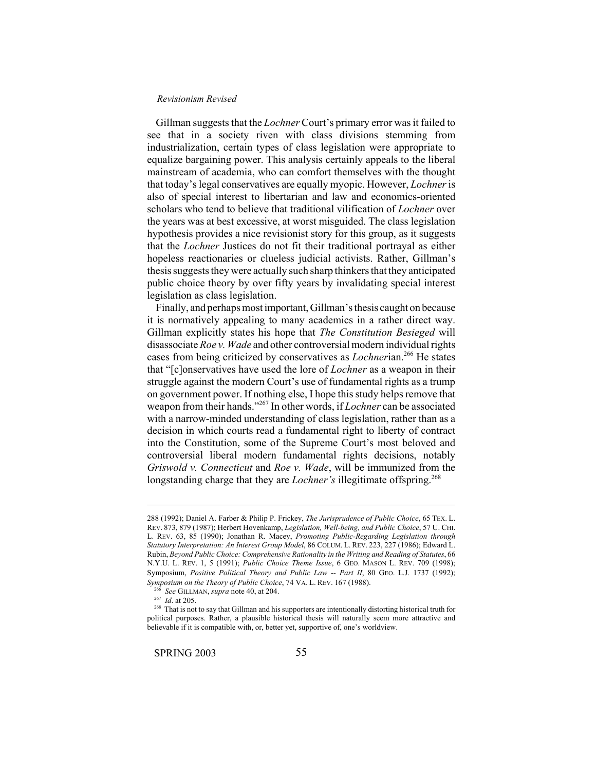Gillman suggests that the *Lochner* Court's primary error was it failed to see that in a society riven with class divisions stemming from industrialization, certain types of class legislation were appropriate to equalize bargaining power. This analysis certainly appeals to the liberal mainstream of academia, who can comfort themselves with the thought that today's legal conservatives are equally myopic. However, *Lochner* is also of special interest to libertarian and law and economics-oriented scholars who tend to believe that traditional vilification of *Lochner* over the years was at best excessive, at worst misguided. The class legislation hypothesis provides a nice revisionist story for this group, as it suggests that the *Lochner* Justices do not fit their traditional portrayal as either hopeless reactionaries or clueless judicial activists. Rather, Gillman's thesis suggests they were actually such sharp thinkers that they anticipated public choice theory by over fifty years by invalidating special interest legislation as class legislation.

Finally, and perhaps most important, Gillman's thesis caught on because it is normatively appealing to many academics in a rather direct way. Gillman explicitly states his hope that *The Constitution Besieged* will disassociate *Roe v. Wade* and other controversial modern individual rights cases from being criticized by conservatives as *Lochnerian*.<sup>266</sup> He states that "[c]onservatives have used the lore of *Lochner* as a weapon in their struggle against the modern Court's use of fundamental rights as a trump on government power. If nothing else, I hope this study helps remove that weapon from their hands."267 In other words, if *Lochner* can be associated with a narrow-minded understanding of class legislation, rather than as a decision in which courts read a fundamental right to liberty of contract into the Constitution, some of the Supreme Court's most beloved and controversial liberal modern fundamental rights decisions, notably *Griswold v. Connecticut* and *Roe v. Wade*, will be immunized from the longstanding charge that they are *Lochner's* illegitimate offspring.<sup>268</sup>

SPRING 2003 55

<sup>288 (1992);</sup> Daniel A. Farber & Philip P. Frickey, *The Jurisprudence of Public Choice*, 65 TEX. L. REV. 873, 879 (1987); Herbert Hovenkamp, *Legislation, Well-being, and Public Choice*, 57 U. CHI. L. REV. 63, 85 (1990); Jonathan R. Macey, *Promoting Public-Regarding Legislation through Statutory Interpretation: An Interest Group Model*, 86 COLUM. L. REV. 223, 227 (1986); Edward L. Rubin, *Beyond Public Choice: Comprehensive Rationality in the Writing and Reading of Statutes*, 66 N.Y.U. L. REV. 1, 5 (1991); *Public Choice Theme Issue*, 6 GEO. MASON L. REV. 709 (1998); Symposium, *Positive Political Theory and Public Law -- Part II*, 80 GEO. L.J. 1737 (1992); *Symposium on the Theory of Public Choice*, 74 VA. L. REV. 167 (1988). 266 *See* GILLMAN, *supra* note 40, at 204.

<sup>267</sup> *Id*. at 205.

<sup>&</sup>lt;sup>268</sup> That is not to say that Gillman and his supporters are intentionally distorting historical truth for political purposes. Rather, a plausible historical thesis will naturally seem more attractive and believable if it is compatible with, or, better yet, supportive of, one's worldview.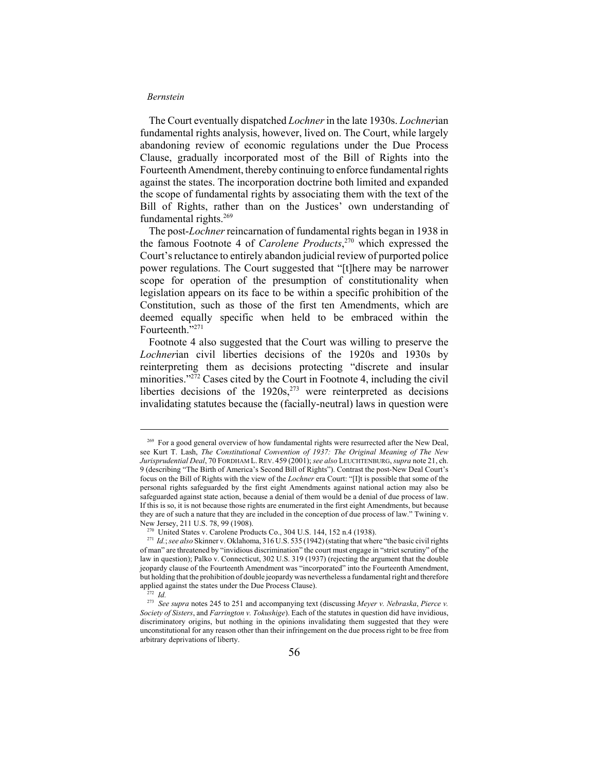The Court eventually dispatched *Lochner* in the late 1930s. *Lochner*ian fundamental rights analysis, however, lived on. The Court, while largely abandoning review of economic regulations under the Due Process Clause, gradually incorporated most of the Bill of Rights into the Fourteenth Amendment, thereby continuing to enforce fundamental rights against the states. The incorporation doctrine both limited and expanded the scope of fundamental rights by associating them with the text of the Bill of Rights, rather than on the Justices' own understanding of fundamental rights.<sup>269</sup>

The post-*Lochner* reincarnation of fundamental rights began in 1938 in the famous Footnote 4 of *Carolene Products*, 270 which expressed the Court's reluctance to entirely abandon judicial review of purported police power regulations. The Court suggested that "[t]here may be narrower scope for operation of the presumption of constitutionality when legislation appears on its face to be within a specific prohibition of the Constitution, such as those of the first ten Amendments, which are deemed equally specific when held to be embraced within the Fourteenth.<sup>3,271</sup>

Footnote 4 also suggested that the Court was willing to preserve the *Lochner*ian civil liberties decisions of the 1920s and 1930s by reinterpreting them as decisions protecting "discrete and insular minorities."272 Cases cited by the Court in Footnote 4, including the civil liberties decisions of the  $1920s<sub>,273</sub>$  were reinterpreted as decisions invalidating statutes because the (facially-neutral) laws in question were

<sup>&</sup>lt;sup>269</sup> For a good general overview of how fundamental rights were resurrected after the New Deal. see Kurt T. Lash, *The Constitutional Convention of 1937: The Original Meaning of The New Jurisprudential Deal*, 70 FORDHAM L.REV. 459 (2001); *see also* LEUCHTENBURG, *supra* note 21, ch. 9 (describing "The Birth of America's Second Bill of Rights"). Contrast the post-New Deal Court's focus on the Bill of Rights with the view of the *Lochner* era Court: "[I]t is possible that some of the personal rights safeguarded by the first eight Amendments against national action may also be safeguarded against state action, because a denial of them would be a denial of due process of law. If this is so, it is not because those rights are enumerated in the first eight Amendments, but because they are of such a nature that they are included in the conception of due process of law." Twining v. New Jersey, 211 U.S. 78, 99 (1908).

<sup>270</sup> United States v. Carolene Products Co., 304 U.S. 144, 152 n.4 (1938).

<sup>&</sup>lt;sup>271</sup> *Id.*; see also Skinner v. Oklahoma, 316 U.S. 535 (1942) (stating that where "the basic civil rights of man" are threatened by "invidious discrimination" the court must engage in "strict scrutiny" of the law in question); Palko v. Connecticut, 302 U.S. 319 (1937) (rejecting the argument that the double jeopardy clause of the Fourteenth Amendment was "incorporated" into the Fourteenth Amendment, but holding that the prohibition of double jeopardy was nevertheless a fundamental right and therefore applied against the states under the Due Process Clause).

<sup>272</sup> *Id.*

<sup>273</sup> *See supra* notes 245 to 251 and accompanying text (discussing *Meyer v. Nebraska*, *Pierce v. Society of Sisters*, and *Farrington v. Tokushige*). Each of the statutes in question did have invidious, discriminatory origins, but nothing in the opinions invalidating them suggested that they were unconstitutional for any reason other than their infringement on the due process right to be free from arbitrary deprivations of liberty.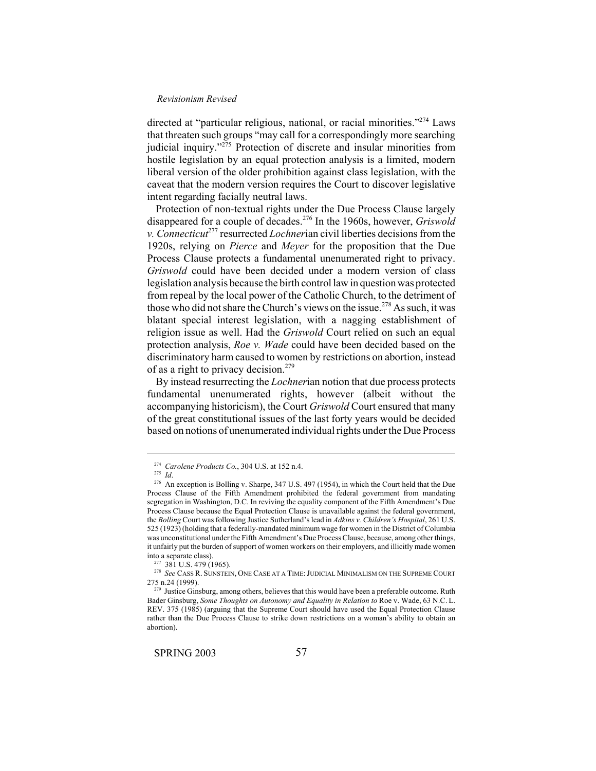directed at "particular religious, national, or racial minorities."<sup>274</sup> Laws that threaten such groups "may call for a correspondingly more searching judicial inquiry."<sup>275</sup> Protection of discrete and insular minorities from hostile legislation by an equal protection analysis is a limited, modern liberal version of the older prohibition against class legislation, with the caveat that the modern version requires the Court to discover legislative intent regarding facially neutral laws.

Protection of non-textual rights under the Due Process Clause largely disappeared for a couple of decades.276 In the 1960s, however, *Griswold v. Connecticut*277 resurrected *Lochner*ian civil liberties decisions from the 1920s, relying on *Pierce* and *Meyer* for the proposition that the Due Process Clause protects a fundamental unenumerated right to privacy. *Griswold* could have been decided under a modern version of class legislation analysis because the birth control law in question was protected from repeal by the local power of the Catholic Church, to the detriment of those who did not share the Church's views on the issue.<sup>278</sup> As such, it was blatant special interest legislation, with a nagging establishment of religion issue as well. Had the *Griswold* Court relied on such an equal protection analysis, *Roe v. Wade* could have been decided based on the discriminatory harm caused to women by restrictions on abortion, instead of as a right to privacy decision.<sup>279</sup>

By instead resurrecting the *Lochner*ian notion that due process protects fundamental unenumerated rights, however (albeit without the accompanying historicism), the Court *Griswold* Court ensured that many of the great constitutional issues of the last forty years would be decided based on notions of unenumerated individual rights under the Due Process

<sup>274</sup> *Carolene Products Co.*, 304 U.S. at 152 n.4.

<sup>275</sup> *Id*.

<sup>&</sup>lt;sup>276</sup> An exception is Bolling v. Sharpe, 347 U.S. 497 (1954), in which the Court held that the Due Process Clause of the Fifth Amendment prohibited the federal government from mandating segregation in Washington, D.C. In reviving the equality component of the Fifth Amendment's Due Process Clause because the Equal Protection Clause is unavailable against the federal government, the *Bolling* Court was following Justice Sutherland's lead in *Adkins v. Children's Hospital*, 261 U.S. 525 (1923) (holding that a federally-mandated minimum wage for women in the District of Columbia was unconstitutional under the Fifth Amendment's Due Process Clause, because, among other things, it unfairly put the burden of support of women workers on their employers, and illicitly made women into a separate class).

<sup>&</sup>lt;sup>277</sup> 381 U.S. 479 (1965).

<sup>&</sup>lt;sup>278</sup> See CASS R. SUNSTEIN, ONE CASE AT A TIME: JUDICIAL MINIMALISM ON THE SUPREME COURT 275 n.24 (1999).

<sup>&</sup>lt;sup>279</sup> Justice Ginsburg, among others, believes that this would have been a preferable outcome. Ruth Bader Ginsburg, *Some Thoughts on Autonomy and Equality in Relation to* Roe v. Wade, 63 N.C. L. REV. 375 (1985) (arguing that the Supreme Court should have used the Equal Protection Clause rather than the Due Process Clause to strike down restrictions on a woman's ability to obtain an abortion).